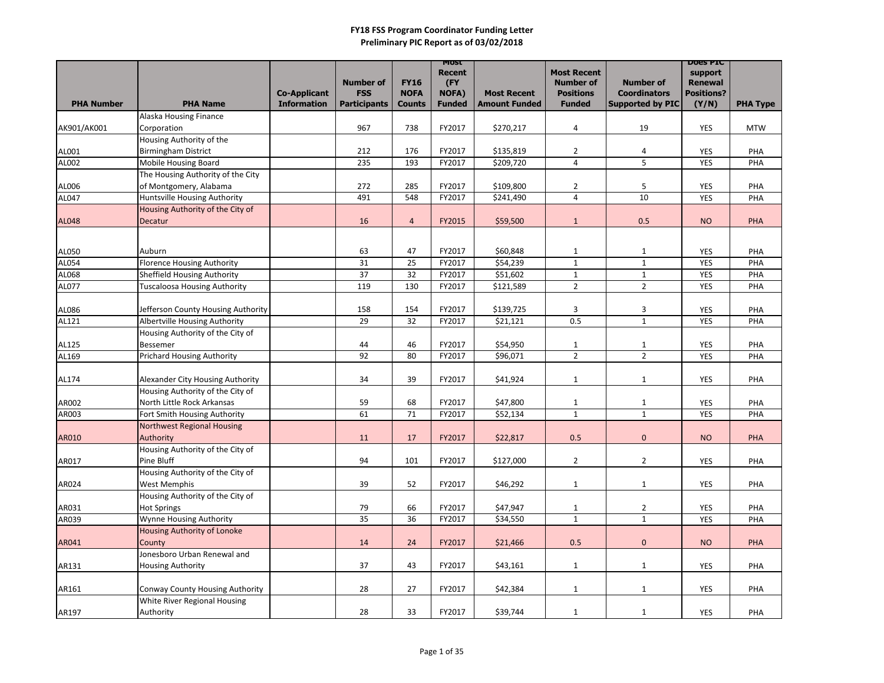|                   |                                                | <b>Co-Applicant</b> | <b>Number of</b><br><b>FSS</b> | <b>FY16</b><br><b>NOFA</b> | <b>MOST</b><br><b>Recent</b><br>(FY<br><b>NOFA)</b> | <b>Most Recent</b>   | <b>Most Recent</b><br><b>Number of</b><br><b>Positions</b> | <b>Number of</b><br><b>Coordinators</b> | <b>DOES PIC</b><br>support<br><b>Renewal</b><br><b>Positions?</b> |                 |
|-------------------|------------------------------------------------|---------------------|--------------------------------|----------------------------|-----------------------------------------------------|----------------------|------------------------------------------------------------|-----------------------------------------|-------------------------------------------------------------------|-----------------|
| <b>PHA Number</b> | <b>PHA Name</b>                                | <b>Information</b>  | <b>Participants</b>            | <b>Counts</b>              | <b>Funded</b>                                       | <b>Amount Funded</b> | <b>Funded</b>                                              | <b>Supported by PIC</b>                 | (Y/N)                                                             | <b>PHA Type</b> |
|                   | Alaska Housing Finance                         |                     |                                |                            |                                                     |                      |                                                            |                                         |                                                                   |                 |
| AK901/AK001       | Corporation                                    |                     | 967                            | 738                        | FY2017                                              | \$270,217            | 4                                                          | 19                                      | <b>YES</b>                                                        | <b>MTW</b>      |
|                   | Housing Authority of the                       |                     |                                |                            |                                                     |                      |                                                            |                                         |                                                                   |                 |
| AL001             | <b>Birmingham District</b>                     |                     | 212                            | 176                        | FY2017                                              | \$135,819            | $\overline{2}$                                             | 4                                       | <b>YES</b>                                                        | PHA             |
| AL002             | Mobile Housing Board                           |                     | 235                            | 193                        | FY2017                                              | \$209,720            | $\overline{4}$                                             | 5                                       | <b>YES</b>                                                        | PHA             |
|                   | The Housing Authority of the City              |                     |                                |                            |                                                     |                      |                                                            |                                         |                                                                   |                 |
| AL006             | of Montgomery, Alabama                         |                     | 272                            | 285                        | FY2017                                              | \$109,800            | $\overline{2}$                                             | 5                                       | <b>YES</b>                                                        | PHA             |
| <b>AL047</b>      | Huntsville Housing Authority                   |                     | 491                            | 548                        | FY2017                                              | \$241,490            | $\overline{4}$                                             | 10                                      | <b>YES</b>                                                        | PHA             |
|                   | Housing Authority of the City of               |                     |                                |                            |                                                     |                      |                                                            |                                         |                                                                   |                 |
| <b>AL048</b>      | Decatur                                        |                     | 16                             | $\overline{4}$             | FY2015                                              | \$59,500             | $\mathbf{1}$                                               | 0.5                                     | <b>NO</b>                                                         | <b>PHA</b>      |
|                   |                                                |                     |                                |                            |                                                     |                      |                                                            |                                         |                                                                   |                 |
| AL050             | Auburn                                         |                     | 63                             | 47                         | FY2017                                              | \$60,848             | $\mathbf{1}$                                               | $\mathbf{1}$                            | <b>YES</b>                                                        | PHA             |
| AL054             | <b>Florence Housing Authority</b>              |                     | 31                             | 25                         | FY2017                                              | \$54,239             | $\mathbf{1}$                                               | $\mathbf{1}$                            | <b>YES</b>                                                        | PHA             |
| AL068             | <b>Sheffield Housing Authority</b>             |                     | 37                             | 32                         | FY2017                                              | \$51,602             | $\mathbf{1}$                                               | $\mathbf{1}$                            | <b>YES</b>                                                        | PHA             |
| AL077             | <b>Tuscaloosa Housing Authority</b>            |                     | 119                            | 130                        | FY2017                                              | \$121,589            | $\overline{2}$                                             | $\overline{2}$                          | <b>YES</b>                                                        | PHA             |
|                   |                                                |                     |                                |                            |                                                     |                      |                                                            |                                         |                                                                   |                 |
| AL086             | Jefferson County Housing Authority             |                     | 158                            | 154                        | FY2017                                              | \$139,725            | 3                                                          | 3                                       | <b>YES</b>                                                        | PHA             |
| AL121             | Albertville Housing Authority                  |                     | 29                             | 32                         | FY2017                                              | \$21,121             | 0.5                                                        | $\mathbf{1}$                            | <b>YES</b>                                                        | PHA             |
|                   | Housing Authority of the City of               |                     |                                |                            |                                                     |                      |                                                            |                                         |                                                                   |                 |
| AL125             | <b>Bessemer</b>                                |                     | 44                             | 46                         | FY2017                                              | \$54,950             | $\mathbf{1}$                                               | $\mathbf{1}$                            | <b>YES</b>                                                        | PHA             |
| AL169             | <b>Prichard Housing Authority</b>              |                     | 92                             | 80                         | FY2017                                              | \$96,071             | $\overline{2}$                                             | $2^{\circ}$                             | <b>YES</b>                                                        | PHA             |
|                   |                                                |                     |                                |                            |                                                     |                      |                                                            |                                         |                                                                   |                 |
| AL174             | Alexander City Housing Authority               |                     | 34                             | 39                         | FY2017                                              | \$41,924             | $\mathbf{1}$                                               | $\mathbf{1}$                            | <b>YES</b>                                                        | PHA             |
|                   | Housing Authority of the City of               |                     |                                |                            |                                                     |                      |                                                            |                                         |                                                                   |                 |
| AR002             | North Little Rock Arkansas                     |                     | 59                             | 68                         | FY2017                                              | \$47,800             | $\mathbf{1}$                                               | $\mathbf{1}$                            | <b>YES</b>                                                        | PHA             |
| AR003             | Fort Smith Housing Authority                   |                     | 61                             | 71                         | FY2017                                              | \$52,134             | $\mathbf{1}$                                               | $\mathbf{1}$                            | <b>YES</b>                                                        | PHA             |
|                   | <b>Northwest Regional Housing</b>              |                     |                                |                            |                                                     |                      |                                                            |                                         |                                                                   |                 |
| <b>AR010</b>      | Authority                                      |                     | 11                             | 17                         | FY2017                                              | \$22,817             | 0.5                                                        | $\overline{0}$                          | <b>NO</b>                                                         | PHA             |
| AR017             | Housing Authority of the City of<br>Pine Bluff |                     | 94                             | 101                        | FY2017                                              | \$127,000            | $\overline{2}$                                             | $\overline{2}$                          | YES                                                               | PHA             |
|                   | Housing Authority of the City of               |                     |                                |                            |                                                     |                      |                                                            |                                         |                                                                   |                 |
| AR024             | West Memphis                                   |                     | 39                             | 52                         | FY2017                                              | \$46,292             | $\mathbf{1}$                                               | $\mathbf{1}$                            | <b>YES</b>                                                        | PHA             |
|                   | Housing Authority of the City of               |                     |                                |                            |                                                     |                      |                                                            |                                         |                                                                   |                 |
| AR031             | <b>Hot Springs</b>                             |                     | 79                             | 66                         | FY2017                                              | \$47,947             | $\mathbf{1}$                                               | $\overline{2}$                          | <b>YES</b>                                                        | PHA             |
| AR039             | Wynne Housing Authority                        |                     | 35                             | 36                         | FY2017                                              | \$34,550             | $\mathbf{1}$                                               | $\mathbf{1}$                            | <b>YES</b>                                                        | PHA             |
|                   | Housing Authority of Lonoke                    |                     |                                |                            |                                                     |                      |                                                            |                                         |                                                                   |                 |
| AR041             | County                                         |                     | 14                             | 24                         | FY2017                                              | \$21,466             | 0.5                                                        | $\overline{0}$                          | <b>NO</b>                                                         | <b>PHA</b>      |
|                   | Jonesboro Urban Renewal and                    |                     |                                |                            |                                                     |                      |                                                            |                                         |                                                                   |                 |
| AR131             | <b>Housing Authority</b>                       |                     | 37                             | 43                         | FY2017                                              | \$43,161             | $\mathbf{1}$                                               | $\mathbf{1}$                            | <b>YES</b>                                                        | PHA             |
|                   |                                                |                     |                                |                            |                                                     |                      |                                                            |                                         |                                                                   |                 |
| AR161             | Conway County Housing Authority                |                     | 28                             | 27                         | FY2017                                              | \$42,384             | $\mathbf{1}$                                               | $\mathbf{1}$                            | YES                                                               | PHA             |
|                   | White River Regional Housing                   |                     |                                |                            |                                                     |                      |                                                            |                                         |                                                                   |                 |
| AR197             | Authority                                      |                     | 28                             | 33                         | FY2017                                              | \$39,744             | $\mathbf{1}$                                               | $\mathbf{1}$                            | YES                                                               | PHA             |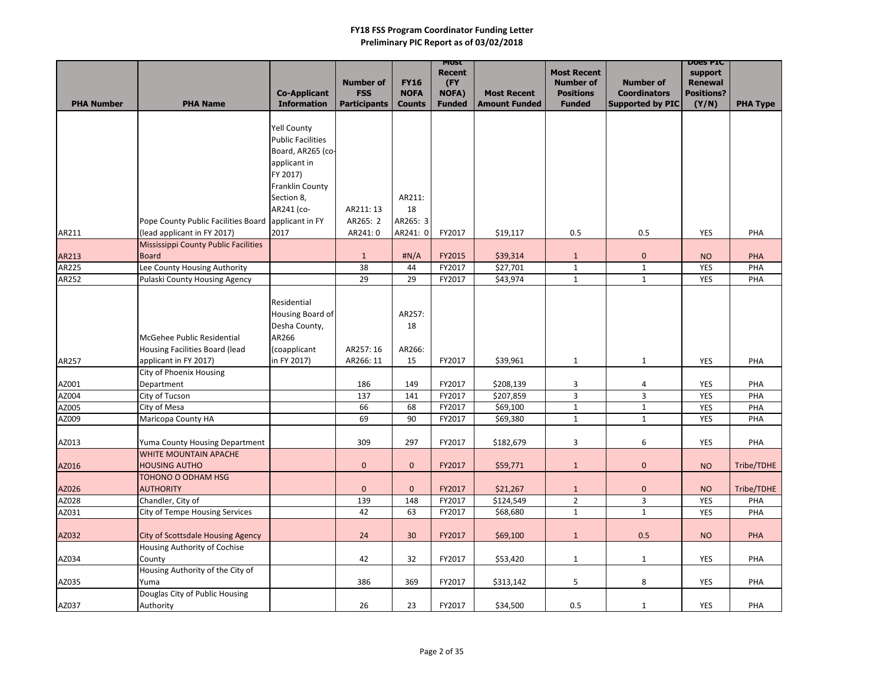|                   |                                                            |                                           |                                   |                              | MOST<br><b>Recent</b>  |                                            | <b>Most Recent</b>                |                                                | <b>DOES PIC</b><br>support |                 |
|-------------------|------------------------------------------------------------|-------------------------------------------|-----------------------------------|------------------------------|------------------------|--------------------------------------------|-----------------------------------|------------------------------------------------|----------------------------|-----------------|
|                   |                                                            |                                           | <b>Number of</b>                  | <b>FY16</b>                  | (FY                    |                                            | <b>Number of</b>                  | <b>Number of</b>                               | <b>Renewal</b>             |                 |
| <b>PHA Number</b> | <b>PHA Name</b>                                            | <b>Co-Applicant</b><br><b>Information</b> | <b>FSS</b><br><b>Participants</b> | <b>NOFA</b><br><b>Counts</b> | NOFA)<br><b>Funded</b> | <b>Most Recent</b><br><b>Amount Funded</b> | <b>Positions</b><br><b>Funded</b> | <b>Coordinators</b><br><b>Supported by PIC</b> | <b>Positions?</b><br>(Y/N) | <b>PHA Type</b> |
|                   |                                                            |                                           |                                   |                              |                        |                                            |                                   |                                                |                            |                 |
|                   |                                                            | <b>Yell County</b>                        |                                   |                              |                        |                                            |                                   |                                                |                            |                 |
|                   |                                                            | <b>Public Facilities</b>                  |                                   |                              |                        |                                            |                                   |                                                |                            |                 |
|                   |                                                            | Board, AR265 (co-                         |                                   |                              |                        |                                            |                                   |                                                |                            |                 |
|                   |                                                            | applicant in                              |                                   |                              |                        |                                            |                                   |                                                |                            |                 |
|                   |                                                            | FY 2017)                                  |                                   |                              |                        |                                            |                                   |                                                |                            |                 |
|                   |                                                            | <b>Franklin County</b>                    |                                   |                              |                        |                                            |                                   |                                                |                            |                 |
|                   |                                                            | Section 8,                                |                                   | AR211:                       |                        |                                            |                                   |                                                |                            |                 |
|                   |                                                            | AR241 (co-                                | AR211:13                          | 18                           |                        |                                            |                                   |                                                |                            |                 |
|                   | Pope County Public Facilities Board applicant in FY        |                                           | AR265: 2                          | AR265: 3                     |                        |                                            |                                   |                                                |                            |                 |
| AR211             | (lead applicant in FY 2017)                                | 2017                                      | AR241: 0                          | AR241: 0                     | FY2017                 | \$19,117                                   | 0.5                               | 0.5                                            | <b>YES</b>                 | PHA             |
|                   | <b>Mississippi County Public Facilities</b>                |                                           |                                   |                              |                        |                                            |                                   |                                                |                            |                 |
| AR213             | <b>Board</b>                                               |                                           | $\mathbf{1}$                      | H N/A                        | FY2015                 | \$39,314                                   | $\mathbf{1}$                      | $\mathbf 0$                                    | <b>NO</b>                  | PHA             |
| AR225             | Lee County Housing Authority                               |                                           | 38                                | 44                           | FY2017                 | \$27,701                                   | $\mathbf{1}$                      | $\mathbf{1}$                                   | <b>YES</b>                 | PHA             |
| AR252             | Pulaski County Housing Agency                              |                                           | 29                                | 29                           | FY2017                 | \$43,974                                   | $\mathbf{1}$                      | $\mathbf{1}$                                   | YES                        | PHA             |
|                   |                                                            | Residential                               |                                   |                              |                        |                                            |                                   |                                                |                            |                 |
|                   |                                                            | Housing Board of                          |                                   | AR257:                       |                        |                                            |                                   |                                                |                            |                 |
|                   |                                                            | Desha County,                             |                                   | 18                           |                        |                                            |                                   |                                                |                            |                 |
|                   | McGehee Public Residential                                 | AR266                                     |                                   |                              |                        |                                            |                                   |                                                |                            |                 |
|                   | Housing Facilities Board (lead                             | (coapplicant                              | AR257: 16                         | AR266:                       |                        |                                            |                                   |                                                |                            |                 |
| AR257             | applicant in FY 2017)                                      | in FY 2017)                               | AR266: 11                         | 15                           | FY2017                 | \$39,961                                   | $\mathbf{1}$                      | $\mathbf{1}$                                   | <b>YES</b>                 | PHA             |
|                   | City of Phoenix Housing                                    |                                           |                                   |                              |                        |                                            |                                   |                                                |                            |                 |
| AZ001             | Department                                                 |                                           | 186                               | 149                          | FY2017                 | \$208,139                                  | 3                                 | 4                                              | <b>YES</b>                 | PHA             |
| AZ004             | City of Tucson                                             |                                           | 137                               | 141                          | FY2017                 | \$207,859                                  | 3                                 | 3                                              | <b>YES</b>                 | PHA             |
| AZ005             | City of Mesa                                               |                                           | 66                                | 68                           | FY2017                 | \$69,100                                   | $\mathbf{1}$                      | $\mathbf{1}$                                   | <b>YES</b>                 | PHA             |
| AZ009             | Maricopa County HA                                         |                                           | 69                                | 90                           | FY2017                 | \$69,380                                   | $\mathbf{1}$                      | $\mathbf{1}$                                   | <b>YES</b>                 | PHA             |
|                   |                                                            |                                           |                                   |                              |                        |                                            |                                   |                                                |                            |                 |
| AZ013             | Yuma County Housing Department                             |                                           | 309                               | 297                          | FY2017                 | \$182,679                                  | $\mathbf{3}$                      | 6                                              | YES                        | PHA             |
|                   | <b>WHITE MOUNTAIN APACHE</b>                               |                                           |                                   |                              |                        |                                            |                                   |                                                |                            |                 |
| AZ016             | <b>HOUSING AUTHO</b>                                       |                                           | $\pmb{0}$                         | $\mathbf{0}$                 | FY2017                 | \$59,771                                   | $\mathbf{1}$                      | $\mathbf{0}$                                   | <b>NO</b>                  | Tribe/TDHE      |
|                   | TOHONO O ODHAM HSG                                         |                                           |                                   |                              |                        |                                            |                                   |                                                |                            |                 |
| AZ026             | <b>AUTHORITY</b>                                           |                                           | $\pmb{0}$                         | $\mathbf{0}$                 | FY2017                 | \$21,267                                   | $\mathbf{1}$                      | $\overline{0}$                                 | <b>NO</b>                  | Tribe/TDHE      |
| AZ028             | Chandler, City of<br><b>City of Tempe Housing Services</b> |                                           | 139<br>42                         | 148                          | FY2017                 | \$124,549                                  | $2^{\circ}$                       | 3 <sup>1</sup>                                 | <b>YES</b>                 | PHA             |
| AZ031             |                                                            |                                           |                                   | 63                           | FY2017                 | \$68,680                                   | $\mathbf{1}$                      | $\mathbf{1}$                                   | YES                        | PHA             |
| AZ032             | <b>City of Scottsdale Housing Agency</b>                   |                                           | 24                                | 30                           | FY2017                 | \$69,100                                   | $\mathbf{1}$                      | 0.5                                            | <b>NO</b>                  | <b>PHA</b>      |
|                   | Housing Authority of Cochise                               |                                           |                                   |                              |                        |                                            |                                   |                                                |                            |                 |
| AZ034             | County                                                     |                                           | 42                                | 32                           | FY2017                 | \$53,420                                   | $\mathbf{1}$                      | $\mathbf{1}$                                   | YES                        | PHA             |
|                   | Housing Authority of the City of                           |                                           |                                   |                              |                        |                                            |                                   |                                                |                            |                 |
| AZ035             | Yuma                                                       |                                           | 386                               | 369                          | FY2017                 | \$313,142                                  | $5\phantom{.0}$                   | 8                                              | YES                        | PHA             |
|                   | Douglas City of Public Housing                             |                                           |                                   |                              |                        |                                            |                                   |                                                |                            |                 |
| AZ037             | Authority                                                  |                                           | 26                                | 23                           | FY2017                 | \$34,500                                   | 0.5                               | $\mathbf{1}$                                   | YES                        | PHA             |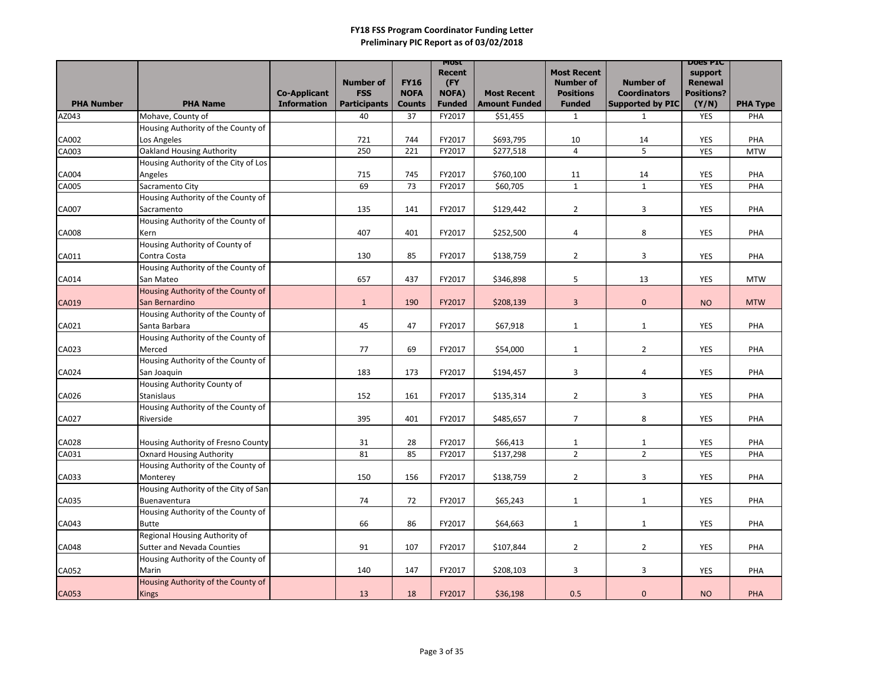|                   |                                      |                     |                     |               | <b>MOST</b><br>Recent |                      | <b>Most Recent</b> |                         | <b>DOGS PIC</b><br>support |                 |
|-------------------|--------------------------------------|---------------------|---------------------|---------------|-----------------------|----------------------|--------------------|-------------------------|----------------------------|-----------------|
|                   |                                      |                     | <b>Number of</b>    | <b>FY16</b>   | (FY                   |                      | <b>Number of</b>   | <b>Number of</b>        | <b>Renewal</b>             |                 |
|                   |                                      | <b>Co-Applicant</b> | <b>FSS</b>          | <b>NOFA</b>   | <b>NOFA)</b>          | <b>Most Recent</b>   | <b>Positions</b>   | <b>Coordinators</b>     | <b>Positions?</b>          |                 |
| <b>PHA Number</b> | <b>PHA Name</b>                      | <b>Information</b>  | <b>Participants</b> | <b>Counts</b> | <b>Funded</b>         | <b>Amount Funded</b> | <b>Funded</b>      | <b>Supported by PIC</b> | (Y/N)                      | <b>PHA Type</b> |
| AZ043             | Mohave, County of                    |                     | 40                  | 37            | FY2017                | \$51,455             | $\mathbf{1}$       | $\mathbf{1}$            | <b>YES</b>                 | PHA             |
|                   | Housing Authority of the County of   |                     |                     |               |                       |                      |                    |                         |                            |                 |
| <b>CA002</b>      | Los Angeles                          |                     | 721                 | 744           | FY2017                | \$693,795            | 10                 | 14                      | <b>YES</b>                 | PHA             |
| CA003             | <b>Oakland Housing Authority</b>     |                     | 250                 | 221           | FY2017                | \$277,518            | $\overline{4}$     | 5                       | <b>YES</b>                 | <b>MTW</b>      |
|                   | Housing Authority of the City of Los |                     |                     |               |                       |                      |                    |                         |                            |                 |
| <b>CA004</b>      | Angeles                              |                     | 715                 | 745           | FY2017                | \$760,100            | 11                 | 14                      | <b>YES</b>                 | PHA             |
| <b>CA005</b>      | Sacramento City                      |                     | 69                  | 73            | FY2017                | \$60,705             | $\mathbf{1}$       | $\mathbf{1}$            | <b>YES</b>                 | PHA             |
|                   | Housing Authority of the County of   |                     |                     |               |                       |                      |                    |                         |                            |                 |
| <b>CA007</b>      | Sacramento                           |                     | 135                 | 141           | FY2017                | \$129,442            | $\overline{2}$     | 3                       | <b>YES</b>                 | PHA             |
|                   | Housing Authority of the County of   |                     |                     |               |                       |                      |                    |                         |                            |                 |
| <b>CA008</b>      | Kern                                 |                     | 407                 | 401           | FY2017                | \$252,500            | 4                  | 8                       | <b>YES</b>                 | PHA             |
|                   | Housing Authority of County of       |                     |                     |               |                       |                      |                    |                         |                            |                 |
| CA011             | Contra Costa                         |                     | 130                 | 85            | FY2017                | \$138,759            | $\overline{2}$     | 3                       | <b>YES</b>                 | PHA             |
|                   | Housing Authority of the County of   |                     |                     |               |                       |                      |                    |                         |                            |                 |
| CA014             | San Mateo                            |                     | 657                 | 437           | FY2017                | \$346,898            | 5                  | 13                      | <b>YES</b>                 | <b>MTW</b>      |
|                   | Housing Authority of the County of   |                     |                     |               |                       |                      |                    |                         |                            |                 |
| <b>CA019</b>      | San Bernardino                       |                     | $\mathbf{1}$        | 190           | FY2017                | \$208,139            | $\overline{3}$     | $\mathbf{0}$            | <b>NO</b>                  | <b>MTW</b>      |
|                   | Housing Authority of the County of   |                     |                     |               |                       |                      |                    |                         |                            |                 |
| CA021             | Santa Barbara                        |                     | 45                  | 47            | FY2017                | \$67,918             | $\mathbf{1}$       | $\mathbf{1}$            | <b>YES</b>                 | PHA             |
|                   | Housing Authority of the County of   |                     |                     |               |                       |                      |                    |                         |                            |                 |
| CA023             | Merced                               |                     | 77                  | 69            | FY2017                | \$54,000             | $\mathbf{1}$       | $2^{\circ}$             | <b>YES</b>                 | PHA             |
|                   | Housing Authority of the County of   |                     |                     |               |                       |                      |                    |                         |                            |                 |
| <b>CA024</b>      | San Joaquin                          |                     | 183                 | 173           | FY2017                | \$194,457            | 3                  | 4                       | <b>YES</b>                 | PHA             |
|                   | Housing Authority County of          |                     |                     |               |                       |                      |                    |                         |                            |                 |
| <b>CA026</b>      | <b>Stanislaus</b>                    |                     | 152                 | 161           | FY2017                | \$135,314            | $\overline{2}$     | 3                       | <b>YES</b>                 | PHA             |
|                   | Housing Authority of the County of   |                     |                     |               |                       |                      |                    |                         |                            |                 |
| <b>CA027</b>      | Riverside                            |                     | 395                 | 401           | FY2017                | \$485,657            | $\overline{7}$     | 8                       | <b>YES</b>                 | PHA             |
|                   |                                      |                     |                     |               |                       |                      |                    |                         |                            |                 |
| <b>CA028</b>      | Housing Authority of Fresno County   |                     | 31                  | 28            | FY2017                | \$66,413             | $\mathbf{1}$       | $\mathbf{1}$            | <b>YES</b>                 | PHA             |
| CA031             | <b>Oxnard Housing Authority</b>      |                     | 81                  | 85            | FY2017                | \$137,298            | $\overline{2}$     | $2^{\circ}$             | <b>YES</b>                 | PHA             |
|                   | Housing Authority of the County of   |                     |                     |               |                       |                      |                    |                         |                            |                 |
| CA033             | Monterey                             |                     | 150                 | 156           | FY2017                | \$138,759            | $\overline{2}$     | $\mathbf{3}$            | YES                        | PHA             |
|                   | Housing Authority of the City of San |                     |                     |               |                       |                      |                    |                         |                            |                 |
| CA035             | Buenaventura                         |                     | 74                  | 72            | FY2017                | \$65,243             | $\mathbf{1}$       | $\mathbf{1}$            | <b>YES</b>                 | PHA             |
|                   | Housing Authority of the County of   |                     |                     |               |                       |                      |                    |                         |                            |                 |
| CA043             | Butte                                |                     | 66                  | 86            | FY2017                | \$64,663             | $\mathbf{1}$       | $\mathbf{1}$            | YES                        | PHA             |
|                   | Regional Housing Authority of        |                     |                     |               |                       |                      |                    |                         |                            |                 |
| <b>CA048</b>      | <b>Sutter and Nevada Counties</b>    |                     | 91                  | 107           | FY2017                | \$107,844            | $\overline{2}$     | $2^{\circ}$             | YES                        | PHA             |
|                   | Housing Authority of the County of   |                     |                     |               |                       |                      |                    |                         |                            |                 |
| <b>CA052</b>      | Marin                                |                     | 140                 | 147           | FY2017                | \$208,103            | 3                  | $\mathbf{3}$            | <b>YES</b>                 | PHA             |
|                   | Housing Authority of the County of   |                     |                     |               |                       |                      |                    |                         |                            |                 |
| CA053             | Kings                                |                     | 13                  | 18            | FY2017                | \$36,198             | 0.5                | $\mathbf 0$             | <b>NO</b>                  | PHA             |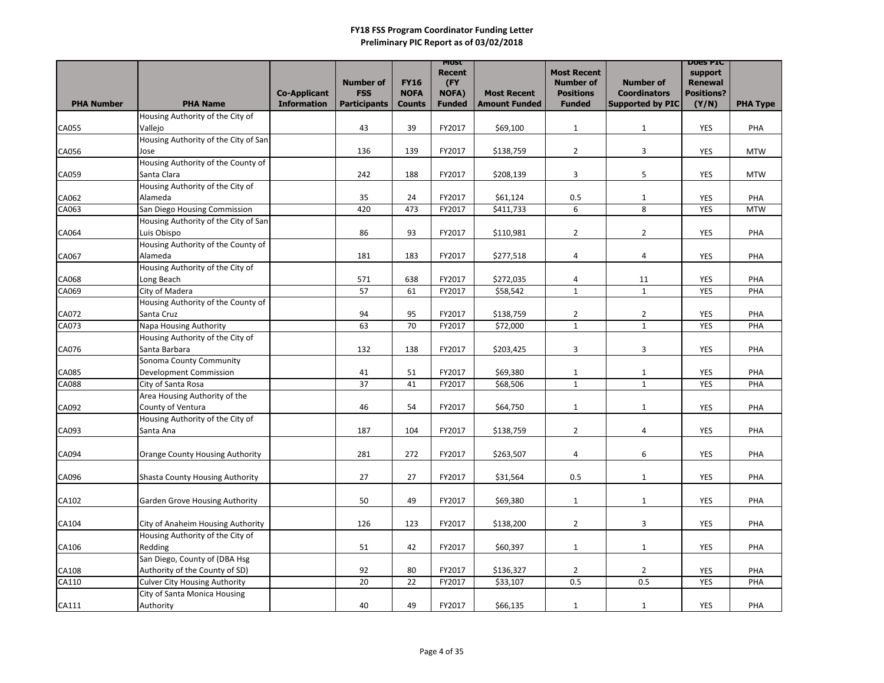|                   |                                                     |                     |                     |               | <b>MOST</b><br><b>Recent</b> |                      | <b>Most Recent</b>           |                              | <b>DOGS PIC</b><br>support |                 |
|-------------------|-----------------------------------------------------|---------------------|---------------------|---------------|------------------------------|----------------------|------------------------------|------------------------------|----------------------------|-----------------|
|                   |                                                     |                     | <b>Number of</b>    | <b>FY16</b>   | (FY                          |                      | <b>Number of</b>             | <b>Number of</b>             | <b>Renewal</b>             |                 |
|                   |                                                     | <b>Co-Applicant</b> | <b>FSS</b>          | <b>NOFA</b>   | <b>NOFA)</b>                 | <b>Most Recent</b>   | <b>Positions</b>             | <b>Coordinators</b>          | <b>Positions?</b>          |                 |
| <b>PHA Number</b> | <b>PHA Name</b>                                     | <b>Information</b>  | <b>Participants</b> | <b>Counts</b> | <b>Funded</b>                | <b>Amount Funded</b> | <b>Funded</b>                | <b>Supported by PIC</b>      | (Y/N)                      | <b>PHA Type</b> |
| <b>CA055</b>      | Housing Authority of the City of<br>Vallejo         |                     | 43                  | 39            | FY2017                       | \$69,100             | $\mathbf{1}$                 | $\mathbf{1}$                 | <b>YES</b>                 | PHA             |
|                   | Housing Authority of the City of San                |                     |                     |               |                              |                      |                              |                              |                            |                 |
| CA056             | Jose                                                |                     | 136                 | 139           | FY2017                       | \$138,759            | $\overline{2}$               | 3                            | YES                        | <b>MTW</b>      |
|                   | Housing Authority of the County of                  |                     |                     |               |                              |                      |                              |                              |                            |                 |
| CA059             | Santa Clara                                         |                     | 242                 | 188           | FY2017                       | \$208,139            | 3                            | 5                            | YES                        | <b>MTW</b>      |
|                   | Housing Authority of the City of                    |                     |                     |               |                              |                      |                              |                              |                            |                 |
| CA062             | Alameda                                             |                     | 35                  | 24            | FY2017                       | \$61,124             | 0.5                          | $\mathbf{1}$                 | <b>YES</b>                 | PHA             |
| CA063             | San Diego Housing Commission                        |                     | 420                 | 473           | FY2017                       | \$411,733            | 6                            | 8                            | <b>YES</b>                 | <b>MTW</b>      |
|                   | Housing Authority of the City of San                |                     |                     |               |                              |                      |                              |                              |                            |                 |
| CA064             | Luis Obispo                                         |                     | 86                  | 93            | FY2017                       | \$110,981            | $\overline{2}$               | $\overline{2}$               | <b>YES</b>                 | PHA             |
|                   | Housing Authority of the County of                  |                     |                     |               |                              |                      |                              |                              |                            |                 |
| CA067             | Alameda                                             |                     | 181                 | 183           | FY2017                       | \$277,518            | 4                            | 4                            | <b>YES</b>                 | PHA             |
|                   | Housing Authority of the City of                    |                     |                     |               |                              |                      |                              |                              |                            |                 |
| <b>CA068</b>      | Long Beach                                          |                     | 571                 | 638           | FY2017                       | \$272,035            | $\overline{a}$               | 11                           | <b>YES</b>                 | PHA             |
| CA069             | City of Madera                                      |                     | 57                  | 61            | FY2017                       | \$58,542             | $\mathbf{1}$                 | $\mathbf{1}$                 | <b>YES</b>                 | PHA             |
|                   | Housing Authority of the County of                  |                     |                     |               |                              |                      |                              |                              |                            |                 |
| <b>CA072</b>      | Santa Cruz                                          |                     | 94                  | 95            | FY2017                       | \$138,759            | $\overline{2}$               | $\overline{2}$               | <b>YES</b>                 | PHA             |
| CA073             | Napa Housing Authority                              |                     | 63                  | 70            | FY2017                       | \$72,000             | $\mathbf{1}$                 | $\mathbf{1}$                 | <b>YES</b>                 | PHA             |
|                   | Housing Authority of the City of                    |                     |                     |               |                              |                      |                              |                              |                            |                 |
| CA076             | Santa Barbara                                       |                     | 132                 | 138           | FY2017                       | \$203,425            | 3                            | 3                            | <b>YES</b>                 | PHA             |
|                   | Sonoma County Community                             |                     |                     |               |                              |                      |                              |                              |                            |                 |
| <b>CA085</b>      | <b>Development Commission</b>                       |                     | 41<br>37            | 51            | FY2017<br>FY2017             | \$69,380             | $\mathbf{1}$<br>$\mathbf{1}$ | $\mathbf{1}$<br>$\mathbf{1}$ | <b>YES</b><br><b>YES</b>   | PHA<br>PHA      |
| <b>CA088</b>      | City of Santa Rosa<br>Area Housing Authority of the |                     |                     | 41            |                              | \$68,506             |                              |                              |                            |                 |
| CA092             | County of Ventura                                   |                     | 46                  | 54            | FY2017                       | \$64,750             | $\mathbf{1}$                 | $\mathbf{1}$                 | YES                        | PHA             |
|                   | Housing Authority of the City of                    |                     |                     |               |                              |                      |                              |                              |                            |                 |
| CA093             | Santa Ana                                           |                     | 187                 | 104           | FY2017                       | \$138,759            | $\overline{2}$               | 4                            | YES                        | PHA             |
|                   |                                                     |                     |                     |               |                              |                      |                              |                              |                            |                 |
| CA094             | Orange County Housing Authority                     |                     | 281                 | 272           | FY2017                       | \$263,507            | 4                            | 6                            | YES                        | PHA             |
|                   |                                                     |                     |                     |               |                              |                      |                              |                              |                            |                 |
| CA096             | <b>Shasta County Housing Authority</b>              |                     | 27                  | 27            | FY2017                       | \$31,564             | 0.5                          | $\mathbf{1}$                 | YES                        | PHA             |
|                   |                                                     |                     |                     |               |                              |                      |                              |                              |                            |                 |
| CA102             | <b>Garden Grove Housing Authority</b>               |                     | 50                  | 49            | FY2017                       | \$69,380             | $\mathbf{1}$                 | $\mathbf{1}$                 | <b>YES</b>                 | PHA             |
|                   |                                                     |                     |                     |               |                              |                      |                              |                              |                            |                 |
| CA104             | City of Anaheim Housing Authority                   |                     | 126                 | 123           | FY2017                       | \$138,200            | $\overline{2}$               | $\mathbf{3}$                 | <b>YES</b>                 | PHA             |
|                   | Housing Authority of the City of                    |                     |                     |               |                              |                      |                              |                              |                            |                 |
| CA106             | Redding                                             |                     | 51                  | 42            | FY2017                       | \$60,397             | $\mathbf{1}$                 | $\mathbf{1}$                 | <b>YES</b>                 | PHA             |
|                   | San Diego, County of (DBA Hsg                       |                     |                     |               |                              |                      |                              |                              |                            |                 |
| <b>CA108</b>      | Authority of the County of SD)                      |                     | 92                  | 80            | FY2017                       | \$136,327            | $\overline{2}$               | $\overline{2}$               | <b>YES</b>                 | PHA             |
| CA110             | <b>Culver City Housing Authority</b>                |                     | 20                  | 22            | FY2017                       | \$33,107             | 0.5                          | 0.5                          | YES                        | PHA             |
|                   | City of Santa Monica Housing                        |                     |                     |               |                              |                      |                              |                              |                            |                 |
| CA111             | Authority                                           |                     | 40                  | 49            | FY2017                       | \$66,135             | $\mathbf{1}$                 | 1                            | YES                        | PHA             |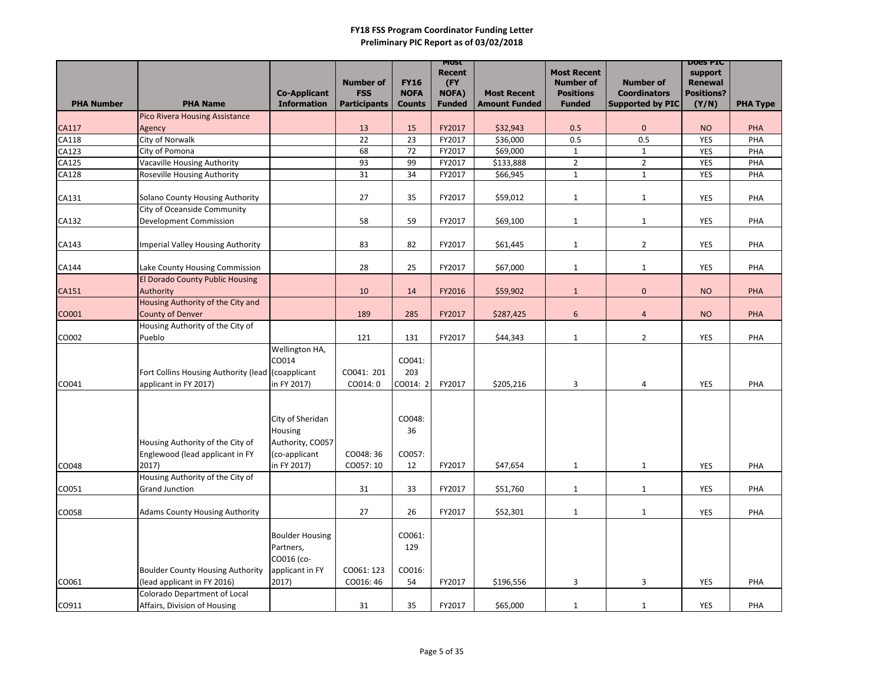|                   |                                                       |                        |                     |               | MOST                 |                      | <b>Most Recent</b> |                         | <b>DOES PIC</b>           |                 |
|-------------------|-------------------------------------------------------|------------------------|---------------------|---------------|----------------------|----------------------|--------------------|-------------------------|---------------------------|-----------------|
|                   |                                                       |                        | <b>Number of</b>    | <b>FY16</b>   | <b>Recent</b><br>(FY |                      | <b>Number of</b>   | <b>Number of</b>        | support<br><b>Renewal</b> |                 |
|                   |                                                       | <b>Co-Applicant</b>    | <b>FSS</b>          | <b>NOFA</b>   | <b>NOFA)</b>         | <b>Most Recent</b>   | <b>Positions</b>   | <b>Coordinators</b>     | <b>Positions?</b>         |                 |
| <b>PHA Number</b> | <b>PHA Name</b>                                       | <b>Information</b>     | <b>Participants</b> | <b>Counts</b> | <b>Funded</b>        | <b>Amount Funded</b> | <b>Funded</b>      | <b>Supported by PIC</b> | (Y/N)                     | <b>PHA Type</b> |
|                   | <b>Pico Rivera Housing Assistance</b>                 |                        |                     |               |                      |                      |                    |                         |                           |                 |
| <b>CA117</b>      | Agency                                                |                        | 13                  | 15            | FY2017               | \$32,943             | 0.5                | $\pmb{0}$               | <b>NO</b>                 | PHA             |
| CA118             | City of Norwalk                                       |                        | 22                  | 23            | FY2017               | \$36,000             | 0.5                | 0.5                     | <b>YES</b>                | PHA             |
| CA123             | City of Pomona                                        |                        | 68                  | 72            | FY2017               | \$69,000             | $\mathbf{1}$       | $\mathbf{1}$            | <b>YES</b>                | PHA             |
| CA125             | Vacaville Housing Authority                           |                        | 93                  | 99            | FY2017               | \$133,888            | $2^{\circ}$        | $\overline{2}$          | <b>YES</b>                | PHA             |
| <b>CA128</b>      | <b>Roseville Housing Authority</b>                    |                        | 31                  | 34            | FY2017               | \$66,945             | $\mathbf{1}$       | $\mathbf{1}$            | <b>YES</b>                | PHA             |
|                   |                                                       |                        |                     |               |                      |                      |                    |                         |                           |                 |
| CA131             | Solano County Housing Authority                       |                        | 27                  | 35            | FY2017               | \$59,012             | $\mathbf{1}$       | $\mathbf{1}$            | <b>YES</b>                | PHA             |
|                   | City of Oceanside Community<br>Development Commission |                        | 58                  | 59            | FY2017               | \$69,100             |                    |                         |                           | PHA             |
| CA132             |                                                       |                        |                     |               |                      |                      | $\mathbf{1}$       | $\mathbf{1}$            | <b>YES</b>                |                 |
| CA143             | Imperial Valley Housing Authority                     |                        | 83                  | 82            | FY2017               | \$61,445             | $\mathbf{1}$       | $\overline{2}$          | <b>YES</b>                | PHA             |
|                   |                                                       |                        |                     |               |                      |                      |                    |                         |                           |                 |
| CA144             | Lake County Housing Commission                        |                        | 28                  | 25            | FY2017               | \$67,000             | $\mathbf{1}$       | $\mathbf{1}$            | <b>YES</b>                | PHA             |
|                   | <b>El Dorado County Public Housing</b>                |                        |                     |               |                      |                      |                    |                         |                           |                 |
| CA151             | Authority                                             |                        | 10                  | 14            | FY2016               | \$59,902             | $\mathbf{1}$       | $\pmb{0}$               | <b>NO</b>                 | PHA             |
|                   | Housing Authority of the City and                     |                        |                     |               |                      |                      |                    |                         |                           |                 |
| CO001             | <b>County of Denver</b>                               |                        | 189                 | 285           | FY2017               | \$287,425            | 6                  | 4                       | <b>NO</b>                 | PHA             |
|                   | Housing Authority of the City of                      |                        |                     |               |                      |                      |                    |                         |                           |                 |
| CO002             | Pueblo                                                |                        | 121                 | 131           | FY2017               | \$44,343             | $\mathbf{1}$       | $\overline{2}$          | <b>YES</b>                | PHA             |
|                   |                                                       | Wellington HA,         |                     |               |                      |                      |                    |                         |                           |                 |
|                   |                                                       | CO014                  |                     | CO041:        |                      |                      |                    |                         |                           |                 |
|                   | Fort Collins Housing Authority (lead (coapplicant     |                        | CO041: 201          | 203           |                      |                      |                    |                         |                           |                 |
| CO041             | applicant in FY 2017)                                 | in FY 2017)            | CO014: 0            | CO014: 2      | FY2017               | \$205,216            | 3                  | 4                       | <b>YES</b>                | PHA             |
|                   |                                                       |                        |                     |               |                      |                      |                    |                         |                           |                 |
|                   |                                                       |                        |                     |               |                      |                      |                    |                         |                           |                 |
|                   |                                                       | City of Sheridan       |                     | CO048:        |                      |                      |                    |                         |                           |                 |
|                   |                                                       | Housing                |                     | 36            |                      |                      |                    |                         |                           |                 |
|                   | Housing Authority of the City of                      | Authority, CO057       |                     |               |                      |                      |                    |                         |                           |                 |
|                   | Englewood (lead applicant in FY                       | (co-applicant          | CO048: 36           | CO057:        |                      |                      |                    |                         |                           |                 |
| CO048             | 2017)<br>Housing Authority of the City of             | in FY 2017)            | CO057: 10           | 12            | FY2017               | \$47,654             | $\mathbf{1}$       | $\mathbf{1}$            | YES                       | PHA             |
| CO051             | <b>Grand Junction</b>                                 |                        | 31                  | 33            | FY2017               | \$51,760             | $\mathbf{1}$       | $\mathbf{1}$            | YES                       | PHA             |
|                   |                                                       |                        |                     |               |                      |                      |                    |                         |                           |                 |
| CO058             | <b>Adams County Housing Authority</b>                 |                        | 27                  | 26            | FY2017               | \$52,301             | $\mathbf{1}$       | $\mathbf{1}$            | <b>YES</b>                | PHA             |
|                   |                                                       |                        |                     |               |                      |                      |                    |                         |                           |                 |
|                   |                                                       | <b>Boulder Housing</b> |                     | CO061:        |                      |                      |                    |                         |                           |                 |
|                   |                                                       | Partners,              |                     | 129           |                      |                      |                    |                         |                           |                 |
|                   |                                                       | CO016 (co-             |                     |               |                      |                      |                    |                         |                           |                 |
|                   | <b>Boulder County Housing Authority</b>               | applicant in FY        | CO061: 123          | CO016:        |                      |                      |                    |                         |                           |                 |
| CO061             | (lead applicant in FY 2016)                           | 2017)                  | CO016: 46           | 54            | FY2017               | \$196,556            | 3                  | 3                       | <b>YES</b>                | PHA             |
|                   | Colorado Department of Local                          |                        |                     |               |                      |                      |                    |                         |                           |                 |
| CO911             | Affairs, Division of Housing                          |                        | 31                  | 35            | FY2017               | \$65,000             | $\mathbf{1}$       | $\mathbf{1}$            | <b>YES</b>                | PHA             |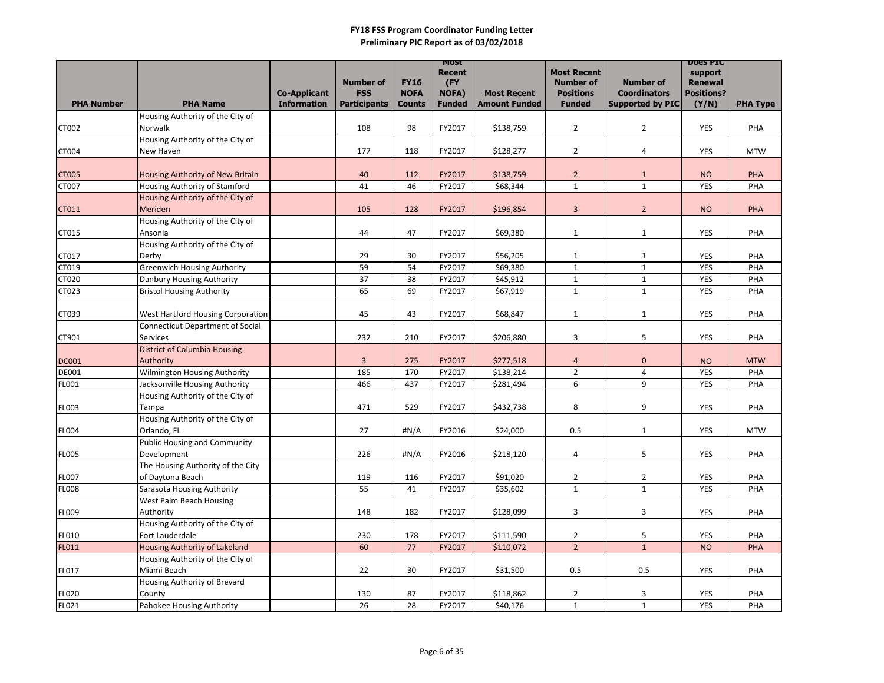| <b>Most Recent</b><br>Recent<br>support<br><b>FY16</b><br><b>Number of</b><br><b>Number of</b><br>(FY)<br><b>Number of</b><br><b>Renewal</b><br><b>FSS</b><br>NOFA)<br><b>Positions</b><br><b>Positions?</b><br><b>NOFA</b><br><b>Co-Applicant</b><br><b>Most Recent</b><br><b>Coordinators</b><br><b>Participants</b><br><b>PHA Name</b><br><b>Information</b><br><b>Amount Funded</b><br><b>Funded</b><br><b>Supported by PIC</b><br>(Y/N)<br><b>PHA Number</b><br><b>Funded</b><br><b>Counts</b><br>Housing Authority of the City of<br>98<br>FY2017<br>\$138,759<br>$\overline{2}$<br>$\overline{2}$<br>CT002<br>Norwalk<br>108<br><b>YES</b><br>Housing Authority of the City of | <b>PHA Type</b><br>PHA<br><b>MTW</b><br>PHA |
|---------------------------------------------------------------------------------------------------------------------------------------------------------------------------------------------------------------------------------------------------------------------------------------------------------------------------------------------------------------------------------------------------------------------------------------------------------------------------------------------------------------------------------------------------------------------------------------------------------------------------------------------------------------------------------------|---------------------------------------------|
|                                                                                                                                                                                                                                                                                                                                                                                                                                                                                                                                                                                                                                                                                       |                                             |
|                                                                                                                                                                                                                                                                                                                                                                                                                                                                                                                                                                                                                                                                                       |                                             |
|                                                                                                                                                                                                                                                                                                                                                                                                                                                                                                                                                                                                                                                                                       |                                             |
|                                                                                                                                                                                                                                                                                                                                                                                                                                                                                                                                                                                                                                                                                       |                                             |
|                                                                                                                                                                                                                                                                                                                                                                                                                                                                                                                                                                                                                                                                                       |                                             |
| FY2017<br>\$128,277<br>$\overline{2}$<br>New Haven<br>177<br>118<br>CT004<br>4<br><b>YES</b>                                                                                                                                                                                                                                                                                                                                                                                                                                                                                                                                                                                          |                                             |
|                                                                                                                                                                                                                                                                                                                                                                                                                                                                                                                                                                                                                                                                                       |                                             |
| \$138,759<br><b>CT005</b><br>40<br>112<br>FY2017<br>$\overline{2}$<br><b>NO</b><br>Housing Authority of New Britain<br>1                                                                                                                                                                                                                                                                                                                                                                                                                                                                                                                                                              |                                             |
| 41<br>46<br>$\mathbf{1}$<br><b>CT007</b><br>Housing Authority of Stamford<br>FY2017<br>\$68,344<br>$\mathbf{1}$<br><b>YES</b>                                                                                                                                                                                                                                                                                                                                                                                                                                                                                                                                                         | PHA                                         |
| Housing Authority of the City of                                                                                                                                                                                                                                                                                                                                                                                                                                                                                                                                                                                                                                                      |                                             |
| Meriden<br>\$196,854<br>CT011<br>105<br>128<br>FY2017<br>3<br>$\overline{2}$<br><b>NO</b>                                                                                                                                                                                                                                                                                                                                                                                                                                                                                                                                                                                             | PHA                                         |
| Housing Authority of the City of                                                                                                                                                                                                                                                                                                                                                                                                                                                                                                                                                                                                                                                      |                                             |
| 47<br>44<br>FY2017<br>\$69,380<br><b>YES</b><br>CT015<br>Ansonia<br>$\mathbf{1}$<br>$\mathbf{1}$                                                                                                                                                                                                                                                                                                                                                                                                                                                                                                                                                                                      | PHA                                         |
| Housing Authority of the City of                                                                                                                                                                                                                                                                                                                                                                                                                                                                                                                                                                                                                                                      |                                             |
| 30<br>FY2017<br>29<br>\$56,205<br><b>YES</b><br>CT017<br>Derby<br>$\mathbf{1}$<br>$\mathbf{1}$<br>CT019<br><b>Greenwich Housing Authority</b><br>59<br>54<br>FY2017<br><b>YES</b>                                                                                                                                                                                                                                                                                                                                                                                                                                                                                                     | PHA<br>PHA                                  |
| \$69,380<br>$\mathbf{1}$<br>$\mathbf{1}$<br>CT020<br>37<br>38<br>FY2017<br>\$45,912<br><b>YES</b><br>Danbury Housing Authority<br>$\mathbf{1}$<br>$\mathbf{1}$                                                                                                                                                                                                                                                                                                                                                                                                                                                                                                                        | PHA                                         |
| 65<br><b>Bristol Housing Authority</b><br>69<br>\$67,919<br>$\mathbf{1}$<br>$\mathbf{1}$<br>CT023<br>FY2017<br><b>YES</b>                                                                                                                                                                                                                                                                                                                                                                                                                                                                                                                                                             | PHA                                         |
|                                                                                                                                                                                                                                                                                                                                                                                                                                                                                                                                                                                                                                                                                       |                                             |
| 43<br>\$68,847<br><b>YES</b><br>CT039<br>West Hartford Housing Corporation<br>45<br>FY2017<br>$\mathbf{1}$<br>$\mathbf{1}$                                                                                                                                                                                                                                                                                                                                                                                                                                                                                                                                                            | PHA                                         |
| <b>Connecticut Department of Social</b>                                                                                                                                                                                                                                                                                                                                                                                                                                                                                                                                                                                                                                               |                                             |
| 232<br>210<br>FY2017<br>$\mathsf{3}$<br>5<br>\$206,880<br><b>YES</b><br>CT901<br>Services                                                                                                                                                                                                                                                                                                                                                                                                                                                                                                                                                                                             | PHA                                         |
| <b>District of Columbia Housing</b>                                                                                                                                                                                                                                                                                                                                                                                                                                                                                                                                                                                                                                                   |                                             |
| 3<br>275<br>FY2017<br>\$277,518<br>$\mathbf 0$<br>Authority<br><b>NO</b><br><b>DC001</b><br>$\overline{a}$                                                                                                                                                                                                                                                                                                                                                                                                                                                                                                                                                                            | <b>MTW</b>                                  |
| 185<br>$\overline{2}$<br><b>DE001</b><br><b>Wilmington Housing Authority</b><br>170<br>FY2017<br>\$138,214<br>4<br><b>YES</b>                                                                                                                                                                                                                                                                                                                                                                                                                                                                                                                                                         | PHA                                         |
| 466<br>6<br>FL001<br>Jacksonville Housing Authority<br>437<br>\$281,494<br>9<br><b>YES</b><br>FY2017                                                                                                                                                                                                                                                                                                                                                                                                                                                                                                                                                                                  | PHA                                         |
| Housing Authority of the City of                                                                                                                                                                                                                                                                                                                                                                                                                                                                                                                                                                                                                                                      |                                             |
| \$432,738<br>8<br>471<br>529<br>FY2017<br>9<br><b>YES</b><br><b>FL003</b><br>Tampa<br>Housing Authority of the City of                                                                                                                                                                                                                                                                                                                                                                                                                                                                                                                                                                | PHA                                         |
| $\sharp N/A$<br>27<br>FY2016<br>\$24,000<br>0.5<br><b>FL004</b><br>Orlando, FL<br>YES<br>$\mathbf{1}$                                                                                                                                                                                                                                                                                                                                                                                                                                                                                                                                                                                 | <b>MTW</b>                                  |
| <b>Public Housing and Community</b>                                                                                                                                                                                                                                                                                                                                                                                                                                                                                                                                                                                                                                                   |                                             |
| <b>FL005</b><br>226<br>#N/A<br>FY2016<br>5<br><b>YES</b><br>Development<br>\$218,120<br>4                                                                                                                                                                                                                                                                                                                                                                                                                                                                                                                                                                                             | PHA                                         |
| The Housing Authority of the City                                                                                                                                                                                                                                                                                                                                                                                                                                                                                                                                                                                                                                                     |                                             |
| FY2017<br>\$91,020<br>$\overline{2}$<br>$\overline{2}$<br><b>FL007</b><br>of Daytona Beach<br>119<br>116<br><b>YES</b>                                                                                                                                                                                                                                                                                                                                                                                                                                                                                                                                                                | <b>PHA</b>                                  |
| $\mathbf{1}$<br>$\mathbf{1}$<br><b>FL008</b><br>Sarasota Housing Authority<br>55<br>41<br>FY2017<br>\$35,602<br>YES                                                                                                                                                                                                                                                                                                                                                                                                                                                                                                                                                                   | PHA                                         |
| West Palm Beach Housing                                                                                                                                                                                                                                                                                                                                                                                                                                                                                                                                                                                                                                                               |                                             |
| 182<br>FY2017<br>3<br>$\mathbf{3}$<br>Authority<br>148<br>\$128,099<br>FL009<br>YES                                                                                                                                                                                                                                                                                                                                                                                                                                                                                                                                                                                                   | PHA                                         |
| Housing Authority of the City of                                                                                                                                                                                                                                                                                                                                                                                                                                                                                                                                                                                                                                                      |                                             |
| FY2017<br>5<br><b>FL010</b><br>Fort Lauderdale<br>230<br>178<br>\$111,590<br>$\overline{2}$<br><b>YES</b>                                                                                                                                                                                                                                                                                                                                                                                                                                                                                                                                                                             | PHA                                         |
| <b>FL011</b><br>2 <sup>1</sup><br>Housing Authority of Lakeland<br>60<br>77<br>FY2017<br>\$110,072<br>$\mathbf{1}$<br><b>NO</b><br>Housing Authority of the City of                                                                                                                                                                                                                                                                                                                                                                                                                                                                                                                   | <b>PHA</b>                                  |
| Miami Beach<br>30<br><b>FL017</b><br>22<br>FY2017<br>\$31,500<br>0.5<br>0.5<br><b>YES</b>                                                                                                                                                                                                                                                                                                                                                                                                                                                                                                                                                                                             | PHA                                         |
| Housing Authority of Brevard                                                                                                                                                                                                                                                                                                                                                                                                                                                                                                                                                                                                                                                          |                                             |
| <b>FL020</b><br>87<br><b>YES</b><br>130<br>FY2017<br>\$118,862<br>$\overline{2}$<br>3<br>County                                                                                                                                                                                                                                                                                                                                                                                                                                                                                                                                                                                       | PHA                                         |
| FLO21<br>26<br>Pahokee Housing Authority<br>28<br>\$40,176<br>$\mathbf{1}$<br>FY2017<br>$\mathbf{1}$<br>YES                                                                                                                                                                                                                                                                                                                                                                                                                                                                                                                                                                           | PHA                                         |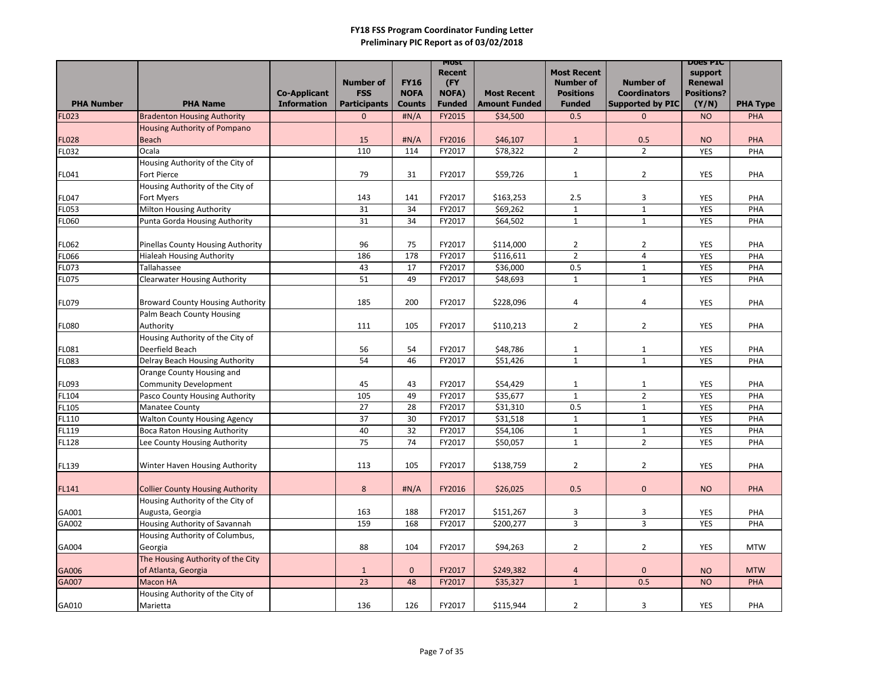|                       |                                              | <b>Co-Applicant</b> | <b>Number of</b><br><b>FSS</b> | <b>FY16</b><br><b>NOFA</b> | <b>MOST</b><br><b>Recent</b><br>(FY<br><b>NOFA)</b> | <b>Most Recent</b>   | <b>Most Recent</b><br><b>Number of</b><br><b>Positions</b> | <b>Number of</b><br><b>Coordinators</b> | <b>DOGS PIC</b><br>support<br><b>Renewal</b><br><b>Positions?</b> |                 |
|-----------------------|----------------------------------------------|---------------------|--------------------------------|----------------------------|-----------------------------------------------------|----------------------|------------------------------------------------------------|-----------------------------------------|-------------------------------------------------------------------|-----------------|
| <b>PHA Number</b>     | <b>PHA Name</b>                              | <b>Information</b>  | <b>Participants</b>            | <b>Counts</b>              | <b>Funded</b>                                       | <b>Amount Funded</b> | <b>Funded</b>                                              | <b>Supported by PIC</b>                 | (Y/N)                                                             | <b>PHA Type</b> |
| FL023                 | <b>Bradenton Housing Authority</b>           |                     | $\mathbf{0}$                   | H N/A                      | FY2015                                              | \$34,500             | 0.5                                                        | $\mathbf{0}$                            | <b>NO</b>                                                         | PHA             |
|                       | Housing Authority of Pompano<br><b>Beach</b> |                     | 15                             | H N/A                      | FY2016                                              | \$46,107             | $\mathbf{1}$                                               | 0.5                                     | <b>NO</b>                                                         | PHA             |
| <b>FL028</b><br>FL032 | Ocala                                        |                     | 110                            | 114                        | FY2017                                              | \$78,322             | $\overline{2}$                                             | $\overline{2}$                          | <b>YES</b>                                                        |                 |
|                       | Housing Authority of the City of             |                     |                                |                            |                                                     |                      |                                                            |                                         |                                                                   | PHA             |
| FL041                 | Fort Pierce                                  |                     | 79                             | 31                         | FY2017                                              | \$59,726             | $\mathbf{1}$                                               | $\overline{2}$                          | <b>YES</b>                                                        | PHA             |
|                       | Housing Authority of the City of             |                     |                                |                            |                                                     |                      |                                                            |                                         |                                                                   |                 |
| FL047                 | Fort Myers                                   |                     | 143                            | 141                        | FY2017                                              | \$163,253            | 2.5                                                        | 3                                       | <b>YES</b>                                                        | PHA             |
| FL053                 | Milton Housing Authority                     |                     | 31                             | 34                         | FY2017                                              | \$69,262             | $\mathbf{1}$                                               | $\mathbf{1}$                            | <b>YES</b>                                                        | PHA             |
| FL060                 | Punta Gorda Housing Authority                |                     | 31                             | 34                         | FY2017                                              | \$64,502             | $\mathbf{1}$                                               | $\mathbf{1}$                            | <b>YES</b>                                                        | PHA             |
|                       |                                              |                     |                                |                            |                                                     |                      |                                                            |                                         |                                                                   |                 |
| FL062                 | Pinellas County Housing Authority            |                     | 96                             | 75                         | FY2017                                              | \$114,000            | $\overline{2}$                                             | $\overline{2}$                          | <b>YES</b>                                                        | PHA             |
| FL066                 | <b>Hialeah Housing Authority</b>             |                     | 186                            | 178                        | FY2017                                              | \$116,611            | $2^{\circ}$                                                | 4                                       | <b>YES</b>                                                        | PHA             |
| FL073                 | Tallahassee                                  |                     | 43                             | 17                         | FY2017                                              | \$36,000             | 0.5                                                        | $\mathbf{1}$                            | <b>YES</b>                                                        | PHA             |
| FL075                 | <b>Clearwater Housing Authority</b>          |                     | 51                             | 49                         | FY2017                                              | \$48,693             | $\mathbf{1}$                                               | $\mathbf{1}$                            | <b>YES</b>                                                        | PHA             |
|                       |                                              |                     |                                |                            |                                                     |                      |                                                            |                                         |                                                                   |                 |
| FL079                 | <b>Broward County Housing Authority</b>      |                     | 185                            | 200                        | FY2017                                              | \$228,096            | 4                                                          | 4                                       | <b>YES</b>                                                        | PHA             |
|                       | Palm Beach County Housing                    |                     |                                |                            |                                                     |                      |                                                            |                                         |                                                                   |                 |
| <b>FL080</b>          | Authority                                    |                     | 111                            | 105                        | FY2017                                              | \$110,213            | $\overline{2}$                                             | $\overline{2}$                          | YES                                                               | PHA             |
|                       | Housing Authority of the City of             |                     |                                |                            |                                                     |                      |                                                            |                                         |                                                                   |                 |
| FL081                 | Deerfield Beach                              |                     | 56                             | 54                         | FY2017                                              | \$48,786             | $\mathbf{1}$                                               | $\mathbf{1}$                            | <b>YES</b>                                                        | PHA             |
| FL083                 | Delray Beach Housing Authority               |                     | 54                             | 46                         | FY2017                                              | \$51,426             | $\mathbf{1}$                                               | $\mathbf{1}$                            | <b>YES</b>                                                        | PHA             |
|                       | Orange County Housing and                    |                     |                                |                            |                                                     |                      |                                                            |                                         |                                                                   |                 |
| FL093                 | <b>Community Development</b>                 |                     | 45                             | 43                         | FY2017                                              | \$54,429             | 1                                                          | $\mathbf{1}$                            | <b>YES</b>                                                        | PHA             |
| FL104                 | Pasco County Housing Authority               |                     | 105                            | 49                         | FY2017                                              | \$35,677             | $\mathbf{1}$                                               | $2^{\circ}$                             | <b>YES</b>                                                        | PHA             |
| FL105                 | <b>Manatee County</b>                        |                     | 27                             | 28                         | FY2017                                              | \$31,310             | 0.5                                                        | $\mathbf{1}$                            | <b>YES</b>                                                        | PHA             |
| FL110                 | <b>Walton County Housing Agency</b>          |                     | 37                             | 30                         | FY2017                                              | \$31,518             | $\mathbf{1}$                                               | $\mathbf{1}$                            | <b>YES</b>                                                        | PHA             |
| FL119                 | <b>Boca Raton Housing Authority</b>          |                     | 40                             | 32                         | FY2017                                              | \$54,106             | 1                                                          | $\mathbf{1}$                            | <b>YES</b>                                                        | PHA             |
| <b>FL128</b>          | Lee County Housing Authority                 |                     | 75                             | 74                         | FY2017                                              | \$50,057             | $\mathbf{1}$                                               | $2^{\circ}$                             | <b>YES</b>                                                        | PHA             |
|                       |                                              |                     |                                |                            |                                                     |                      |                                                            |                                         |                                                                   |                 |
| FL139                 | Winter Haven Housing Authority               |                     | 113                            | 105                        | FY2017                                              | \$138,759            | $\overline{2}$                                             | $\overline{2}$                          | YES                                                               | PHA             |
|                       |                                              |                     |                                |                            |                                                     |                      |                                                            |                                         |                                                                   |                 |
| FL141                 | <b>Collier County Housing Authority</b>      |                     | 8                              | $\sharp N/A$               | FY2016                                              | \$26,025             | 0.5                                                        | $\mathbf{0}$                            | <b>NO</b>                                                         | <b>PHA</b>      |
|                       | Housing Authority of the City of             |                     |                                |                            |                                                     |                      |                                                            |                                         |                                                                   |                 |
| GA001                 | Augusta, Georgia                             |                     | 163                            | 188                        | FY2017                                              | \$151,267            | 3                                                          | 3                                       | <b>YES</b>                                                        | PHA             |
| GA002                 | Housing Authority of Savannah                |                     | 159                            | 168                        | FY2017                                              | \$200,277            | 3 <sup>1</sup>                                             | $\mathbf{3}$                            | <b>YES</b>                                                        | PHA             |
|                       | Housing Authority of Columbus,               |                     |                                |                            |                                                     |                      |                                                            |                                         |                                                                   |                 |
| GA004                 | Georgia                                      |                     | 88                             | 104                        | FY2017                                              | \$94,263             | $\overline{2}$                                             | $\overline{2}$                          | YES                                                               | <b>MTW</b>      |
|                       | The Housing Authority of the City            |                     |                                |                            |                                                     |                      |                                                            |                                         |                                                                   |                 |
| GA006                 | of Atlanta, Georgia                          |                     | $\mathbf{1}$                   | $\mathbf{0}$               | FY2017                                              | \$249,382            | 4                                                          | $\mathbf{0}$                            | <b>NO</b>                                                         | <b>MTW</b>      |
| GA007                 | <b>Macon HA</b>                              |                     | 23                             | 48                         | FY2017                                              | \$35,327             | $\mathbf{1}$                                               | 0.5                                     | <b>NO</b>                                                         | <b>PHA</b>      |
|                       | Housing Authority of the City of             |                     |                                |                            |                                                     |                      |                                                            |                                         |                                                                   |                 |
| GA010                 | Marietta                                     |                     | 136                            | 126                        | FY2017                                              | \$115,944            | $\overline{2}$                                             | 3                                       | YES                                                               | PHA             |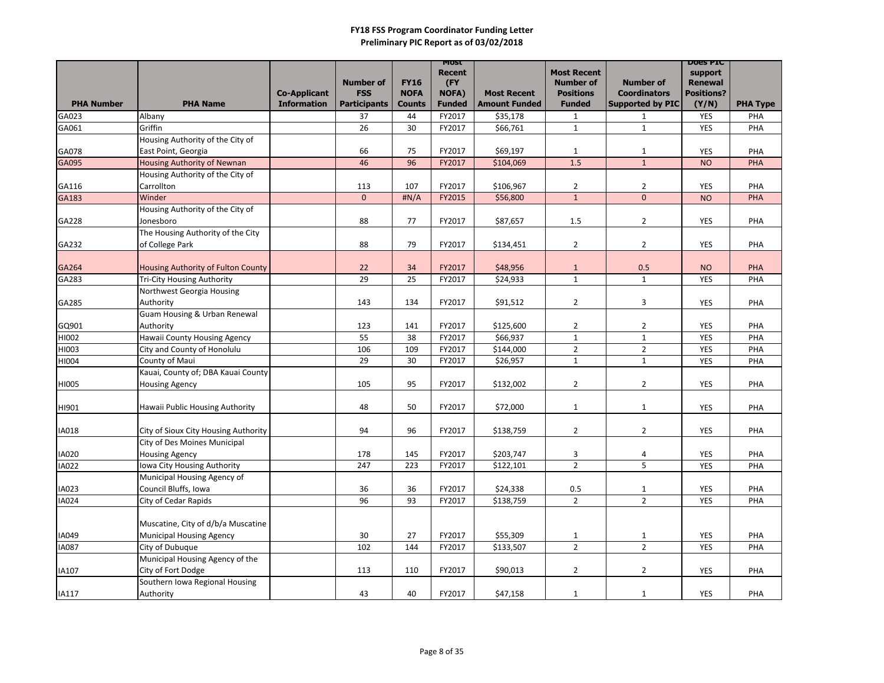|                   |                                                                | <b>Co-Applicant</b> | <b>Number of</b><br><b>FSS</b> | <b>FY16</b><br><b>NOFA</b> | <b>MOST</b><br><b>Recent</b><br>(FY<br><b>NOFA)</b> | <b>Most Recent</b>   | <b>Most Recent</b><br><b>Number of</b><br><b>Positions</b> | <b>Number of</b><br><b>Coordinators</b> | <b>DOGS PIC</b><br>support<br><b>Renewal</b><br><b>Positions?</b> |                 |
|-------------------|----------------------------------------------------------------|---------------------|--------------------------------|----------------------------|-----------------------------------------------------|----------------------|------------------------------------------------------------|-----------------------------------------|-------------------------------------------------------------------|-----------------|
| <b>PHA Number</b> | <b>PHA Name</b>                                                | <b>Information</b>  | <b>Participants</b>            | <b>Counts</b>              | <b>Funded</b>                                       | <b>Amount Funded</b> | <b>Funded</b>                                              | <b>Supported by PIC</b>                 | (Y/N)                                                             | <b>PHA Type</b> |
| GA023             | Albany                                                         |                     | 37                             | 44                         | FY2017                                              | \$35,178             | $\mathbf{1}$                                               | $\mathbf{1}$                            | <b>YES</b>                                                        | PHA             |
| GA061             | Griffin                                                        |                     | 26                             | 30                         | FY2017                                              | \$66,761             | $\mathbf{1}$                                               | $\mathbf{1}$                            | <b>YES</b>                                                        | PHA             |
|                   | Housing Authority of the City of                               |                     |                                |                            |                                                     |                      |                                                            |                                         |                                                                   |                 |
| GA078             | East Point, Georgia                                            |                     | 66                             | 75                         | FY2017                                              | \$69,197             | $\mathbf{1}$                                               | $\mathbf{1}$                            | <b>YES</b>                                                        | PHA             |
| GA095             | <b>Housing Authority of Newnan</b>                             |                     | 46                             | 96                         | FY2017                                              | \$104,069            | 1.5                                                        | $\mathbf{1}$                            | <b>NO</b>                                                         | PHA             |
|                   | Housing Authority of the City of                               |                     |                                |                            |                                                     |                      |                                                            |                                         |                                                                   |                 |
| GA116             | Carrollton                                                     |                     | 113                            | 107                        | FY2017                                              | \$106,967            | $\overline{2}$                                             | $\overline{2}$                          | <b>YES</b>                                                        | PHA             |
| GA183             | Winder                                                         |                     | $\mathbf{0}$                   | H N/A                      | FY2015                                              | \$56,800             | $\mathbf{1}$                                               | $\overline{0}$                          | <b>NO</b>                                                         | <b>PHA</b>      |
|                   | Housing Authority of the City of                               |                     |                                |                            |                                                     |                      |                                                            |                                         |                                                                   |                 |
| GA228             | Jonesboro                                                      |                     | 88                             | 77                         | FY2017                                              | \$87,657             | 1.5                                                        | $\overline{2}$                          | <b>YES</b>                                                        | PHA             |
|                   | The Housing Authority of the City                              |                     |                                |                            |                                                     |                      |                                                            |                                         |                                                                   |                 |
| GA232             | of College Park                                                |                     | 88                             | 79                         | FY2017                                              | \$134,451            | $\overline{2}$                                             | $\overline{2}$                          | <b>YES</b>                                                        | PHA             |
| GA264             |                                                                |                     | 22                             | 34                         | FY2017                                              | \$48,956             |                                                            | 0.5                                     | <b>NO</b>                                                         | <b>PHA</b>      |
| GA283             | Housing Authority of Fulton County                             |                     | 29                             | 25                         | FY2017                                              |                      | $\mathbf{1}$<br>$\mathbf{1}$                               |                                         | <b>YES</b>                                                        | PHA             |
|                   | <b>Tri-City Housing Authority</b><br>Northwest Georgia Housing |                     |                                |                            |                                                     | \$24,933             |                                                            | $\mathbf{1}$                            |                                                                   |                 |
| GA285             | Authority                                                      |                     | 143                            | 134                        | FY2017                                              | \$91,512             | $\overline{2}$                                             | 3                                       | <b>YES</b>                                                        | PHA             |
|                   | Guam Housing & Urban Renewal                                   |                     |                                |                            |                                                     |                      |                                                            |                                         |                                                                   |                 |
| GQ901             | Authority                                                      |                     | 123                            | 141                        | FY2017                                              | \$125,600            | $\overline{2}$                                             | $\overline{2}$                          | <b>YES</b>                                                        | PHA             |
| HI002             | Hawaii County Housing Agency                                   |                     | 55                             | 38                         | FY2017                                              | \$66,937             | $\mathbf{1}$                                               | $\mathbf{1}$                            | <b>YES</b>                                                        | PHA             |
| HI003             | City and County of Honolulu                                    |                     | 106                            | 109                        | FY2017                                              | \$144,000            | $\overline{2}$                                             | $\overline{2}$                          | <b>YES</b>                                                        | PHA             |
| HI004             | County of Maui                                                 |                     | 29                             | 30                         | FY2017                                              | \$26,957             | $\mathbf{1}$                                               | $\mathbf{1}$                            | <b>YES</b>                                                        | PHA             |
|                   | Kauai, County of; DBA Kauai County                             |                     |                                |                            |                                                     |                      |                                                            |                                         |                                                                   |                 |
| HI005             | <b>Housing Agency</b>                                          |                     | 105                            | 95                         | FY2017                                              | \$132,002            | $\overline{2}$                                             | $\overline{2}$                          | <b>YES</b>                                                        | PHA             |
|                   |                                                                |                     |                                |                            |                                                     |                      |                                                            |                                         |                                                                   |                 |
| H1901             | Hawaii Public Housing Authority                                |                     | 48                             | 50                         | FY2017                                              | \$72,000             | $\mathbf{1}$                                               | $\mathbf{1}$                            | <b>YES</b>                                                        | PHA             |
|                   |                                                                |                     |                                |                            |                                                     |                      |                                                            |                                         |                                                                   |                 |
| <b>IA018</b>      | City of Sioux City Housing Authority                           |                     | 94                             | 96                         | FY2017                                              | \$138,759            | $\overline{2}$                                             | $\overline{2}$                          | <b>YES</b>                                                        | PHA             |
|                   | City of Des Moines Municipal                                   |                     |                                |                            |                                                     |                      |                                                            |                                         |                                                                   |                 |
| <b>IA020</b>      | Housing Agency                                                 |                     | 178                            | 145                        | FY2017                                              | \$203,747            | 3                                                          | 4                                       | <b>YES</b>                                                        | PHA             |
| IA022             | Iowa City Housing Authority                                    |                     | 247                            | 223                        | FY2017                                              | \$122,101            | $2^{\circ}$                                                | 5 <sup>1</sup>                          | <b>YES</b>                                                        | PHA             |
|                   | Municipal Housing Agency of                                    |                     |                                |                            |                                                     |                      |                                                            |                                         |                                                                   |                 |
| IA023             | Council Bluffs, Iowa                                           |                     | 36                             | 36                         | FY2017                                              | \$24,338             | 0.5                                                        | $\mathbf{1}$                            | <b>YES</b>                                                        | PHA             |
| IA024             | City of Cedar Rapids                                           |                     | 96                             | 93                         | FY2017                                              | \$138,759            | $2^{\circ}$                                                | $2^{\circ}$                             | <b>YES</b>                                                        | PHA             |
|                   |                                                                |                     |                                |                            |                                                     |                      |                                                            |                                         |                                                                   |                 |
|                   | Muscatine, City of d/b/a Muscatine                             |                     |                                |                            |                                                     |                      |                                                            |                                         |                                                                   |                 |
| IA049             | <b>Municipal Housing Agency</b>                                |                     | 30                             | 27                         | FY2017                                              | \$55,309             | $\mathbf{1}$                                               | $\mathbf{1}$                            | YES                                                               | PHA             |
| <b>IA087</b>      | City of Dubuque                                                |                     | 102                            | 144                        | FY2017                                              | \$133,507            | $2^{\circ}$                                                | $2^{\circ}$                             | YES                                                               | PHA             |
|                   | Municipal Housing Agency of the                                |                     |                                |                            |                                                     |                      |                                                            |                                         |                                                                   |                 |
| IA107             | City of Fort Dodge                                             |                     | 113                            | 110                        | FY2017                                              | \$90,013             | $\overline{2}$                                             | $\overline{2}$                          | <b>YES</b>                                                        | PHA             |
|                   | Southern Iowa Regional Housing                                 |                     |                                |                            |                                                     |                      |                                                            |                                         |                                                                   |                 |
| IA117             | Authority                                                      |                     | 43                             | 40                         | FY2017                                              | \$47,158             | $\mathbf{1}$                                               | $\mathbf{1}$                            | YES                                                               | PHA             |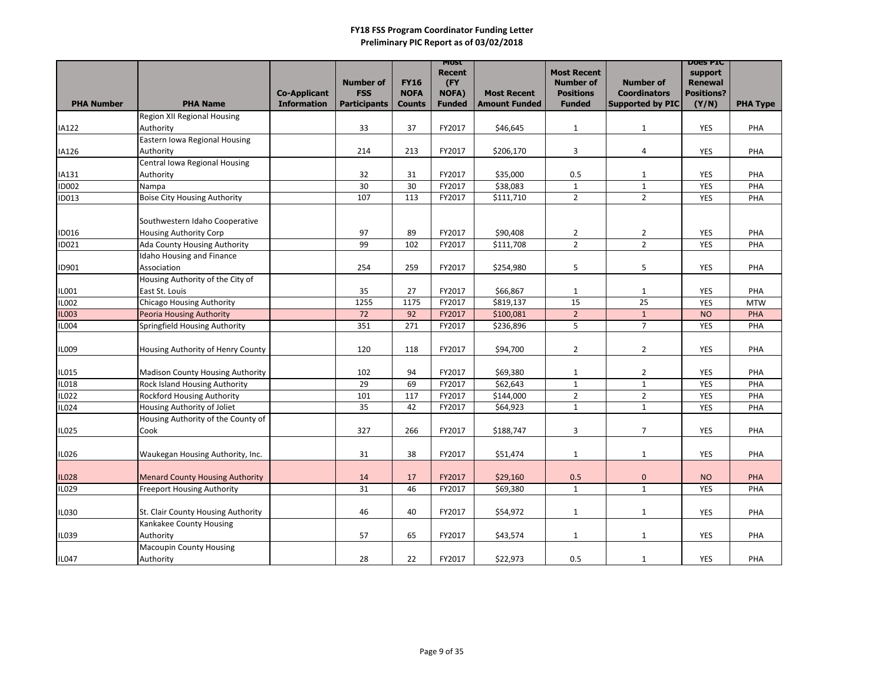|                              |                                                                   |                                           |                                |                              | MOST                   |                                            |                                   |                                                | <b>DOGS PIC</b>                     |                 |
|------------------------------|-------------------------------------------------------------------|-------------------------------------------|--------------------------------|------------------------------|------------------------|--------------------------------------------|-----------------------------------|------------------------------------------------|-------------------------------------|-----------------|
|                              |                                                                   |                                           |                                |                              | <b>Recent</b>          |                                            | <b>Most Recent</b>                |                                                | support                             |                 |
|                              |                                                                   |                                           | <b>Number of</b><br><b>FSS</b> | <b>FY16</b>                  | (FY)                   |                                            | <b>Number of</b>                  | <b>Number of</b>                               | <b>Renewal</b><br><b>Positions?</b> |                 |
| <b>PHA Number</b>            | <b>PHA Name</b>                                                   | <b>Co-Applicant</b><br><b>Information</b> | <b>Participants</b>            | <b>NOFA</b><br><b>Counts</b> | NOFA)<br><b>Funded</b> | <b>Most Recent</b><br><b>Amount Funded</b> | <b>Positions</b><br><b>Funded</b> | <b>Coordinators</b><br><b>Supported by PIC</b> | (Y/N)                               | <b>PHA Type</b> |
|                              | <b>Region XII Regional Housing</b>                                |                                           |                                |                              |                        |                                            |                                   |                                                |                                     |                 |
| IA122                        | Authority                                                         |                                           | 33                             | 37                           | FY2017                 | \$46,645                                   | $\mathbf{1}$                      | $\mathbf{1}$                                   | <b>YES</b>                          | PHA             |
|                              | Eastern Iowa Regional Housing                                     |                                           |                                |                              |                        |                                            |                                   |                                                |                                     |                 |
| IA126                        | Authority                                                         |                                           | 214                            | 213                          | FY2017                 | \$206,170                                  | 3                                 | 4                                              | <b>YES</b>                          | PHA             |
|                              | Central Iowa Regional Housing                                     |                                           |                                |                              |                        |                                            |                                   |                                                |                                     |                 |
| IA131                        | Authority                                                         |                                           | 32                             | 31                           | FY2017                 | \$35,000                                   | 0.5                               | $\mathbf{1}$                                   | <b>YES</b>                          | PHA             |
| <b>ID002</b>                 | Nampa                                                             |                                           | 30                             | 30                           | FY2017                 | \$38,083                                   | $\mathbf 1$                       | $\mathbf 1$                                    | <b>YES</b>                          | PHA             |
| <b>ID013</b>                 | <b>Boise City Housing Authority</b>                               |                                           | 107                            | 113                          | FY2017                 | \$111,710                                  | $\overline{2}$                    | $\overline{2}$                                 | <b>YES</b>                          | PHA             |
|                              |                                                                   |                                           |                                |                              |                        |                                            |                                   |                                                |                                     |                 |
|                              | Southwestern Idaho Cooperative                                    |                                           |                                |                              |                        |                                            |                                   |                                                |                                     |                 |
| <b>ID016</b>                 | <b>Housing Authority Corp</b>                                     |                                           | 97                             | 89                           | FY2017                 | \$90,408                                   | $\overline{2}$                    | $\overline{2}$                                 | <b>YES</b>                          | PHA             |
| ID021                        | Ada County Housing Authority                                      |                                           | 99                             | 102                          | FY2017                 | \$111,708                                  | $\overline{2}$                    | $\overline{2}$                                 | <b>YES</b>                          | PHA             |
|                              | <b>Idaho Housing and Finance</b>                                  |                                           |                                |                              |                        |                                            |                                   |                                                |                                     |                 |
| ID901                        | Association                                                       |                                           | 254                            | 259                          | FY2017                 | \$254,980                                  | 5                                 | 5                                              | <b>YES</b>                          | PHA             |
|                              | Housing Authority of the City of                                  |                                           |                                |                              |                        |                                            |                                   |                                                |                                     |                 |
| <b>ILO01</b>                 | East St. Louis                                                    |                                           | 35                             | 27                           | FY2017                 | \$66,867                                   | $\mathbf{1}$                      | $\mathbf{1}$                                   | <b>YES</b>                          | PHA             |
| IL002                        | <b>Chicago Housing Authority</b>                                  |                                           | 1255                           | 1175                         | FY2017                 | \$819,137                                  | 15                                | 25                                             | <b>YES</b>                          | <b>MTW</b>      |
| <b>IL003</b>                 | <b>Peoria Housing Authority</b>                                   |                                           | 72                             | 92                           | FY2017                 | \$100,081                                  | $\overline{a}$                    | $\mathbf{1}$                                   | <b>NO</b>                           | PHA             |
| IL004                        | Springfield Housing Authority                                     |                                           | 351                            | 271                          | FY2017                 | \$236,896                                  | 5                                 | $\overline{7}$                                 | <b>YES</b>                          | PHA             |
|                              |                                                                   |                                           |                                |                              |                        |                                            |                                   |                                                |                                     |                 |
| <b>IL009</b>                 | Housing Authority of Henry County                                 |                                           | 120                            | 118                          | FY2017                 | \$94,700                                   | $\overline{2}$                    | $\overline{2}$                                 | <b>YES</b>                          | PHA             |
|                              |                                                                   |                                           |                                |                              |                        |                                            |                                   |                                                |                                     |                 |
| IL015                        | <b>Madison County Housing Authority</b>                           |                                           | 102                            | 94                           | FY2017                 | \$69,380                                   | $\mathbf{1}$                      | $\overline{2}$                                 | <b>YES</b>                          | PHA             |
| <b>IL018</b><br><b>IL022</b> | <b>Rock Island Housing Authority</b>                              |                                           | 29                             | 69                           | FY2017                 | \$62,643                                   | $\mathbf{1}$                      | $\mathbf{1}$                                   | <b>YES</b>                          | PHA             |
|                              | <b>Rockford Housing Authority</b>                                 |                                           | 101                            | 117                          | FY2017                 | \$144,000                                  | $\overline{2}$                    | $\overline{2}$                                 | <b>YES</b>                          | PHA             |
| IL024                        | Housing Authority of Joliet<br>Housing Authority of the County of |                                           | 35                             | 42                           | FY2017                 | \$64,923                                   | $\mathbf{1}$                      | 1                                              | <b>YES</b>                          | PHA             |
| IL025                        |                                                                   |                                           | 327                            | 266                          | FY2017                 | \$188,747                                  | 3                                 | $\overline{7}$                                 | YES                                 | PHA             |
|                              | Cook                                                              |                                           |                                |                              |                        |                                            |                                   |                                                |                                     |                 |
| <b>IL026</b>                 | Waukegan Housing Authority, Inc.                                  |                                           | 31                             | 38                           | FY2017                 | \$51,474                                   | $\mathbf{1}$                      | $\mathbf{1}$                                   | <b>YES</b>                          | PHA             |
|                              |                                                                   |                                           |                                |                              |                        |                                            |                                   |                                                |                                     |                 |
| <b>IL028</b>                 | <b>Menard County Housing Authority</b>                            |                                           | 14                             | 17                           | FY2017                 | \$29,160                                   | 0.5                               | $\pmb{0}$                                      | <b>NO</b>                           | PHA             |
| IL029                        | <b>Freeport Housing Authority</b>                                 |                                           | 31                             | 46                           | FY2017                 | \$69,380                                   | $\mathbf{1}$                      | $\mathbf{1}$                                   | <b>YES</b>                          | PHA             |
|                              |                                                                   |                                           |                                |                              |                        |                                            |                                   |                                                |                                     |                 |
| <b>IL030</b>                 | St. Clair County Housing Authority                                |                                           | 46                             | 40                           | FY2017                 | \$54,972                                   | $\mathbf{1}$                      | $\mathbf{1}$                                   | YES                                 | PHA             |
|                              | Kankakee County Housing                                           |                                           |                                |                              |                        |                                            |                                   |                                                |                                     |                 |
| <b>IL039</b>                 | Authority                                                         |                                           | 57                             | 65                           | FY2017                 | \$43,574                                   | $\mathbf{1}$                      | $\mathbf{1}$                                   | YES                                 | PHA             |
|                              | <b>Macoupin County Housing</b>                                    |                                           |                                |                              |                        |                                            |                                   |                                                |                                     |                 |
| IL047                        | Authority                                                         |                                           | 28                             | 22                           | FY2017                 | \$22,973                                   | 0.5                               | $\mathbf{1}$                                   | YES                                 | PHA             |
|                              |                                                                   |                                           |                                |                              |                        |                                            |                                   |                                                |                                     |                 |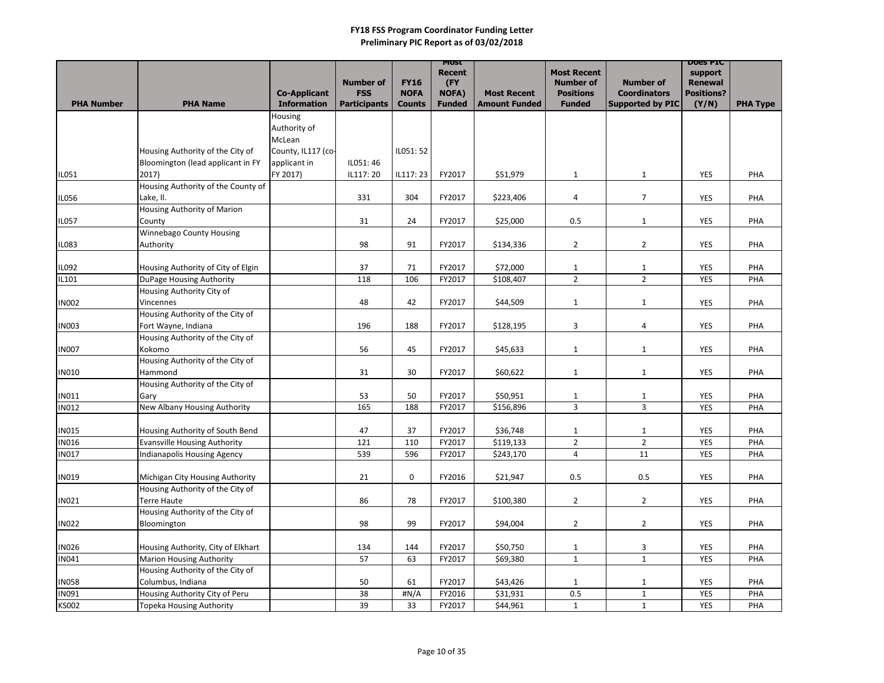|                              |                                                                     |                                           |                                   |                              | MOST<br><b>Recent</b>         |                                            | <b>Most Recent</b>                |                                                | <b>DOES PIC</b><br>support |                 |
|------------------------------|---------------------------------------------------------------------|-------------------------------------------|-----------------------------------|------------------------------|-------------------------------|--------------------------------------------|-----------------------------------|------------------------------------------------|----------------------------|-----------------|
|                              |                                                                     |                                           | <b>Number of</b>                  | <b>FY16</b>                  | (FY                           |                                            | <b>Number of</b>                  | <b>Number of</b>                               | <b>Renewal</b>             |                 |
| <b>PHA Number</b>            | <b>PHA Name</b>                                                     | <b>Co-Applicant</b><br><b>Information</b> | <b>FSS</b><br><b>Participants</b> | <b>NOFA</b><br><b>Counts</b> | <b>NOFA)</b><br><b>Funded</b> | <b>Most Recent</b><br><b>Amount Funded</b> | <b>Positions</b><br><b>Funded</b> | <b>Coordinators</b><br><b>Supported by PIC</b> | <b>Positions?</b>          |                 |
|                              |                                                                     | Housing                                   |                                   |                              |                               |                                            |                                   |                                                | (Y/N)                      | <b>PHA Type</b> |
|                              |                                                                     | Authority of                              |                                   |                              |                               |                                            |                                   |                                                |                            |                 |
|                              |                                                                     | McLean                                    |                                   |                              |                               |                                            |                                   |                                                |                            |                 |
|                              | Housing Authority of the City of                                    | County, IL117 (co-                        |                                   | IL051: 52                    |                               |                                            |                                   |                                                |                            |                 |
|                              | Bloomington (lead applicant in FY                                   | applicant in                              | IL051:46                          |                              |                               |                                            |                                   |                                                |                            |                 |
| IL051                        | 2017)                                                               | FY 2017)                                  | IL117: 20                         | IL117: 23                    | FY2017                        | \$51,979                                   | $\mathbf{1}$                      | $\mathbf{1}$                                   | <b>YES</b>                 | PHA             |
|                              | Housing Authority of the County of                                  |                                           |                                   |                              |                               |                                            |                                   |                                                |                            |                 |
| <b>IL056</b>                 | Lake, II.<br>Housing Authority of Marion                            |                                           | 331                               | 304                          | FY2017                        | \$223,406                                  | $\overline{4}$                    | $\overline{7}$                                 | <b>YES</b>                 | PHA             |
| IL057                        | County                                                              |                                           | 31                                | 24                           | FY2017                        | \$25,000                                   | 0.5                               | $\mathbf{1}$                                   | <b>YES</b>                 | PHA             |
|                              | <b>Winnebago County Housing</b>                                     |                                           |                                   |                              |                               |                                            |                                   |                                                |                            |                 |
| <b>IL083</b>                 | Authority                                                           |                                           | 98                                | 91                           | FY2017                        | \$134,336                                  | $\overline{2}$                    | $\overline{2}$                                 | <b>YES</b>                 | PHA             |
|                              |                                                                     |                                           |                                   |                              |                               |                                            |                                   |                                                |                            |                 |
| IL092                        | Housing Authority of City of Elgin                                  |                                           | 37                                | 71                           | FY2017                        | \$72,000                                   | $\mathbf{1}$                      | $\mathbf{1}$                                   | <b>YES</b>                 | PHA             |
| IL101                        | DuPage Housing Authority                                            |                                           | 118                               | 106                          | FY2017                        | \$108,407                                  | $2^{\circ}$                       | $2^{\circ}$                                    | <b>YES</b>                 | PHA             |
| <b>IN002</b>                 | Housing Authority City of<br>Vincennes                              |                                           | 48                                | 42                           | FY2017                        | \$44,509                                   | $\mathbf{1}$                      | $\mathbf{1}$                                   | <b>YES</b>                 | PHA             |
|                              | Housing Authority of the City of                                    |                                           |                                   |                              |                               |                                            |                                   |                                                |                            |                 |
| <b>IN003</b>                 | Fort Wayne, Indiana                                                 |                                           | 196                               | 188                          | FY2017                        | \$128,195                                  | 3                                 | 4                                              | <b>YES</b>                 | PHA             |
|                              | Housing Authority of the City of                                    |                                           |                                   |                              |                               |                                            |                                   |                                                |                            |                 |
| <b>IN007</b>                 | Kokomo                                                              |                                           | 56                                | 45                           | FY2017                        | \$45,633                                   | $\mathbf{1}$                      | $\mathbf{1}$                                   | <b>YES</b>                 | PHA             |
|                              | Housing Authority of the City of                                    |                                           |                                   |                              |                               |                                            |                                   |                                                |                            |                 |
| <b>IN010</b>                 | Hammond                                                             |                                           | 31                                | 30                           | FY2017                        | \$60,622                                   | $\mathbf{1}$                      | $\mathbf{1}$                                   | <b>YES</b>                 | PHA             |
| <b>IN011</b>                 | Housing Authority of the City of<br>Gary                            |                                           | 53                                | 50                           | FY2017                        | \$50,951                                   | $\mathbf{1}$                      | $\mathbf{1}$                                   | <b>YES</b>                 | PHA             |
| <b>IN012</b>                 | New Albany Housing Authority                                        |                                           | 165                               | 188                          | FY2017                        | \$156,896                                  | 3                                 | 3                                              | <b>YES</b>                 | PHA             |
|                              |                                                                     |                                           |                                   |                              |                               |                                            |                                   |                                                |                            |                 |
| <b>IN015</b>                 | Housing Authority of South Bend                                     |                                           | 47                                | 37                           | FY2017                        | \$36,748                                   | $\mathbf{1}$                      | $\mathbf{1}$                                   | <b>YES</b>                 | PHA             |
| IN016                        | <b>Evansville Housing Authority</b>                                 |                                           | 121                               | 110                          | FY2017                        | \$119,133                                  | $\overline{2}$                    | $\overline{2}$                                 | <b>YES</b>                 | PHA             |
| <b>IN017</b>                 | <b>Indianapolis Housing Agency</b>                                  |                                           | 539                               | 596                          | FY2017                        | \$243,170                                  | $\overline{4}$                    | 11                                             | <b>YES</b>                 | PHA             |
|                              |                                                                     |                                           |                                   |                              |                               |                                            |                                   |                                                |                            |                 |
| <b>IN019</b>                 | Michigan City Housing Authority<br>Housing Authority of the City of |                                           | 21                                | $\mathbf 0$                  | FY2016                        | \$21,947                                   | 0.5                               | 0.5                                            | <b>YES</b>                 | PHA             |
| <b>IN021</b>                 | <b>Terre Haute</b>                                                  |                                           | 86                                | 78                           | FY2017                        | \$100,380                                  | $\overline{2}$                    | $2^{\circ}$                                    | <b>YES</b>                 | PHA             |
|                              | Housing Authority of the City of                                    |                                           |                                   |                              |                               |                                            |                                   |                                                |                            |                 |
| <b>IN022</b>                 | Bloomington                                                         |                                           | 98                                | 99                           | FY2017                        | \$94,004                                   | $\overline{2}$                    | $\overline{2}$                                 | <b>YES</b>                 | PHA             |
|                              |                                                                     |                                           |                                   |                              |                               |                                            |                                   |                                                |                            |                 |
| <b>IN026</b>                 | Housing Authority, City of Elkhart                                  |                                           | 134                               | 144                          | FY2017                        | \$50,750                                   | $\mathbf{1}$                      | 3                                              | YES                        | PHA             |
| <b>IN041</b>                 | <b>Marion Housing Authority</b>                                     |                                           | 57                                | 63                           | FY2017                        | \$69,380                                   | $\mathbf{1}$                      | $\mathbf{1}$                                   | <b>YES</b>                 | PHA             |
|                              | Housing Authority of the City of                                    |                                           |                                   |                              |                               |                                            |                                   |                                                |                            |                 |
| <b>IN058</b><br><b>IN091</b> | Columbus, Indiana<br>Housing Authority City of Peru                 |                                           | 50<br>38                          | 61<br>#N/A                   | FY2017<br>FY2016              | \$43,426<br>\$31,931                       | $\mathbf{1}$<br>0.5               | $\mathbf{1}$<br>$\mathbf{1}$                   | <b>YES</b><br><b>YES</b>   | PHA<br>PHA      |
| <b>KS002</b>                 | Topeka Housing Authority                                            |                                           | 39                                | 33                           | FY2017                        | \$44,961                                   | $\mathbf{1}$                      | $\mathbf{1}$                                   | <b>YES</b>                 | PHA             |
|                              |                                                                     |                                           |                                   |                              |                               |                                            |                                   |                                                |                            |                 |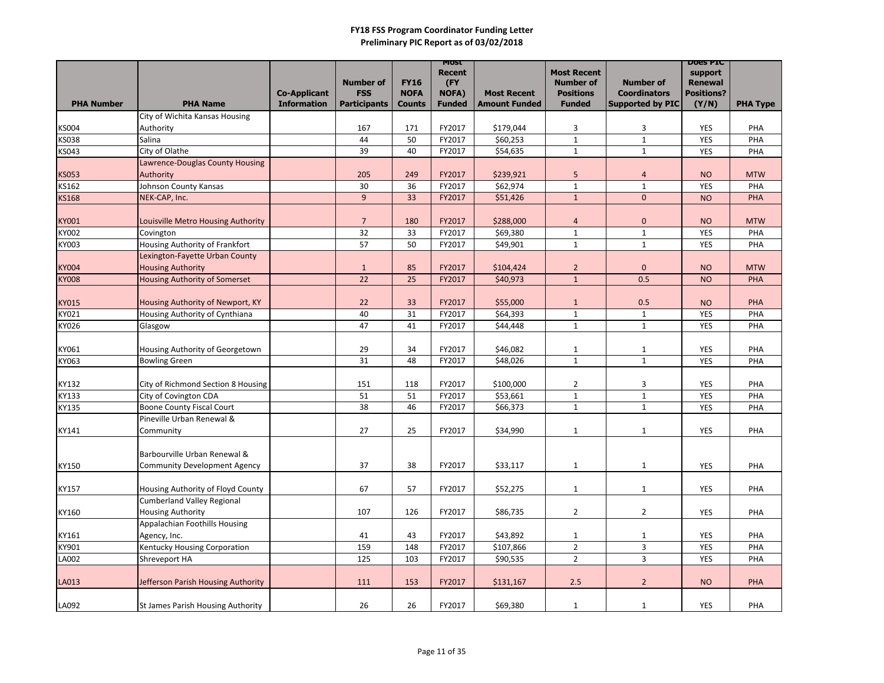|                       |                                                             |                                           |                                   |                              | <b>MOST</b><br><b>Recent</b>  |                                            | <b>Most Recent</b>                |                                                | <b>DOES PIC</b><br>support |                 |
|-----------------------|-------------------------------------------------------------|-------------------------------------------|-----------------------------------|------------------------------|-------------------------------|--------------------------------------------|-----------------------------------|------------------------------------------------|----------------------------|-----------------|
|                       |                                                             |                                           | <b>Number of</b>                  | <b>FY16</b>                  | (FY                           |                                            | <b>Number of</b>                  | <b>Number of</b>                               | <b>Renewal</b>             |                 |
| <b>PHA Number</b>     | <b>PHA Name</b>                                             | <b>Co-Applicant</b><br><b>Information</b> | <b>FSS</b><br><b>Participants</b> | <b>NOFA</b><br><b>Counts</b> | <b>NOFA)</b><br><b>Funded</b> | <b>Most Recent</b><br><b>Amount Funded</b> | <b>Positions</b><br><b>Funded</b> | <b>Coordinators</b><br><b>Supported by PIC</b> | <b>Positions?</b><br>(Y/N) | <b>PHA Type</b> |
|                       | City of Wichita Kansas Housing                              |                                           |                                   |                              |                               |                                            |                                   |                                                |                            |                 |
| <b>KS004</b>          | Authority                                                   |                                           | 167                               | 171                          | FY2017                        | \$179,044                                  | 3                                 | 3                                              | YES                        | PHA             |
| <b>KS038</b>          | Salina                                                      |                                           | 44                                | 50                           | FY2017                        | \$60,253                                   | $\mathbf{1}$                      | $\mathbf{1}$                                   | <b>YES</b>                 | PHA             |
| <b>KS043</b>          | City of Olathe                                              |                                           | 39                                | 40                           | FY2017                        | \$54,635                                   | $\mathbf{1}$                      | $\mathbf{1}$                                   | <b>YES</b>                 | PHA             |
|                       | Lawrence-Douglas County Housing                             |                                           |                                   |                              |                               |                                            |                                   |                                                |                            |                 |
| <b>KS053</b>          | Authority                                                   |                                           | 205                               | 249                          | FY2017                        | \$239,921                                  | 5                                 | 4                                              | <b>NO</b>                  | <b>MTW</b>      |
| <b>KS162</b>          | Johnson County Kansas                                       |                                           | 30                                | 36                           | FY2017                        | \$62,974                                   | $\mathbf{1}$                      | $\mathbf{1}$                                   | <b>YES</b>                 | PHA             |
| <b>KS168</b>          | NEK-CAP, Inc.                                               |                                           | $\overline{9}$                    | 33                           | FY2017                        | \$51,426                                   | $\mathbf{1}$                      | $\mathbf 0$                                    | <b>NO</b>                  | PHA             |
|                       |                                                             |                                           |                                   |                              |                               |                                            |                                   |                                                |                            |                 |
| <b>KY001</b>          | Louisville Metro Housing Authority                          |                                           | $\overline{7}$                    | 180                          | FY2017                        | \$288,000                                  | $\overline{4}$                    | $\pmb{0}$                                      | <b>NO</b>                  | <b>MTW</b>      |
| <b>KY002</b>          | Covington                                                   |                                           | 32                                | 33                           | FY2017                        | \$69,380                                   | $\mathbf{1}$                      | $\mathbf{1}$                                   | <b>YES</b>                 | PHA             |
| <b>KY003</b>          | Housing Authority of Frankfort                              |                                           | 57                                | 50                           | FY2017                        | \$49,901                                   | $\mathbf{1}$                      | $\mathbf{1}$                                   | <b>YES</b>                 | PHA             |
|                       | Lexington-Fayette Urban County                              |                                           |                                   |                              |                               |                                            |                                   |                                                |                            |                 |
| <b>KY004</b>          | <b>Housing Authority</b>                                    |                                           | 1                                 | 85                           | FY2017                        | \$104,424                                  | $\overline{2}$                    | $\pmb{0}$                                      | <b>NO</b>                  | <b>MTW</b>      |
| <b>KY008</b>          | <b>Housing Authority of Somerset</b>                        |                                           | 22                                | 25                           | FY2017                        | \$40,973                                   | $\mathbf{1}$                      | 0.5                                            | <b>NO</b>                  | <b>PHA</b>      |
|                       |                                                             |                                           |                                   |                              |                               |                                            |                                   |                                                |                            |                 |
| <b>KY015</b>          | Housing Authority of Newport, KY                            |                                           | 22                                | 33                           | FY2017                        | \$55,000                                   | $\mathbf{1}$                      | 0.5                                            | <b>NO</b>                  | PHA             |
| KY021                 | Housing Authority of Cynthiana                              |                                           | 40                                | 31                           | FY2017                        | \$64,393                                   | 1                                 | 1                                              | <b>YES</b>                 | PHA             |
| KY026                 | Glasgow                                                     |                                           | 47                                | 41                           | FY2017                        | \$44,448                                   | $\mathbf{1}$                      | $\mathbf{1}$                                   | <b>YES</b>                 | PHA             |
|                       |                                                             |                                           |                                   |                              |                               |                                            |                                   |                                                |                            |                 |
| KY061                 | Housing Authority of Georgetown                             |                                           | 29                                | 34                           | FY2017                        | \$46,082                                   | $\mathbf{1}$                      | $\mathbf{1}$                                   | <b>YES</b>                 | PHA             |
| KY063                 | <b>Bowling Green</b>                                        |                                           | 31                                | 48                           | FY2017                        | \$48,026                                   | $\mathbf{1}$                      | $\mathbf{1}$                                   | <b>YES</b>                 | PHA             |
|                       |                                                             |                                           |                                   | 118                          | FY2017                        | \$100,000                                  |                                   |                                                | <b>YES</b>                 | PHA             |
| KY132<br><b>KY133</b> | City of Richmond Section 8 Housing<br>City of Covington CDA |                                           | 151<br>51                         | 51                           | FY2017                        | \$53,661                                   | $\overline{a}$<br>$\mathbf{1}$    | 3<br>$\mathbf{1}$                              | <b>YES</b>                 | PHA             |
| <b>KY135</b>          | <b>Boone County Fiscal Court</b>                            |                                           | 38                                | 46                           | FY2017                        | \$66,373                                   | $\mathbf{1}$                      | 1                                              | <b>YES</b>                 | PHA             |
|                       | Pineville Urban Renewal &                                   |                                           |                                   |                              |                               |                                            |                                   |                                                |                            |                 |
| KY141                 | Community                                                   |                                           | 27                                | 25                           | FY2017                        | \$34,990                                   | $\mathbf{1}$                      | $\mathbf{1}$                                   | <b>YES</b>                 | PHA             |
|                       |                                                             |                                           |                                   |                              |                               |                                            |                                   |                                                |                            |                 |
|                       | Barbourville Urban Renewal &                                |                                           |                                   |                              |                               |                                            |                                   |                                                |                            |                 |
| KY150                 | Community Development Agency                                |                                           | 37                                | 38                           | FY2017                        | \$33,117                                   | $\mathbf{1}$                      | $\mathbf{1}$                                   | <b>YES</b>                 | PHA             |
|                       |                                                             |                                           |                                   |                              |                               |                                            |                                   |                                                |                            |                 |
| KY157                 | Housing Authority of Floyd County                           |                                           | 67                                | 57                           | FY2017                        | \$52,275                                   | $\mathbf{1}$                      | $\mathbf{1}$                                   | YES                        | PHA             |
|                       | <b>Cumberland Valley Regional</b>                           |                                           |                                   |                              |                               |                                            |                                   |                                                |                            |                 |
| KY160                 | <b>Housing Authority</b>                                    |                                           | 107                               | 126                          | FY2017                        | \$86,735                                   | $\overline{2}$                    | $\overline{2}$                                 | YES                        | PHA             |
|                       | Appalachian Foothills Housing                               |                                           |                                   |                              |                               |                                            |                                   |                                                |                            |                 |
| KY161                 | Agency, Inc.                                                |                                           | 41                                | 43                           | FY2017                        | \$43,892                                   | $\mathbf{1}$                      | $\mathbf{1}$                                   | <b>YES</b>                 | PHA             |
| KY901                 | <b>Kentucky Housing Corporation</b>                         |                                           | 159                               | 148                          | FY2017                        | \$107,866                                  | $\overline{2}$                    | 3                                              | <b>YES</b>                 | PHA             |
| LA002                 | Shreveport HA                                               |                                           | 125                               | 103                          | FY2017                        | \$90,535                                   | $\overline{2}$                    | $\mathbf{3}$                                   | <b>YES</b>                 | PHA             |
|                       |                                                             |                                           |                                   |                              |                               |                                            |                                   |                                                |                            |                 |
| LA013                 | Jefferson Parish Housing Authority                          |                                           | 111                               | 153                          | FY2017                        | \$131,167                                  | 2.5                               | $2^{\circ}$                                    | <b>NO</b>                  | PHA             |
|                       |                                                             |                                           |                                   |                              |                               |                                            |                                   |                                                |                            |                 |
| LA092                 | St James Parish Housing Authority                           |                                           | 26                                | 26                           | FY2017                        | \$69,380                                   | $\mathbf{1}$                      | 1                                              | <b>YES</b>                 | PHA             |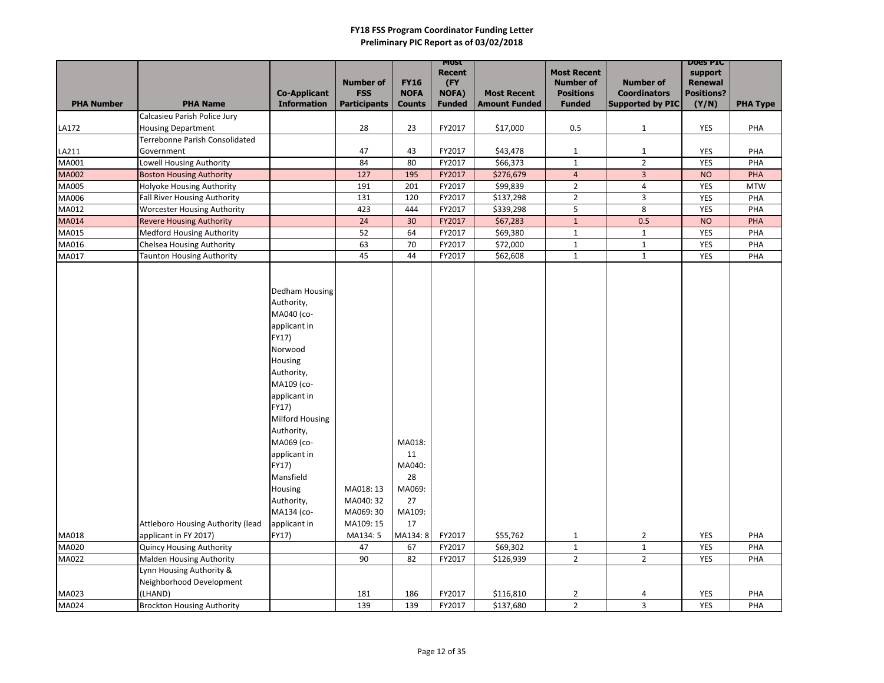|                   |                                                                         |                                                                                                                                                                                                                                                                                                     |                                                              |                                                                          | MOST<br><b>Recent</b> |                       | <b>Most Recent</b>               |                         | <b>DOES PIC</b><br>support |                   |
|-------------------|-------------------------------------------------------------------------|-----------------------------------------------------------------------------------------------------------------------------------------------------------------------------------------------------------------------------------------------------------------------------------------------------|--------------------------------------------------------------|--------------------------------------------------------------------------|-----------------------|-----------------------|----------------------------------|-------------------------|----------------------------|-------------------|
|                   |                                                                         |                                                                                                                                                                                                                                                                                                     | <b>Number of</b>                                             | <b>FY16</b>                                                              | (FY                   |                       | <b>Number of</b>                 | <b>Number of</b>        | <b>Renewal</b>             |                   |
|                   |                                                                         | <b>Co-Applicant</b>                                                                                                                                                                                                                                                                                 | <b>FSS</b>                                                   | <b>NOFA</b>                                                              | NOFA)                 | <b>Most Recent</b>    | <b>Positions</b>                 | <b>Coordinators</b>     | <b>Positions?</b>          |                   |
| <b>PHA Number</b> | <b>PHA Name</b>                                                         | <b>Information</b>                                                                                                                                                                                                                                                                                  | <b>Participants</b>                                          | <b>Counts</b>                                                            | <b>Funded</b>         | <b>Amount Funded</b>  | <b>Funded</b>                    | <b>Supported by PIC</b> | (Y/N)                      | <b>PHA Type</b>   |
|                   | Calcasieu Parish Police Jury                                            |                                                                                                                                                                                                                                                                                                     |                                                              |                                                                          |                       |                       |                                  |                         |                            |                   |
| LA172             | <b>Housing Department</b>                                               |                                                                                                                                                                                                                                                                                                     | 28                                                           | 23                                                                       | FY2017                | \$17,000              | 0.5                              | $\mathbf{1}$            | YES                        | PHA               |
|                   | Terrebonne Parish Consolidated                                          |                                                                                                                                                                                                                                                                                                     |                                                              |                                                                          |                       |                       |                                  |                         |                            |                   |
| LA211             | Government                                                              |                                                                                                                                                                                                                                                                                                     | 47                                                           | 43                                                                       | FY2017                | \$43,478              | $\mathbf{1}$                     | $\mathbf{1}$            | <b>YES</b>                 | PHA               |
| MA001             | <b>Lowell Housing Authority</b>                                         |                                                                                                                                                                                                                                                                                                     | 84                                                           | 80                                                                       | FY2017                | \$66,373              | $\mathbf{1}$                     | $2^{\circ}$             | <b>YES</b>                 | PHA               |
| <b>MA002</b>      | <b>Boston Housing Authority</b>                                         |                                                                                                                                                                                                                                                                                                     | 127                                                          | 195                                                                      | FY2017                | \$276,679             | $\overline{4}$                   | $\overline{3}$          | <b>NO</b>                  | PHA               |
| MA005<br>MA006    | <b>Holyoke Housing Authority</b><br><b>Fall River Housing Authority</b> |                                                                                                                                                                                                                                                                                                     | 191<br>131                                                   | 201<br>120                                                               | FY2017<br>FY2017      | \$99,839<br>\$137,298 | $\overline{2}$<br>$\overline{2}$ | 4<br>$\mathbf{3}$       | <b>YES</b><br><b>YES</b>   | <b>MTW</b><br>PHA |
| MA012             | <b>Worcester Housing Authority</b>                                      |                                                                                                                                                                                                                                                                                                     | 423                                                          | 444                                                                      | FY2017                | \$339,298             | 5                                | 8                       | <b>YES</b>                 | PHA               |
| <b>MA014</b>      | <b>Revere Housing Authority</b>                                         |                                                                                                                                                                                                                                                                                                     | 24                                                           | 30 <sup>°</sup>                                                          | FY2017                | \$67,283              | $\mathbf{1}$                     | 0.5                     | <b>NO</b>                  | PHA               |
| MA015             | <b>Medford Housing Authority</b>                                        |                                                                                                                                                                                                                                                                                                     | 52                                                           | 64                                                                       | FY2017                | \$69,380              | $\mathbf{1}$                     | $\mathbf{1}$            | <b>YES</b>                 | PHA               |
| MA016             | Chelsea Housing Authority                                               |                                                                                                                                                                                                                                                                                                     | 63                                                           | 70                                                                       | FY2017                | \$72,000              | $\mathbf{1}$                     | $\mathbf{1}$            | <b>YES</b>                 | PHA               |
| MA017             | <b>Taunton Housing Authority</b>                                        |                                                                                                                                                                                                                                                                                                     | 45                                                           | 44                                                                       | FY2017                | \$62,608              | $\mathbf{1}$                     | $\mathbf{1}$            | <b>YES</b>                 | PHA               |
| MA018             | Attleboro Housing Authority (lead<br>applicant in FY 2017)              | Dedham Housing<br>Authority,<br>MA040 (co-<br>applicant in<br>FY17)<br>Norwood<br>Housing<br>Authority,<br>MA109 (co-<br>applicant in<br>FY17)<br>Milford Housing<br>Authority,<br>MA069 (co-<br>applicant in<br>FY17)<br>Mansfield<br>Housing<br>Authority,<br>MA134 (co-<br>applicant in<br>FY17) | MA018: 13<br>MA040: 32<br>MA069: 30<br>MA109: 15<br>MA134: 5 | MA018:<br>11<br>MA040:<br>28<br>MA069:<br>27<br>MA109:<br>17<br>MA134: 8 | FY2017                | \$55,762              | $\mathbf{1}$                     | $\overline{2}$          | <b>YES</b>                 | PHA               |
| MA020             | Quincy Housing Authority                                                |                                                                                                                                                                                                                                                                                                     | 47                                                           | 67                                                                       | FY2017                | \$69,302              | $\mathbf{1}$                     | $\mathbf{1}$            | <b>YES</b>                 | PHA               |
| MA022             | <b>Malden Housing Authority</b>                                         |                                                                                                                                                                                                                                                                                                     | 90                                                           | 82                                                                       | FY2017                | \$126,939             | $2^{\circ}$                      | $2^{\circ}$             | <b>YES</b>                 | PHA               |
|                   | Lynn Housing Authority &                                                |                                                                                                                                                                                                                                                                                                     |                                                              |                                                                          |                       |                       |                                  |                         |                            |                   |
|                   | Neighborhood Development                                                |                                                                                                                                                                                                                                                                                                     |                                                              |                                                                          |                       |                       |                                  |                         |                            |                   |
| MA023             | (LHAND)                                                                 |                                                                                                                                                                                                                                                                                                     | 181                                                          | 186                                                                      | FY2017                | \$116,810             | $\overline{2}$                   | 4                       | <b>YES</b>                 | PHA               |
| MA024             | <b>Brockton Housing Authority</b>                                       |                                                                                                                                                                                                                                                                                                     | 139                                                          | 139                                                                      | FY2017                | \$137,680             | 2 <sup>1</sup>                   | $\overline{3}$          | <b>YES</b>                 | PHA               |
|                   |                                                                         |                                                                                                                                                                                                                                                                                                     |                                                              |                                                                          |                       |                       |                                  |                         |                            |                   |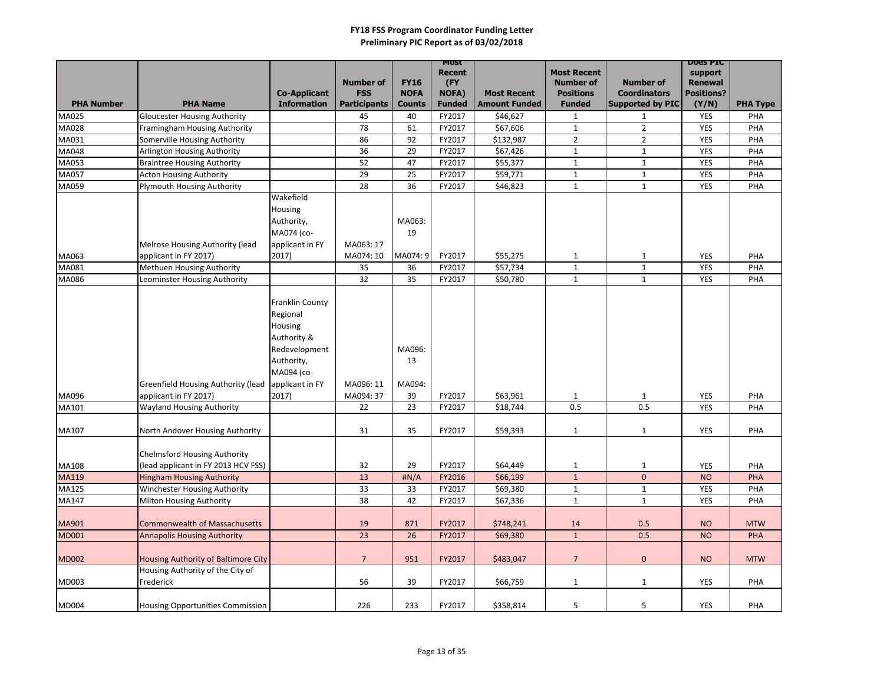|                   |                                                                             |                        |                        |               | MOST<br><b>Recent</b> |                      | <b>Most Recent</b>           |                              | <b>DOES PIC</b><br>support |                 |
|-------------------|-----------------------------------------------------------------------------|------------------------|------------------------|---------------|-----------------------|----------------------|------------------------------|------------------------------|----------------------------|-----------------|
|                   |                                                                             |                        | <b>Number of</b>       | <b>FY16</b>   | (FY                   |                      | <b>Number of</b>             | <b>Number of</b>             | <b>Renewal</b>             |                 |
|                   |                                                                             | <b>Co-Applicant</b>    | <b>FSS</b>             | <b>NOFA</b>   | <b>NOFA)</b>          | <b>Most Recent</b>   | <b>Positions</b>             | <b>Coordinators</b>          | <b>Positions?</b>          |                 |
| <b>PHA Number</b> | <b>PHA Name</b>                                                             | <b>Information</b>     | <b>Participants</b>    | <b>Counts</b> | <b>Funded</b>         | <b>Amount Funded</b> | <b>Funded</b>                | <b>Supported by PIC</b>      | (Y/N)                      | <b>PHA Type</b> |
| <b>MA025</b>      | <b>Gloucester Housing Authority</b>                                         |                        | 45                     | 40            | FY2017                | \$46,627             | $\mathbf{1}$                 | $\mathbf{1}$                 | <b>YES</b>                 | PHA             |
| MA028             | Framingham Housing Authority                                                |                        | 78                     | 61            | FY2017                | \$67,606             | $\mathbf{1}$                 | $2^{\circ}$                  | <b>YES</b>                 | PHA             |
| MA031             | Somerville Housing Authority                                                |                        | 86                     | 92            | FY2017                | \$132,987            | $2^{\circ}$                  | $2^{\circ}$                  | <b>YES</b>                 | PHA             |
| MA048             | <b>Arlington Housing Authority</b>                                          |                        | 36                     | 29            | FY2017                | \$67,426             | $\mathbf{1}$                 | $\mathbf{1}$                 | <b>YES</b>                 | PHA             |
| MA053             | <b>Braintree Housing Authority</b>                                          |                        | 52                     | 47            | FY2017                | \$55,377             | $\mathbf{1}$                 | $\mathbf{1}$                 | <b>YES</b>                 | PHA             |
| <b>MA057</b>      | <b>Acton Housing Authority</b>                                              |                        | 29<br>28               | 25<br>36      | FY2017<br>FY2017      | \$59,771             | $\mathbf{1}$                 | $\mathbf{1}$                 | <b>YES</b>                 | PHA<br>PHA      |
| MA059             | <b>Plymouth Housing Authority</b>                                           | Wakefield              |                        |               |                       | \$46,823             | $\mathbf{1}$                 | $\mathbf{1}$                 | <b>YES</b>                 |                 |
|                   |                                                                             |                        |                        |               |                       |                      |                              |                              |                            |                 |
|                   |                                                                             | Housing                |                        |               |                       |                      |                              |                              |                            |                 |
|                   |                                                                             | Authority,             |                        | MA063:        |                       |                      |                              |                              |                            |                 |
|                   |                                                                             | MA074 (co-             |                        | 19            |                       |                      |                              |                              |                            |                 |
|                   | Melrose Housing Authority (lead                                             | applicant in FY        | MA063: 17<br>MA074: 10 | MA074: 9      | FY2017                |                      |                              |                              |                            | PHA             |
| MA063<br>MA081    | applicant in FY 2017)<br>Methuen Housing Authority                          | 2017)                  | 35                     | 36            | FY2017                | \$55,275<br>\$57,734 | $\mathbf{1}$<br>$\mathbf{1}$ | $\mathbf{1}$<br>$\mathbf{1}$ | <b>YES</b><br><b>YES</b>   | PHA             |
| MA086             | Leominster Housing Authority                                                |                        | 32                     | 35            | FY2017                | \$50,780             | $\mathbf{1}$                 | $\mathbf{1}$                 | <b>YES</b>                 | PHA             |
|                   |                                                                             |                        |                        |               |                       |                      |                              |                              |                            |                 |
|                   |                                                                             | <b>Franklin County</b> |                        |               |                       |                      |                              |                              |                            |                 |
|                   |                                                                             |                        |                        |               |                       |                      |                              |                              |                            |                 |
|                   |                                                                             | Regional               |                        |               |                       |                      |                              |                              |                            |                 |
|                   |                                                                             | Housing<br>Authority & |                        |               |                       |                      |                              |                              |                            |                 |
|                   |                                                                             |                        |                        |               |                       |                      |                              |                              |                            |                 |
|                   |                                                                             | Redevelopment          |                        | MA096:<br>13  |                       |                      |                              |                              |                            |                 |
|                   |                                                                             | Authority,             |                        |               |                       |                      |                              |                              |                            |                 |
|                   |                                                                             | MA094 (co-             |                        |               |                       |                      |                              |                              |                            |                 |
|                   | Greenfield Housing Authority (lead applicant in FY<br>applicant in FY 2017) |                        | MA096: 11              | MA094:        |                       |                      |                              |                              |                            |                 |
| MA096             |                                                                             | 2017)                  | MA094: 37              | 39            | FY2017                | \$63,961             | $\mathbf{1}$                 | $\mathbf{1}$                 | <b>YES</b>                 | PHA             |
| MA101             | <b>Wayland Housing Authority</b>                                            |                        | 22                     | 23            | FY2017                | \$18,744             | 0.5                          | 0.5                          | <b>YES</b>                 | PHA             |
| MA107             | North Andover Housing Authority                                             |                        | 31                     | 35            | FY2017                | \$59,393             | $\mathbf{1}$                 | $\mathbf{1}$                 | YES                        | PHA             |
|                   |                                                                             |                        |                        |               |                       |                      |                              |                              |                            |                 |
|                   | <b>Chelmsford Housing Authority</b>                                         |                        |                        |               |                       |                      |                              |                              |                            |                 |
| MA108             | (lead applicant in FY 2013 HCV FSS)                                         |                        | 32                     | 29            | FY2017                | \$64,449             | $\mathbf{1}$                 | $\mathbf{1}$                 | <b>YES</b>                 | PHA             |
| <b>MA119</b>      | <b>Hingham Housing Authority</b>                                            |                        | 13                     | #N/A          | FY2016                | \$66,199             | $\mathbf{1}$                 | $\mathbf{0}$                 | <b>NO</b>                  | PHA             |
| MA125             | Winchester Housing Authority                                                |                        | 33                     | 33            | FY2017                | \$69,380             | $\mathbf{1}$                 | $\mathbf{1}$                 | <b>YES</b>                 | PHA             |
| MA147             | Milton Housing Authority                                                    |                        | 38                     | 42            | FY2017                | \$67,336             | $\mathbf{1}$                 | $\mathbf{1}$                 | <b>YES</b>                 | PHA             |
|                   |                                                                             |                        |                        |               |                       |                      |                              |                              |                            |                 |
| MA901             | <b>Commonwealth of Massachusetts</b>                                        |                        | 19                     | 871           | FY2017                | \$748,241            | 14                           | 0.5                          | <b>NO</b>                  | <b>MTW</b>      |
| <b>MD001</b>      | <b>Annapolis Housing Authority</b>                                          |                        | 23                     | 26            | FY2017                | \$69,380             | $\mathbf{1}$                 | 0.5                          | <b>NO</b>                  | <b>PHA</b>      |
|                   |                                                                             |                        |                        |               |                       |                      |                              |                              |                            |                 |
| <b>MD002</b>      | Housing Authority of Baltimore City                                         |                        | $\overline{7}$         | 951           | FY2017                | \$483,047            | $\overline{7}$               | $\mathbf{0}$                 | <b>NO</b>                  | <b>MTW</b>      |
|                   | Housing Authority of the City of                                            |                        |                        |               |                       |                      |                              |                              |                            |                 |
| MD003             | Frederick                                                                   |                        | 56                     | 39            | FY2017                | \$66,759             | $\mathbf{1}$                 | $\mathbf{1}$                 | <b>YES</b>                 | PHA             |
|                   |                                                                             |                        |                        |               |                       |                      |                              |                              |                            |                 |
| MD004             | <b>Housing Opportunities Commission</b>                                     |                        | 226                    | 233           | FY2017                | \$358,814            | 5                            | 5                            | <b>YES</b>                 | PHA             |
|                   |                                                                             |                        |                        |               |                       |                      |                              |                              |                            |                 |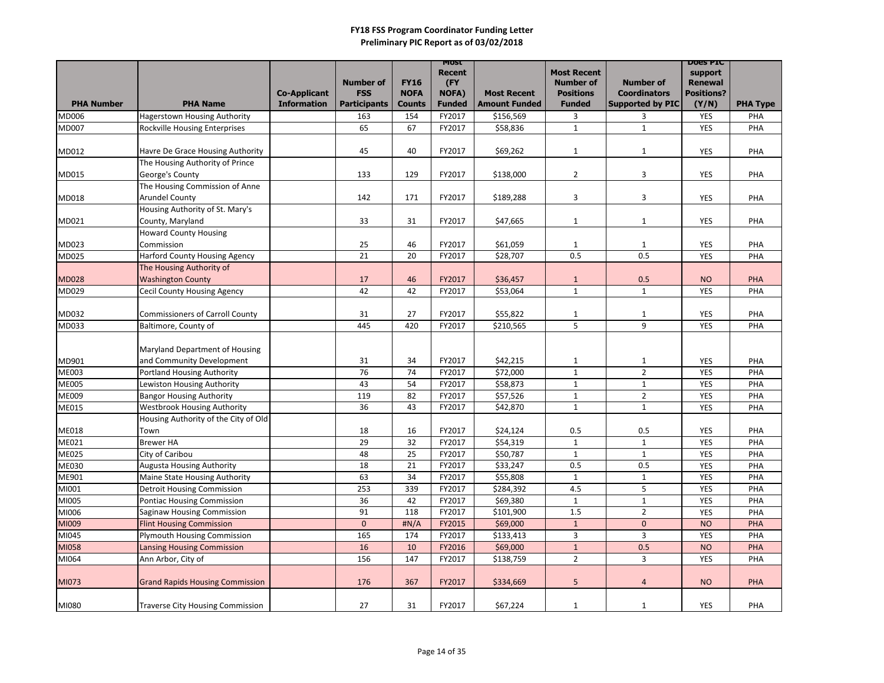|                              |                                                                 |                                           | <b>Number of</b>                  | <b>FY16</b>                  | <b>MOST</b><br><b>Recent</b><br>(FY) |                                            | <b>Most Recent</b><br><b>Number of</b> | <b>Number of</b>                               | <b>DOGS PIC</b><br>support<br><b>Renewal</b> |                 |
|------------------------------|-----------------------------------------------------------------|-------------------------------------------|-----------------------------------|------------------------------|--------------------------------------|--------------------------------------------|----------------------------------------|------------------------------------------------|----------------------------------------------|-----------------|
| <b>PHA Number</b>            | <b>PHA Name</b>                                                 | <b>Co-Applicant</b><br><b>Information</b> | <b>FSS</b><br><b>Participants</b> | <b>NOFA</b><br><b>Counts</b> | <b>NOFA)</b><br><b>Funded</b>        | <b>Most Recent</b><br><b>Amount Funded</b> | <b>Positions</b><br><b>Funded</b>      | <b>Coordinators</b><br><b>Supported by PIC</b> | <b>Positions?</b><br>(Y/N)                   | <b>PHA Type</b> |
| <b>MD006</b>                 | <b>Hagerstown Housing Authority</b>                             |                                           | 163                               | 154                          | FY2017                               | \$156,569                                  | 3                                      | 3                                              | <b>YES</b>                                   | PHA             |
| <b>MD007</b>                 | <b>Rockville Housing Enterprises</b>                            |                                           | 65                                | 67                           | FY2017                               | \$58,836                                   | $\mathbf{1}$                           | $\mathbf{1}$                                   | <b>YES</b>                                   | PHA             |
|                              |                                                                 |                                           |                                   |                              |                                      |                                            |                                        |                                                |                                              |                 |
| MD012                        | Havre De Grace Housing Authority                                |                                           | 45                                | 40                           | FY2017                               | \$69,262                                   | $\mathbf{1}$                           | $\mathbf{1}$                                   | <b>YES</b>                                   | PHA             |
|                              | The Housing Authority of Prince                                 |                                           |                                   |                              |                                      |                                            |                                        |                                                |                                              |                 |
| MD015                        | George's County                                                 |                                           | 133                               | 129                          | FY2017                               | \$138,000                                  | $\overline{2}$                         | 3                                              | <b>YES</b>                                   | PHA             |
|                              | The Housing Commission of Anne                                  |                                           |                                   |                              |                                      |                                            |                                        |                                                |                                              |                 |
| MD018                        | <b>Arundel County</b>                                           |                                           | 142                               | 171                          | FY2017                               | \$189,288                                  | 3                                      | 3                                              | <b>YES</b>                                   | PHA             |
|                              | Housing Authority of St. Mary's                                 |                                           |                                   |                              |                                      |                                            |                                        |                                                |                                              |                 |
| MD021                        | County, Maryland                                                |                                           | 33                                | 31                           | FY2017                               | \$47,665                                   | $\mathbf{1}$                           | $\mathbf{1}$                                   | <b>YES</b>                                   | PHA             |
|                              | <b>Howard County Housing</b>                                    |                                           |                                   |                              |                                      |                                            |                                        |                                                |                                              |                 |
| MD023                        | Commission                                                      |                                           | 25                                | 46                           | FY2017                               | \$61,059                                   | $\mathbf{1}$                           | $\mathbf{1}$                                   | <b>YES</b>                                   | PHA             |
| <b>MD025</b>                 | <b>Harford County Housing Agency</b>                            |                                           | 21                                | 20                           | FY2017                               | \$28,707                                   | 0.5                                    | 0.5                                            | <b>YES</b>                                   | PHA             |
|                              | The Housing Authority of                                        |                                           |                                   |                              |                                      |                                            |                                        |                                                |                                              |                 |
| <b>MD028</b>                 | <b>Washington County</b>                                        |                                           | 17                                | 46                           | FY2017                               | \$36,457                                   | $\mathbf{1}$                           | 0.5                                            | <b>NO</b>                                    | <b>PHA</b>      |
| MD029                        | <b>Cecil County Housing Agency</b>                              |                                           | 42                                | 42                           | FY2017                               | \$53,064                                   | $\mathbf{1}$                           | $\mathbf{1}$                                   | <b>YES</b>                                   | PHA             |
|                              |                                                                 |                                           |                                   |                              |                                      |                                            |                                        |                                                |                                              |                 |
| MD032                        | <b>Commissioners of Carroll County</b>                          |                                           | 31                                | 27                           | FY2017                               | \$55,822                                   | $\mathbf{1}$                           | $\mathbf{1}$                                   | <b>YES</b>                                   | PHA             |
| MD033                        | Baltimore, County of                                            |                                           | 445                               | 420                          | FY2017                               | \$210,565                                  | 5                                      | 9                                              | <b>YES</b>                                   | PHA             |
|                              |                                                                 |                                           |                                   |                              |                                      |                                            |                                        |                                                |                                              |                 |
|                              | Maryland Department of Housing                                  |                                           |                                   |                              |                                      |                                            |                                        |                                                |                                              |                 |
| MD901                        | and Community Development                                       |                                           | 31<br>76                          | 34<br>74                     | FY2017                               | \$42,215<br>\$72,000                       | $\mathbf{1}$                           | $\mathbf{1}$<br>$\overline{2}$                 | <b>YES</b>                                   | PHA             |
| <b>ME003</b><br><b>ME005</b> | <b>Portland Housing Authority</b><br>Lewiston Housing Authority |                                           | 43                                | 54                           | FY2017<br>FY2017                     | \$58,873                                   | $1\,$<br>$\mathbf{1}$                  | $\mathbf{1}$                                   | <b>YES</b><br><b>YES</b>                     | PHA<br>PHA      |
| ME009                        | <b>Bangor Housing Authority</b>                                 |                                           | 119                               | 82                           | FY2017                               | \$57,526                                   | $\mathbf{1}$                           | $\overline{2}$                                 | <b>YES</b>                                   | PHA             |
| ME015                        | <b>Westbrook Housing Authority</b>                              |                                           | 36                                | 43                           | FY2017                               | \$42,870                                   | $\mathbf{1}$                           | $\mathbf{1}$                                   | <b>YES</b>                                   | PHA             |
|                              | Housing Authority of the City of Old                            |                                           |                                   |                              |                                      |                                            |                                        |                                                |                                              |                 |
| <b>ME018</b>                 | Town                                                            |                                           | 18                                | 16                           | FY2017                               | \$24,124                                   | 0.5                                    | 0.5                                            | <b>YES</b>                                   | PHA             |
| ME021                        | <b>Brewer HA</b>                                                |                                           | 29                                | 32                           | FY2017                               | \$54,319                                   | $\mathbf{1}$                           | $\mathbf{1}$                                   | <b>YES</b>                                   | PHA             |
| <b>ME025</b>                 | City of Caribou                                                 |                                           | 48                                | 25                           | FY2017                               | \$50,787                                   | $\mathbf{1}$                           | $\mathbf{1}$                                   | <b>YES</b>                                   | PHA             |
| <b>ME030</b>                 | <b>Augusta Housing Authority</b>                                |                                           | 18                                | 21                           | FY2017                               | \$33,247                                   | 0.5                                    | 0.5                                            | <b>YES</b>                                   | PHA             |
| ME901                        | <b>Maine State Housing Authority</b>                            |                                           | 63                                | 34                           | FY2017                               | \$55,808                                   | $\mathbf{1}$                           | $\mathbf{1}$                                   | <b>YES</b>                                   | PHA             |
| MI001                        | <b>Detroit Housing Commission</b>                               |                                           | 253                               | 339                          | FY2017                               | \$284,392                                  | 4.5                                    | 5                                              | YES                                          | PHA             |
| MI005                        | <b>Pontiac Housing Commission</b>                               |                                           | 36                                | 42                           | FY2017                               | \$69,380                                   | $\mathbf{1}$                           | $\mathbf{1}$                                   | <b>YES</b>                                   | PHA             |
| MI006                        | Saginaw Housing Commission                                      |                                           | 91                                | 118                          | FY2017                               | \$101,900                                  | 1.5                                    | $\overline{2}$                                 | <b>YES</b>                                   | PHA             |
| MI009                        | <b>Flint Housing Commission</b>                                 |                                           | $\bf 0$                           | #N/A                         | FY2015                               | \$69,000                                   | $\mathbf{1}$                           | $\overline{0}$                                 | <b>NO</b>                                    | PHA             |
| MI045                        | <b>Plymouth Housing Commission</b>                              |                                           | 165                               | 174                          | FY2017                               | \$133,413                                  | $\mathbf{3}$                           | $\mathbf{3}$                                   | <b>YES</b>                                   | PHA             |
| MI058                        | <b>Lansing Housing Commission</b>                               |                                           | 16                                | 10                           | FY2016                               | \$69,000                                   | $\mathbf{1}$                           | 0.5                                            | <b>NO</b>                                    | <b>PHA</b>      |
| MI064                        | Ann Arbor, City of                                              |                                           | 156                               | 147                          | FY2017                               | \$138,759                                  | $2^{\circ}$                            | $\mathbf{3}$                                   | <b>YES</b>                                   | PHA             |
|                              |                                                                 |                                           |                                   |                              |                                      |                                            |                                        |                                                |                                              |                 |
| MI073                        | <b>Grand Rapids Housing Commission</b>                          |                                           | 176                               | 367                          | FY2017                               | \$334,669                                  | 5                                      | $\overline{a}$                                 | <b>NO</b>                                    | <b>PHA</b>      |
|                              |                                                                 |                                           |                                   |                              |                                      |                                            |                                        |                                                |                                              |                 |
| MI080                        | <b>Traverse City Housing Commission</b>                         |                                           | 27                                | 31                           | FY2017                               | \$67,224                                   | $\mathbf{1}$                           | 1                                              | YES                                          | PHA             |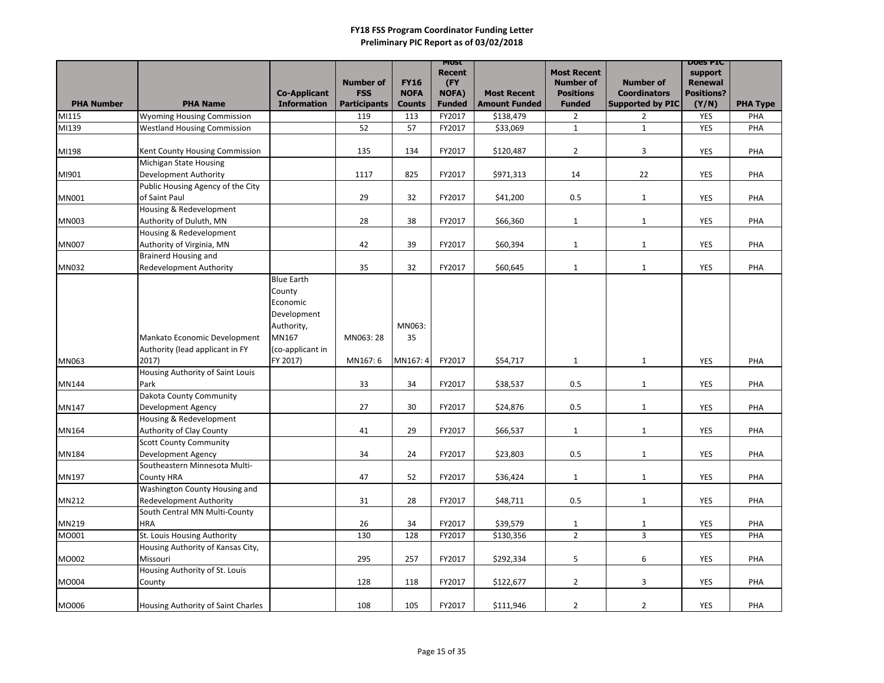|                   |                                    | <b>Co-Applicant</b> | <b>Number of</b><br><b>FSS</b> | <b>FY16</b><br><b>NOFA</b> | MOST<br><b>Recent</b><br>(FY<br><b>NOFA)</b> | <b>Most Recent</b>   | <b>Most Recent</b><br><b>Number of</b><br><b>Positions</b> | <b>Number of</b><br><b>Coordinators</b> | <b>DOGS PIC</b><br>support<br><b>Renewal</b><br><b>Positions?</b> |                 |
|-------------------|------------------------------------|---------------------|--------------------------------|----------------------------|----------------------------------------------|----------------------|------------------------------------------------------------|-----------------------------------------|-------------------------------------------------------------------|-----------------|
| <b>PHA Number</b> | <b>PHA Name</b>                    | <b>Information</b>  | <b>Participants</b>            | <b>Counts</b>              | <b>Funded</b>                                | <b>Amount Funded</b> | <b>Funded</b>                                              | <b>Supported by PIC</b>                 | (Y/N)                                                             | <b>PHA Type</b> |
| MI115             | <b>Wyoming Housing Commission</b>  |                     | 119                            | 113                        | FY2017                                       | \$138,479            | $\overline{2}$                                             | $\overline{2}$                          | <b>YES</b>                                                        | PHA             |
| MI139             | <b>Westland Housing Commission</b> |                     | 52                             | 57                         | FY2017                                       | \$33,069             | $\mathbf{1}$                                               | $\mathbf{1}$                            | YES                                                               | PHA             |
|                   |                                    |                     |                                |                            |                                              |                      |                                                            |                                         |                                                                   |                 |
| MI198             | Kent County Housing Commission     |                     | 135                            | 134                        | FY2017                                       | \$120,487            | $\overline{2}$                                             | 3                                       | <b>YES</b>                                                        | PHA             |
|                   | Michigan State Housing             |                     |                                |                            |                                              |                      |                                                            |                                         |                                                                   |                 |
| MI901             | Development Authority              |                     | 1117                           | 825                        | FY2017                                       | \$971,313            | 14                                                         | 22                                      | <b>YES</b>                                                        | PHA             |
|                   | Public Housing Agency of the City  |                     |                                |                            |                                              |                      |                                                            |                                         |                                                                   |                 |
| <b>MN001</b>      | of Saint Paul                      |                     | 29                             | 32                         | FY2017                                       | \$41,200             | 0.5                                                        | $\mathbf{1}$                            | <b>YES</b>                                                        | PHA             |
|                   | Housing & Redevelopment            |                     |                                |                            |                                              |                      |                                                            |                                         |                                                                   |                 |
| <b>MN003</b>      | Authority of Duluth, MN            |                     | 28                             | 38                         | FY2017                                       | \$66,360             | $\mathbf{1}$                                               | $\mathbf{1}$                            | <b>YES</b>                                                        | PHA             |
|                   | Housing & Redevelopment            |                     |                                |                            |                                              |                      |                                                            |                                         |                                                                   |                 |
| <b>MN007</b>      | Authority of Virginia, MN          |                     | 42                             | 39                         | FY2017                                       | \$60,394             | $\mathbf{1}$                                               | $\mathbf{1}$                            | YES                                                               | PHA             |
|                   | <b>Brainerd Housing and</b>        |                     |                                |                            |                                              |                      |                                                            |                                         |                                                                   |                 |
| <b>MN032</b>      | <b>Redevelopment Authority</b>     |                     | 35                             | 32                         | FY2017                                       | \$60,645             | $\mathbf{1}$                                               | $\mathbf{1}$                            | <b>YES</b>                                                        | PHA             |
|                   |                                    | <b>Blue Earth</b>   |                                |                            |                                              |                      |                                                            |                                         |                                                                   |                 |
|                   |                                    | County              |                                |                            |                                              |                      |                                                            |                                         |                                                                   |                 |
|                   |                                    | Economic            |                                |                            |                                              |                      |                                                            |                                         |                                                                   |                 |
|                   |                                    | Development         |                                |                            |                                              |                      |                                                            |                                         |                                                                   |                 |
|                   |                                    | Authority,          |                                | MN063:                     |                                              |                      |                                                            |                                         |                                                                   |                 |
|                   | Mankato Economic Development       | MN167               | MN063: 28                      | 35                         |                                              |                      |                                                            |                                         |                                                                   |                 |
|                   | Authority (lead applicant in FY    | (co-applicant in    |                                |                            |                                              |                      |                                                            |                                         |                                                                   |                 |
| MN063             | 2017)                              | FY 2017)            | MN167:6                        | MN167: 4                   | FY2017                                       | \$54,717             | $\mathbf{1}$                                               | $\mathbf{1}$                            | <b>YES</b>                                                        | PHA             |
|                   | Housing Authority of Saint Louis   |                     |                                |                            |                                              |                      |                                                            |                                         |                                                                   |                 |
| <b>MN144</b>      | Park                               |                     | 33                             | 34                         | FY2017                                       | \$38,537             | 0.5                                                        | $\mathbf{1}$                            | <b>YES</b>                                                        | PHA             |
|                   | Dakota County Community            |                     |                                |                            |                                              |                      |                                                            |                                         |                                                                   |                 |
| MN147             | <b>Development Agency</b>          |                     | 27                             | 30                         | FY2017                                       | \$24,876             | 0.5                                                        | $\mathbf{1}$                            | <b>YES</b>                                                        | PHA             |
|                   | Housing & Redevelopment            |                     |                                |                            |                                              |                      |                                                            |                                         |                                                                   |                 |
| MN164             | <b>Authority of Clay County</b>    |                     | 41                             | 29                         | FY2017                                       | \$66,537             | $\mathbf{1}$                                               | $\mathbf{1}$                            | <b>YES</b>                                                        | PHA             |
|                   | <b>Scott County Community</b>      |                     |                                |                            |                                              |                      |                                                            |                                         |                                                                   |                 |
| <b>MN184</b>      | <b>Development Agency</b>          |                     | 34                             | 24                         | FY2017                                       | \$23,803             | 0.5                                                        | $\mathbf{1}$                            | YES                                                               | PHA             |
|                   | Southeastern Minnesota Multi-      |                     |                                |                            |                                              |                      |                                                            |                                         |                                                                   |                 |
| MN197             | <b>County HRA</b>                  |                     | 47                             | 52                         | FY2017                                       | \$36,424             | $\mathbf{1}$                                               | $\mathbf{1}$                            | YES                                                               | PHA             |
|                   | Washington County Housing and      |                     |                                |                            |                                              |                      |                                                            |                                         |                                                                   |                 |
| MN212             | <b>Redevelopment Authority</b>     |                     | 31                             | 28                         | FY2017                                       | \$48,711             | 0.5                                                        | $\mathbf{1}$                            | <b>YES</b>                                                        | PHA             |
|                   | South Central MN Multi-County      |                     |                                |                            |                                              |                      |                                                            |                                         |                                                                   |                 |
| MN219             | <b>HRA</b>                         |                     | 26                             | 34                         | FY2017                                       | \$39,579             | $\mathbf{1}$                                               | $\mathbf{1}$                            | <b>YES</b>                                                        | PHA             |
| MO001             | St. Louis Housing Authority        |                     | 130                            | 128                        | FY2017                                       | \$130,356            | $\overline{2}$                                             | $\mathbf{3}$                            | <b>YES</b>                                                        | PHA             |
|                   | Housing Authority of Kansas City,  |                     |                                |                            |                                              |                      |                                                            |                                         |                                                                   |                 |
| MO002             | Missouri                           |                     | 295                            | 257                        | FY2017                                       | \$292,334            | 5                                                          | 6                                       | <b>YES</b>                                                        | PHA             |
|                   | Housing Authority of St. Louis     |                     |                                |                            |                                              |                      |                                                            |                                         |                                                                   |                 |
| MO004             | County                             |                     | 128                            | 118                        | FY2017                                       | \$122,677            | $\overline{2}$                                             | $\mathbf{3}$                            | <b>YES</b>                                                        | PHA             |
|                   |                                    |                     |                                |                            |                                              |                      |                                                            |                                         |                                                                   |                 |
| MO006             | Housing Authority of Saint Charles |                     | 108                            | 105                        | FY2017                                       | \$111,946            | $\overline{2}$                                             | $\overline{2}$                          | YES                                                               | PHA             |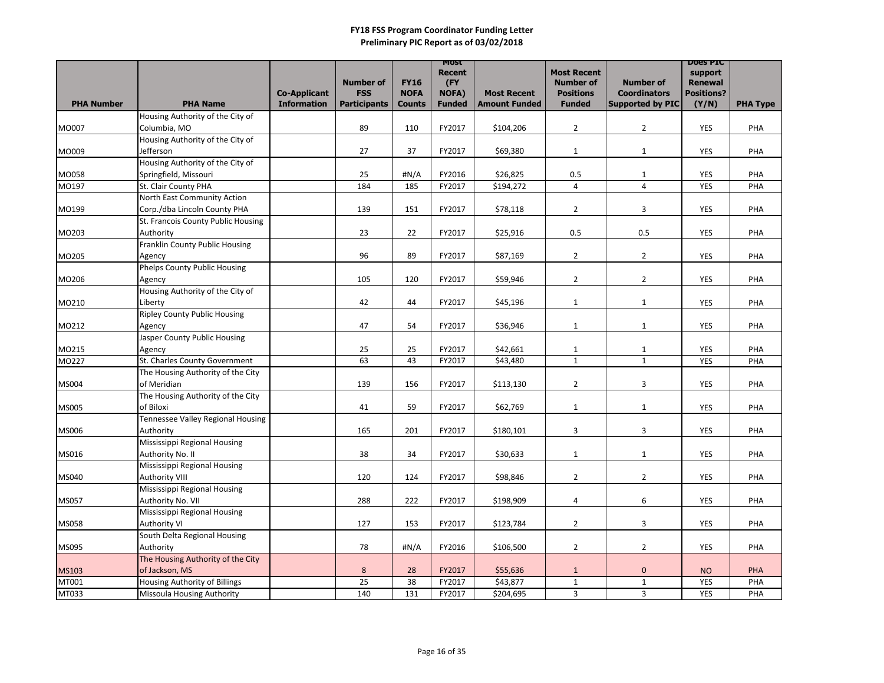|                   |                                                   |                                           |                                   |                              | <b>MOST</b><br><b>Recent</b>  |                                            | <b>Most Recent</b>                |                                                | <b>DOGS PIC</b><br>support |                 |
|-------------------|---------------------------------------------------|-------------------------------------------|-----------------------------------|------------------------------|-------------------------------|--------------------------------------------|-----------------------------------|------------------------------------------------|----------------------------|-----------------|
|                   |                                                   |                                           | <b>Number of</b>                  | <b>FY16</b>                  | (FY                           |                                            | <b>Number of</b>                  | <b>Number of</b>                               | <b>Renewal</b>             |                 |
| <b>PHA Number</b> | <b>PHA Name</b>                                   | <b>Co-Applicant</b><br><b>Information</b> | <b>FSS</b><br><b>Participants</b> | <b>NOFA</b><br><b>Counts</b> | <b>NOFA)</b><br><b>Funded</b> | <b>Most Recent</b><br><b>Amount Funded</b> | <b>Positions</b><br><b>Funded</b> | <b>Coordinators</b><br><b>Supported by PIC</b> | <b>Positions?</b><br>(Y/N) | <b>PHA Type</b> |
|                   | Housing Authority of the City of                  |                                           |                                   |                              |                               |                                            |                                   |                                                |                            |                 |
| MO007             | Columbia, MO                                      |                                           | 89                                | 110                          | FY2017                        | \$104,206                                  | $\overline{2}$                    | $\overline{2}$                                 | YES                        | PHA             |
|                   | Housing Authority of the City of                  |                                           |                                   |                              |                               |                                            |                                   |                                                |                            |                 |
| MO009             | Jefferson                                         |                                           | 27                                | 37                           | FY2017                        | \$69,380                                   | $\mathbf{1}$                      | $\mathbf{1}$                                   | <b>YES</b>                 | PHA             |
|                   | Housing Authority of the City of                  |                                           |                                   |                              |                               |                                            |                                   |                                                |                            |                 |
| MO058             | Springfield, Missouri                             |                                           | 25                                | $\sharp N/A$                 | FY2016                        | \$26,825                                   | 0.5                               | $\mathbf{1}$                                   | <b>YES</b>                 | PHA             |
| MO197             | St. Clair County PHA                              |                                           | 184                               | 185                          | FY2017                        | \$194,272                                  | $\overline{4}$                    | $\overline{4}$                                 | <b>YES</b>                 | PHA             |
|                   | North East Community Action                       |                                           |                                   |                              |                               |                                            |                                   |                                                |                            |                 |
| MO199             | Corp./dba Lincoln County PHA                      |                                           | 139                               | 151                          | FY2017                        | \$78,118                                   | $\overline{2}$                    | 3                                              | YES                        | PHA             |
|                   | St. Francois County Public Housing                |                                           |                                   |                              |                               |                                            |                                   |                                                |                            |                 |
| MO203             | Authority                                         |                                           | 23                                | 22                           | FY2017                        | \$25,916                                   | 0.5                               | 0.5                                            | <b>YES</b>                 | PHA             |
|                   | Franklin County Public Housing                    |                                           |                                   |                              |                               |                                            |                                   |                                                |                            |                 |
| MO205             | Agency                                            |                                           | 96                                | 89                           | FY2017                        | \$87,169                                   | $\overline{2}$                    | $\overline{2}$                                 | <b>YES</b>                 | PHA             |
|                   | <b>Phelps County Public Housing</b>               |                                           |                                   |                              |                               |                                            |                                   |                                                |                            |                 |
| MO206             | Agency                                            |                                           | 105                               | 120                          | FY2017                        | \$59,946                                   | $\overline{2}$                    | $\overline{2}$                                 | <b>YES</b>                 | PHA             |
|                   | Housing Authority of the City of                  |                                           |                                   |                              |                               |                                            |                                   |                                                |                            |                 |
| MO210             | Liberty                                           |                                           | 42                                | 44                           | FY2017                        | \$45,196                                   | $\mathbf{1}$                      | $\mathbf{1}$                                   | <b>YES</b>                 | PHA             |
|                   | <b>Ripley County Public Housing</b>               |                                           |                                   |                              |                               |                                            |                                   |                                                |                            |                 |
| MO212             | Agency                                            |                                           | 47                                | 54                           | FY2017                        | \$36,946                                   | $\mathbf{1}$                      | $\mathbf{1}$                                   | YES                        | PHA             |
|                   | Jasper County Public Housing                      |                                           |                                   |                              |                               |                                            |                                   |                                                |                            |                 |
| MO215             | Agency                                            |                                           | 25                                | 25                           | FY2017                        | \$42,661                                   | $\mathbf{1}$                      | $\mathbf{1}$                                   | <b>YES</b>                 | PHA             |
| MO227             | St. Charles County Government                     |                                           | 63                                | 43                           | FY2017                        | \$43,480                                   | $\mathbf{1}$                      | $\mathbf{1}$                                   | <b>YES</b>                 | PHA             |
|                   | The Housing Authority of the City                 |                                           |                                   |                              |                               |                                            |                                   |                                                |                            |                 |
| MS004             | of Meridian                                       |                                           | 139                               | 156                          | FY2017                        | \$113,130                                  | $\overline{2}$                    | 3                                              | <b>YES</b>                 | PHA             |
|                   | The Housing Authority of the City                 |                                           |                                   |                              |                               |                                            |                                   |                                                |                            |                 |
| <b>MS005</b>      | of Biloxi                                         |                                           | 41                                | 59                           | FY2017                        | \$62,769                                   | $\mathbf{1}$                      | 1                                              | YES                        | PHA             |
|                   | Tennessee Valley Regional Housing                 |                                           |                                   |                              |                               |                                            |                                   |                                                |                            |                 |
| <b>MS006</b>      | Authority                                         |                                           | 165                               | 201                          | FY2017                        | \$180,101                                  | 3                                 | 3                                              | YES                        | PHA             |
|                   | Mississippi Regional Housing                      |                                           |                                   |                              |                               |                                            |                                   |                                                |                            |                 |
| MS016             | Authority No. II                                  |                                           | 38                                | 34                           | FY2017                        | \$30,633                                   | $\mathbf{1}$                      | $\mathbf{1}$                                   | <b>YES</b>                 | PHA             |
|                   | Mississippi Regional Housing                      |                                           |                                   |                              |                               |                                            |                                   |                                                |                            |                 |
| MS040             | Authority VIII                                    |                                           | 120                               | 124                          | FY2017                        | \$98,846                                   | $\overline{2}$                    | $\overline{2}$                                 | YES                        | PHA             |
|                   | Mississippi Regional Housing<br>Authority No. VII |                                           | 288                               | 222                          | FY2017                        | \$198,909                                  |                                   | 6                                              | YES                        | PHA             |
| <b>MS057</b>      | Mississippi Regional Housing                      |                                           |                                   |                              |                               |                                            | 4                                 |                                                |                            |                 |
| <b>MS058</b>      | Authority VI                                      |                                           | 127                               | 153                          | FY2017                        | \$123,784                                  | $\overline{2}$                    | 3                                              | YES                        | PHA             |
|                   | South Delta Regional Housing                      |                                           |                                   |                              |                               |                                            |                                   |                                                |                            |                 |
| MS095             | Authority                                         |                                           | 78                                | #N/A                         | FY2016                        | \$106,500                                  | $\overline{2}$                    | $\overline{2}$                                 | YES                        | PHA             |
|                   | The Housing Authority of the City                 |                                           |                                   |                              |                               |                                            |                                   |                                                |                            |                 |
| <b>MS103</b>      | of Jackson, MS                                    |                                           | 8                                 | 28                           | FY2017                        | \$55,636                                   | $\mathbf{1}$                      | $\mathbf 0$                                    | <b>NO</b>                  | <b>PHA</b>      |
| MT001             | <b>Housing Authority of Billings</b>              |                                           | 25                                | 38                           | FY2017                        | \$43,877                                   | $\mathbf{1}$                      | $\mathbf{1}$                                   | <b>YES</b>                 | PHA             |
| MT033             | Missoula Housing Authority                        |                                           | 140                               | 131                          | FY2017                        | \$204,695                                  | 3                                 | $\mathbf{3}$                                   | YES                        | PHA             |
|                   |                                                   |                                           |                                   |                              |                               |                                            |                                   |                                                |                            |                 |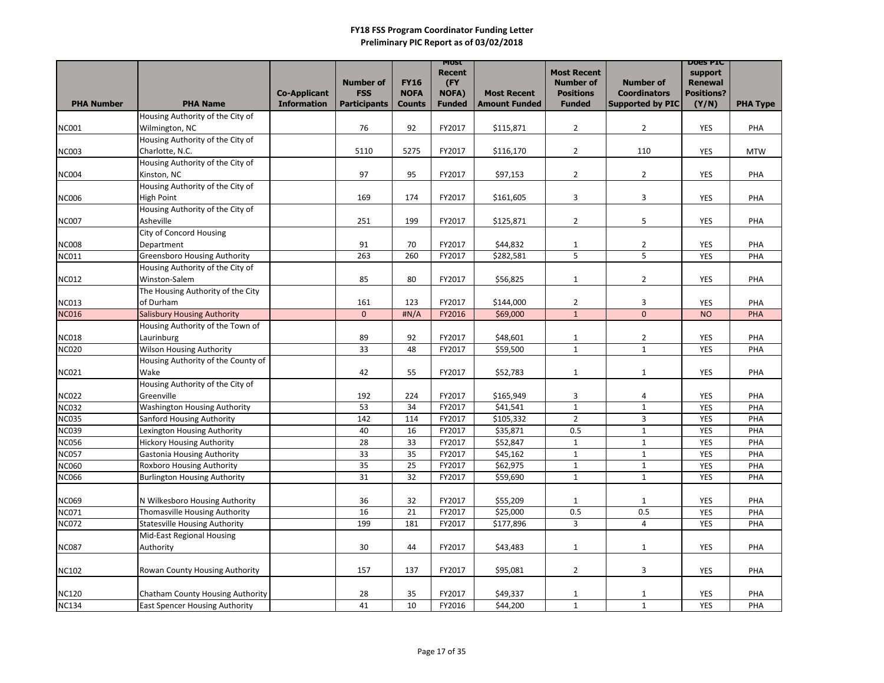|                              |                                                                 |                     |                     |               | <b>MOST</b><br><b>Recent</b> |                      | <b>Most Recent</b>           |                              | <b>DOES PIC</b><br>support |                 |
|------------------------------|-----------------------------------------------------------------|---------------------|---------------------|---------------|------------------------------|----------------------|------------------------------|------------------------------|----------------------------|-----------------|
|                              |                                                                 |                     | <b>Number of</b>    | <b>FY16</b>   | (FY                          |                      | <b>Number of</b>             | <b>Number of</b>             | <b>Renewal</b>             |                 |
|                              |                                                                 | <b>Co-Applicant</b> | <b>FSS</b>          | <b>NOFA</b>   | <b>NOFA)</b>                 | <b>Most Recent</b>   | <b>Positions</b>             | <b>Coordinators</b>          | <b>Positions?</b>          |                 |
| <b>PHA Number</b>            | <b>PHA Name</b>                                                 | <b>Information</b>  | <b>Participants</b> | <b>Counts</b> | <b>Funded</b>                | <b>Amount Funded</b> | <b>Funded</b>                | <b>Supported by PIC</b>      | (Y/N)                      | <b>PHA Type</b> |
| <b>NC001</b>                 | Housing Authority of the City of<br>Wilmington, NC              |                     | 76                  | 92            | FY2017                       | \$115,871            | $\overline{2}$               | $\overline{2}$               | <b>YES</b>                 | PHA             |
|                              | Housing Authority of the City of                                |                     |                     |               |                              |                      |                              |                              |                            |                 |
| <b>NC003</b>                 | Charlotte, N.C.                                                 |                     | 5110                | 5275          | FY2017                       | \$116,170            | $\overline{2}$               | 110                          | YES                        | <b>MTW</b>      |
|                              | Housing Authority of the City of                                |                     |                     |               |                              |                      |                              |                              |                            |                 |
| <b>NC004</b>                 | Kinston, NC                                                     |                     | 97                  | 95            | FY2017                       | \$97,153             | $\overline{2}$               | $\overline{2}$               | <b>YES</b>                 | PHA             |
|                              | Housing Authority of the City of                                |                     |                     |               |                              |                      |                              |                              |                            |                 |
| <b>NC006</b>                 | High Point                                                      |                     | 169                 | 174           | FY2017                       | \$161,605            | 3                            | 3                            | <b>YES</b>                 | PHA             |
|                              | Housing Authority of the City of                                |                     |                     |               |                              |                      |                              |                              |                            |                 |
| <b>NC007</b>                 | Asheville                                                       |                     | 251                 | 199           | FY2017                       | \$125,871            | $\overline{2}$               | 5                            | <b>YES</b>                 | PHA             |
|                              | <b>City of Concord Housing</b>                                  |                     |                     |               |                              |                      |                              |                              |                            |                 |
| <b>NC008</b>                 | Department                                                      |                     | 91                  | 70            | FY2017                       | \$44,832             | $\mathbf{1}$                 | $\overline{2}$               | <b>YES</b>                 | PHA             |
| <b>NC011</b>                 | <b>Greensboro Housing Authority</b>                             |                     | 263                 | 260           | FY2017                       | \$282,581            | 5                            | 5                            | <b>YES</b>                 | PHA             |
| <b>NC012</b>                 | Housing Authority of the City of<br>Winston-Salem               |                     | 85                  | 80            | FY2017                       | \$56,825             | $\mathbf{1}$                 | $\overline{2}$               | <b>YES</b>                 | PHA             |
|                              | The Housing Authority of the City                               |                     |                     |               |                              |                      |                              |                              |                            |                 |
| <b>NC013</b>                 | of Durham                                                       |                     | 161                 | 123           | FY2017                       | \$144,000            | $\overline{2}$               | 3                            | <b>YES</b>                 | PHA             |
| <b>NC016</b>                 | <b>Salisbury Housing Authority</b>                              |                     | $\mathbf 0$         | #N/A          | FY2016                       | \$69,000             | $\mathbf{1}$                 | $\overline{0}$               | <b>NO</b>                  | PHA             |
|                              | Housing Authority of the Town of                                |                     |                     |               |                              |                      |                              |                              |                            |                 |
| <b>NC018</b>                 | Laurinburg                                                      |                     | 89                  | 92            | FY2017                       | \$48,601             | $\mathbf{1}$                 | $\overline{2}$               | <b>YES</b>                 | PHA             |
| <b>NC020</b>                 | <b>Wilson Housing Authority</b>                                 |                     | 33                  | 48            | FY2017                       | \$59,500             | $\mathbf{1}$                 | $\mathbf{1}$                 | <b>YES</b>                 | PHA             |
|                              | Housing Authority of the County of                              |                     |                     |               |                              |                      |                              |                              |                            |                 |
| <b>NC021</b>                 | Wake                                                            |                     | 42                  | 55            | FY2017                       | \$52,783             | $\mathbf{1}$                 | $\mathbf{1}$                 | YES                        | PHA             |
|                              | Housing Authority of the City of                                |                     |                     |               |                              |                      |                              |                              |                            |                 |
| <b>NC022</b>                 | Greenville                                                      |                     | 192                 | 224           | FY2017                       | \$165,949            | 3                            | 4                            | <b>YES</b>                 | PHA             |
| <b>NC032</b>                 | <b>Washington Housing Authority</b>                             |                     | 53                  | 34            | FY2017                       | \$41,541             | $\mathbf{1}$                 | $\mathbf{1}$                 | <b>YES</b>                 | PHA             |
| <b>NC035</b>                 | Sanford Housing Authority                                       |                     | 142                 | 114           | FY2017                       | \$105,332            | $\overline{2}$               | 3                            | <b>YES</b>                 | PHA             |
| <b>NC039</b><br><b>NC056</b> | Lexington Housing Authority<br><b>Hickory Housing Authority</b> |                     | 40<br>28            | 16<br>33      | FY2017<br>FY2017             | \$35,871<br>\$52,847 | 0.5<br>$\mathbf{1}$          | $\mathbf{1}$<br>$\mathbf{1}$ | <b>YES</b><br><b>YES</b>   | PHA<br>PHA      |
| <b>NC057</b>                 | <b>Gastonia Housing Authority</b>                               |                     | 33                  | 35            | FY2017                       | \$45,162             | $\mathbf{1}$                 | $\mathbf{1}$                 | <b>YES</b>                 | PHA             |
| <b>NC060</b>                 | <b>Roxboro Housing Authority</b>                                |                     | 35                  | 25            | FY2017                       | \$62,975             | $\mathbf{1}$                 | $\mathbf{1}$                 | <b>YES</b>                 | PHA             |
| <b>NC066</b>                 | <b>Burlington Housing Authority</b>                             |                     | 31                  | 32            | FY2017                       | \$59,690             | $\mathbf{1}$                 | $\mathbf{1}$                 | <b>YES</b>                 | PHA             |
|                              |                                                                 |                     |                     |               |                              |                      |                              |                              |                            |                 |
| <b>NC069</b>                 | N Wilkesboro Housing Authority                                  |                     | 36                  | 32            | FY2017                       | \$55,209             | $\mathbf{1}$                 | $\mathbf{1}$                 | <b>YES</b>                 | PHA             |
| <b>NC071</b>                 | Thomasville Housing Authority                                   |                     | 16                  | 21            | FY2017                       | \$25,000             | 0.5                          | 0.5                          | YES                        | PHA             |
| <b>NC072</b>                 | <b>Statesville Housing Authority</b>                            |                     | 199                 | 181           | FY2017                       | \$177,896            | 3 <sup>1</sup>               | $\overline{4}$               | <b>YES</b>                 | PHA             |
|                              | Mid-East Regional Housing                                       |                     |                     |               |                              |                      |                              |                              |                            |                 |
| <b>NC087</b>                 | Authority                                                       |                     | 30                  | 44            | FY2017                       | \$43,483             | $\mathbf{1}$                 | $\mathbf{1}$                 | YES                        | PHA             |
|                              |                                                                 |                     |                     |               |                              |                      |                              |                              |                            |                 |
| <b>NC102</b>                 | <b>Rowan County Housing Authority</b>                           |                     | 157                 | 137           | FY2017                       | \$95,081             | $\overline{2}$               | 3                            | <b>YES</b>                 | PHA             |
| <b>NC120</b>                 | Chatham County Housing Authority                                |                     | 28                  | 35            | FY2017                       | \$49,337             |                              |                              | <b>YES</b>                 | PHA             |
| <b>NC134</b>                 | <b>East Spencer Housing Authority</b>                           |                     | 41                  | 10            | FY2016                       | \$44,200             | $\mathbf{1}$<br>$\mathbf{1}$ | $\mathbf{1}$<br>$\mathbf{1}$ | <b>YES</b>                 | PHA             |
|                              |                                                                 |                     |                     |               |                              |                      |                              |                              |                            |                 |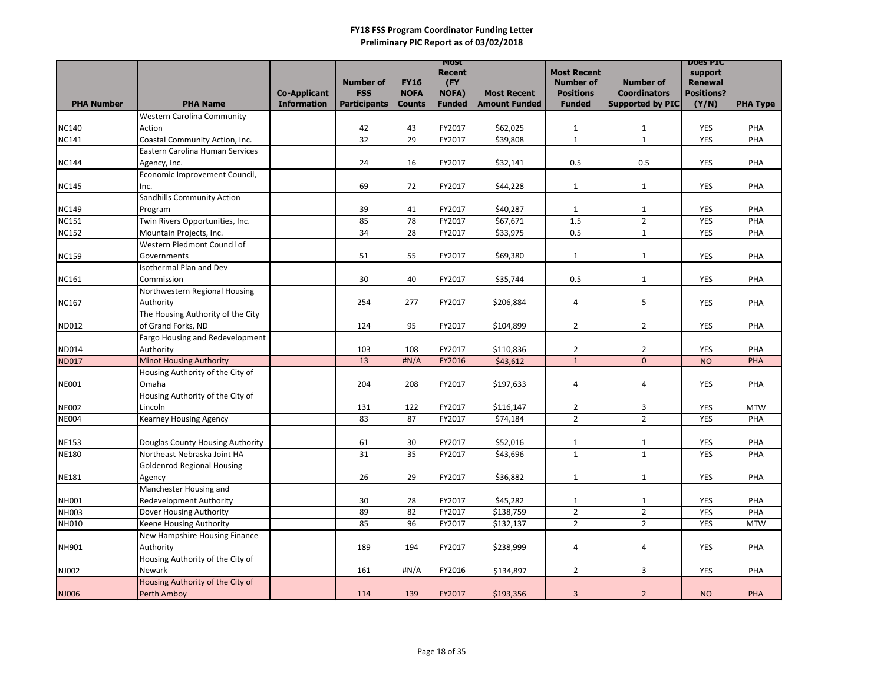| <b>Number of</b><br><b>FY16</b><br>(FY<br><b>Number of</b><br><b>Number of</b><br><b>Renewal</b><br><b>FSS</b><br><b>Positions</b><br><b>Positions?</b><br><b>NOFA</b><br><b>NOFA)</b><br><b>Coordinators</b><br><b>Co-Applicant</b><br><b>Most Recent</b><br><b>Participants</b><br><b>PHA Number</b><br><b>PHA Name</b><br><b>Information</b><br><b>Amount Funded</b><br><b>Funded</b><br><b>Supported by PIC</b><br>(Y/N)<br><b>Funded</b><br><b>PHA Type</b><br><b>Counts</b><br><b>Western Carolina Community</b><br>FY2017<br>\$62,025<br><b>NC140</b><br>42<br>43<br><b>YES</b><br>PHA<br>Action<br>$\mathbf{1}$<br>$\mathbf{1}$<br>32<br>$\mathbf{1}$<br>$\mathbf{1}$<br>Coastal Community Action, Inc.<br>29<br>\$39,808<br><b>NC141</b><br>FY2017<br><b>YES</b><br>PHA<br>Eastern Carolina Human Services<br>24<br>16<br>FY2017<br>\$32,141<br>0.5<br><b>NC144</b><br>0.5<br><b>YES</b><br>PHA<br>Agency, Inc.<br>Economic Improvement Council,<br>69<br>72<br>\$44,228<br>FY2017<br><b>YES</b><br>PHA<br>$\mathbf{1}$<br>$\mathbf{1}$<br>Inc.<br>Sandhills Community Action<br>39<br>FY2017<br>\$40,287<br>41<br><b>YES</b><br>PHA<br>1<br>1<br>Program<br>1.5<br>$2^{\circ}$<br>Twin Rivers Opportunities, Inc.<br>85<br>78<br>\$67,671<br>FY2017<br><b>YES</b><br>PHA<br>34<br>Mountain Projects, Inc.<br>28<br>\$33,975<br>0.5<br>$\mathbf{1}$<br>FY2017<br>YES<br>PHA<br>Western Piedmont Council of<br>51<br>55<br>FY2017<br>\$69,380<br><b>YES</b><br>PHA<br>$\mathbf{1}$<br>$\mathbf{1}$<br>Governments<br><b>Isothermal Plan and Dev</b><br>30<br>40<br>FY2017<br>0.5<br>\$35,744<br><b>YES</b><br>PHA<br>Commission<br>$\mathbf{1}$<br>Northwestern Regional Housing<br>254<br>277<br>FY2017<br>5<br><b>YES</b><br>Authority<br>\$206,884<br>$\overline{4}$<br>PHA<br>The Housing Authority of the City<br>of Grand Forks, ND<br>\$104,899<br>124<br>95<br>FY2017<br>$\overline{2}$<br>$\overline{2}$<br><b>YES</b><br>PHA<br>Fargo Housing and Redevelopment<br>108<br>FY2017<br>\$110,836<br>$\overline{2}$<br>Authority<br>103<br>$\overline{2}$<br><b>YES</b><br>PHA<br>$\overline{0}$<br>$\mathbf{1}$<br><b>ND017</b><br><b>Minot Housing Authority</b><br>13<br>H N/A<br>FY2016<br>\$43,612<br>PHA<br><b>NO</b><br>Housing Authority of the City of<br><b>NE001</b><br>204<br>208<br>FY2017<br>\$197,633<br><b>YES</b><br>Omaha<br>$\overline{4}$<br>PHA<br>4<br>Housing Authority of the City of<br>FY2017<br>\$116,147<br><b>NE002</b><br>Lincoln<br>131<br>122<br>$\overline{2}$<br>3<br><b>YES</b><br><b>MTW</b><br><b>NE004</b><br>\$74,184<br><b>YES</b><br>Kearney Housing Agency<br>83<br>87<br>FY2017<br>$\overline{2}$<br>$\overline{2}$<br>PHA<br>61<br>30<br>FY2017<br>\$52,016<br><b>NE153</b><br>Douglas County Housing Authority<br>$\mathbf{1}$<br><b>YES</b><br>PHA<br>$\mathbf{1}$<br><b>NE180</b><br>31<br>35<br>$\mathbf{1}$<br>Northeast Nebraska Joint HA<br>FY2017<br>\$43,696<br>$\mathbf{1}$<br><b>YES</b><br>PHA<br><b>Goldenrod Regional Housing</b><br>29<br>26<br>FY2017<br>\$36,882<br><b>NE181</b><br>$\mathbf{1}$<br>$\mathbf{1}$<br><b>YES</b><br>PHA<br>Agency<br>Manchester Housing and<br>30<br>28<br>\$45,282<br><b>NH001</b><br><b>Redevelopment Authority</b><br>FY2017<br>$\mathbf{1}$<br>$\mathbf{1}$<br><b>YES</b><br>PHA<br>$2^{\circ}$<br><b>NH003</b><br>89<br>82<br>FY2017<br>\$138,759<br>$\overline{2}$<br>Dover Housing Authority<br><b>YES</b><br>PHA<br>$2^{\circ}$<br>NH010<br>85<br>96<br>$\overline{2}$<br>FY2017<br><b>YES</b><br>Keene Housing Authority<br>\$132,137<br><b>MTW</b><br>New Hampshire Housing Finance<br>\$238,999<br>Authority<br>189<br>194<br>FY2017<br>4<br>4<br><b>NH901</b><br>YES<br>PHA<br>Housing Authority of the City of<br>$\sharp N/A$<br>\$134,897<br>$\overline{2}$<br>$\mathbf{3}$<br>NJ002<br>161<br>FY2016<br><b>YES</b><br>PHA<br>Newark<br>Housing Authority of the City of<br>\$193,356<br>Perth Amboy<br>139<br>FY2017<br>$\overline{3}$<br><b>NO</b><br>NJ006<br>114<br>$\overline{2}$<br><b>PHA</b> |              |  |  | <b>MOST</b><br><b>Recent</b> | <b>Most Recent</b> | <b>DOES PIC</b><br>support |  |
|------------------------------------------------------------------------------------------------------------------------------------------------------------------------------------------------------------------------------------------------------------------------------------------------------------------------------------------------------------------------------------------------------------------------------------------------------------------------------------------------------------------------------------------------------------------------------------------------------------------------------------------------------------------------------------------------------------------------------------------------------------------------------------------------------------------------------------------------------------------------------------------------------------------------------------------------------------------------------------------------------------------------------------------------------------------------------------------------------------------------------------------------------------------------------------------------------------------------------------------------------------------------------------------------------------------------------------------------------------------------------------------------------------------------------------------------------------------------------------------------------------------------------------------------------------------------------------------------------------------------------------------------------------------------------------------------------------------------------------------------------------------------------------------------------------------------------------------------------------------------------------------------------------------------------------------------------------------------------------------------------------------------------------------------------------------------------------------------------------------------------------------------------------------------------------------------------------------------------------------------------------------------------------------------------------------------------------------------------------------------------------------------------------------------------------------------------------------------------------------------------------------------------------------------------------------------------------------------------------------------------------------------------------------------------------------------------------------------------------------------------------------------------------------------------------------------------------------------------------------------------------------------------------------------------------------------------------------------------------------------------------------------------------------------------------------------------------------------------------------------------------------------------------------------------------------------------------------------------------------------------------------------------------------------------------------------------------------------------------------------------------------------------------------------------------------------------------------------------------------------------------------------------------------------------------------------------------------------------------------------------------------------------------------------------------------------------------------------------------------------------------------------------------------------------------------------------------------------------------------------------------------------------------------------------------------------------------------------------------------------------------------------------|--------------|--|--|------------------------------|--------------------|----------------------------|--|
|                                                                                                                                                                                                                                                                                                                                                                                                                                                                                                                                                                                                                                                                                                                                                                                                                                                                                                                                                                                                                                                                                                                                                                                                                                                                                                                                                                                                                                                                                                                                                                                                                                                                                                                                                                                                                                                                                                                                                                                                                                                                                                                                                                                                                                                                                                                                                                                                                                                                                                                                                                                                                                                                                                                                                                                                                                                                                                                                                                                                                                                                                                                                                                                                                                                                                                                                                                                                                                                                                                                                                                                                                                                                                                                                                                                                                                                                                                                                                                                                                              |              |  |  |                              |                    |                            |  |
|                                                                                                                                                                                                                                                                                                                                                                                                                                                                                                                                                                                                                                                                                                                                                                                                                                                                                                                                                                                                                                                                                                                                                                                                                                                                                                                                                                                                                                                                                                                                                                                                                                                                                                                                                                                                                                                                                                                                                                                                                                                                                                                                                                                                                                                                                                                                                                                                                                                                                                                                                                                                                                                                                                                                                                                                                                                                                                                                                                                                                                                                                                                                                                                                                                                                                                                                                                                                                                                                                                                                                                                                                                                                                                                                                                                                                                                                                                                                                                                                                              |              |  |  |                              |                    |                            |  |
|                                                                                                                                                                                                                                                                                                                                                                                                                                                                                                                                                                                                                                                                                                                                                                                                                                                                                                                                                                                                                                                                                                                                                                                                                                                                                                                                                                                                                                                                                                                                                                                                                                                                                                                                                                                                                                                                                                                                                                                                                                                                                                                                                                                                                                                                                                                                                                                                                                                                                                                                                                                                                                                                                                                                                                                                                                                                                                                                                                                                                                                                                                                                                                                                                                                                                                                                                                                                                                                                                                                                                                                                                                                                                                                                                                                                                                                                                                                                                                                                                              |              |  |  |                              |                    |                            |  |
|                                                                                                                                                                                                                                                                                                                                                                                                                                                                                                                                                                                                                                                                                                                                                                                                                                                                                                                                                                                                                                                                                                                                                                                                                                                                                                                                                                                                                                                                                                                                                                                                                                                                                                                                                                                                                                                                                                                                                                                                                                                                                                                                                                                                                                                                                                                                                                                                                                                                                                                                                                                                                                                                                                                                                                                                                                                                                                                                                                                                                                                                                                                                                                                                                                                                                                                                                                                                                                                                                                                                                                                                                                                                                                                                                                                                                                                                                                                                                                                                                              |              |  |  |                              |                    |                            |  |
|                                                                                                                                                                                                                                                                                                                                                                                                                                                                                                                                                                                                                                                                                                                                                                                                                                                                                                                                                                                                                                                                                                                                                                                                                                                                                                                                                                                                                                                                                                                                                                                                                                                                                                                                                                                                                                                                                                                                                                                                                                                                                                                                                                                                                                                                                                                                                                                                                                                                                                                                                                                                                                                                                                                                                                                                                                                                                                                                                                                                                                                                                                                                                                                                                                                                                                                                                                                                                                                                                                                                                                                                                                                                                                                                                                                                                                                                                                                                                                                                                              |              |  |  |                              |                    |                            |  |
|                                                                                                                                                                                                                                                                                                                                                                                                                                                                                                                                                                                                                                                                                                                                                                                                                                                                                                                                                                                                                                                                                                                                                                                                                                                                                                                                                                                                                                                                                                                                                                                                                                                                                                                                                                                                                                                                                                                                                                                                                                                                                                                                                                                                                                                                                                                                                                                                                                                                                                                                                                                                                                                                                                                                                                                                                                                                                                                                                                                                                                                                                                                                                                                                                                                                                                                                                                                                                                                                                                                                                                                                                                                                                                                                                                                                                                                                                                                                                                                                                              |              |  |  |                              |                    |                            |  |
|                                                                                                                                                                                                                                                                                                                                                                                                                                                                                                                                                                                                                                                                                                                                                                                                                                                                                                                                                                                                                                                                                                                                                                                                                                                                                                                                                                                                                                                                                                                                                                                                                                                                                                                                                                                                                                                                                                                                                                                                                                                                                                                                                                                                                                                                                                                                                                                                                                                                                                                                                                                                                                                                                                                                                                                                                                                                                                                                                                                                                                                                                                                                                                                                                                                                                                                                                                                                                                                                                                                                                                                                                                                                                                                                                                                                                                                                                                                                                                                                                              |              |  |  |                              |                    |                            |  |
|                                                                                                                                                                                                                                                                                                                                                                                                                                                                                                                                                                                                                                                                                                                                                                                                                                                                                                                                                                                                                                                                                                                                                                                                                                                                                                                                                                                                                                                                                                                                                                                                                                                                                                                                                                                                                                                                                                                                                                                                                                                                                                                                                                                                                                                                                                                                                                                                                                                                                                                                                                                                                                                                                                                                                                                                                                                                                                                                                                                                                                                                                                                                                                                                                                                                                                                                                                                                                                                                                                                                                                                                                                                                                                                                                                                                                                                                                                                                                                                                                              |              |  |  |                              |                    |                            |  |
|                                                                                                                                                                                                                                                                                                                                                                                                                                                                                                                                                                                                                                                                                                                                                                                                                                                                                                                                                                                                                                                                                                                                                                                                                                                                                                                                                                                                                                                                                                                                                                                                                                                                                                                                                                                                                                                                                                                                                                                                                                                                                                                                                                                                                                                                                                                                                                                                                                                                                                                                                                                                                                                                                                                                                                                                                                                                                                                                                                                                                                                                                                                                                                                                                                                                                                                                                                                                                                                                                                                                                                                                                                                                                                                                                                                                                                                                                                                                                                                                                              | <b>NC145</b> |  |  |                              |                    |                            |  |
|                                                                                                                                                                                                                                                                                                                                                                                                                                                                                                                                                                                                                                                                                                                                                                                                                                                                                                                                                                                                                                                                                                                                                                                                                                                                                                                                                                                                                                                                                                                                                                                                                                                                                                                                                                                                                                                                                                                                                                                                                                                                                                                                                                                                                                                                                                                                                                                                                                                                                                                                                                                                                                                                                                                                                                                                                                                                                                                                                                                                                                                                                                                                                                                                                                                                                                                                                                                                                                                                                                                                                                                                                                                                                                                                                                                                                                                                                                                                                                                                                              |              |  |  |                              |                    |                            |  |
|                                                                                                                                                                                                                                                                                                                                                                                                                                                                                                                                                                                                                                                                                                                                                                                                                                                                                                                                                                                                                                                                                                                                                                                                                                                                                                                                                                                                                                                                                                                                                                                                                                                                                                                                                                                                                                                                                                                                                                                                                                                                                                                                                                                                                                                                                                                                                                                                                                                                                                                                                                                                                                                                                                                                                                                                                                                                                                                                                                                                                                                                                                                                                                                                                                                                                                                                                                                                                                                                                                                                                                                                                                                                                                                                                                                                                                                                                                                                                                                                                              | <b>NC149</b> |  |  |                              |                    |                            |  |
|                                                                                                                                                                                                                                                                                                                                                                                                                                                                                                                                                                                                                                                                                                                                                                                                                                                                                                                                                                                                                                                                                                                                                                                                                                                                                                                                                                                                                                                                                                                                                                                                                                                                                                                                                                                                                                                                                                                                                                                                                                                                                                                                                                                                                                                                                                                                                                                                                                                                                                                                                                                                                                                                                                                                                                                                                                                                                                                                                                                                                                                                                                                                                                                                                                                                                                                                                                                                                                                                                                                                                                                                                                                                                                                                                                                                                                                                                                                                                                                                                              | <b>NC151</b> |  |  |                              |                    |                            |  |
|                                                                                                                                                                                                                                                                                                                                                                                                                                                                                                                                                                                                                                                                                                                                                                                                                                                                                                                                                                                                                                                                                                                                                                                                                                                                                                                                                                                                                                                                                                                                                                                                                                                                                                                                                                                                                                                                                                                                                                                                                                                                                                                                                                                                                                                                                                                                                                                                                                                                                                                                                                                                                                                                                                                                                                                                                                                                                                                                                                                                                                                                                                                                                                                                                                                                                                                                                                                                                                                                                                                                                                                                                                                                                                                                                                                                                                                                                                                                                                                                                              | <b>NC152</b> |  |  |                              |                    |                            |  |
|                                                                                                                                                                                                                                                                                                                                                                                                                                                                                                                                                                                                                                                                                                                                                                                                                                                                                                                                                                                                                                                                                                                                                                                                                                                                                                                                                                                                                                                                                                                                                                                                                                                                                                                                                                                                                                                                                                                                                                                                                                                                                                                                                                                                                                                                                                                                                                                                                                                                                                                                                                                                                                                                                                                                                                                                                                                                                                                                                                                                                                                                                                                                                                                                                                                                                                                                                                                                                                                                                                                                                                                                                                                                                                                                                                                                                                                                                                                                                                                                                              |              |  |  |                              |                    |                            |  |
|                                                                                                                                                                                                                                                                                                                                                                                                                                                                                                                                                                                                                                                                                                                                                                                                                                                                                                                                                                                                                                                                                                                                                                                                                                                                                                                                                                                                                                                                                                                                                                                                                                                                                                                                                                                                                                                                                                                                                                                                                                                                                                                                                                                                                                                                                                                                                                                                                                                                                                                                                                                                                                                                                                                                                                                                                                                                                                                                                                                                                                                                                                                                                                                                                                                                                                                                                                                                                                                                                                                                                                                                                                                                                                                                                                                                                                                                                                                                                                                                                              | <b>NC159</b> |  |  |                              |                    |                            |  |
|                                                                                                                                                                                                                                                                                                                                                                                                                                                                                                                                                                                                                                                                                                                                                                                                                                                                                                                                                                                                                                                                                                                                                                                                                                                                                                                                                                                                                                                                                                                                                                                                                                                                                                                                                                                                                                                                                                                                                                                                                                                                                                                                                                                                                                                                                                                                                                                                                                                                                                                                                                                                                                                                                                                                                                                                                                                                                                                                                                                                                                                                                                                                                                                                                                                                                                                                                                                                                                                                                                                                                                                                                                                                                                                                                                                                                                                                                                                                                                                                                              |              |  |  |                              |                    |                            |  |
|                                                                                                                                                                                                                                                                                                                                                                                                                                                                                                                                                                                                                                                                                                                                                                                                                                                                                                                                                                                                                                                                                                                                                                                                                                                                                                                                                                                                                                                                                                                                                                                                                                                                                                                                                                                                                                                                                                                                                                                                                                                                                                                                                                                                                                                                                                                                                                                                                                                                                                                                                                                                                                                                                                                                                                                                                                                                                                                                                                                                                                                                                                                                                                                                                                                                                                                                                                                                                                                                                                                                                                                                                                                                                                                                                                                                                                                                                                                                                                                                                              | <b>NC161</b> |  |  |                              |                    |                            |  |
|                                                                                                                                                                                                                                                                                                                                                                                                                                                                                                                                                                                                                                                                                                                                                                                                                                                                                                                                                                                                                                                                                                                                                                                                                                                                                                                                                                                                                                                                                                                                                                                                                                                                                                                                                                                                                                                                                                                                                                                                                                                                                                                                                                                                                                                                                                                                                                                                                                                                                                                                                                                                                                                                                                                                                                                                                                                                                                                                                                                                                                                                                                                                                                                                                                                                                                                                                                                                                                                                                                                                                                                                                                                                                                                                                                                                                                                                                                                                                                                                                              |              |  |  |                              |                    |                            |  |
|                                                                                                                                                                                                                                                                                                                                                                                                                                                                                                                                                                                                                                                                                                                                                                                                                                                                                                                                                                                                                                                                                                                                                                                                                                                                                                                                                                                                                                                                                                                                                                                                                                                                                                                                                                                                                                                                                                                                                                                                                                                                                                                                                                                                                                                                                                                                                                                                                                                                                                                                                                                                                                                                                                                                                                                                                                                                                                                                                                                                                                                                                                                                                                                                                                                                                                                                                                                                                                                                                                                                                                                                                                                                                                                                                                                                                                                                                                                                                                                                                              | <b>NC167</b> |  |  |                              |                    |                            |  |
|                                                                                                                                                                                                                                                                                                                                                                                                                                                                                                                                                                                                                                                                                                                                                                                                                                                                                                                                                                                                                                                                                                                                                                                                                                                                                                                                                                                                                                                                                                                                                                                                                                                                                                                                                                                                                                                                                                                                                                                                                                                                                                                                                                                                                                                                                                                                                                                                                                                                                                                                                                                                                                                                                                                                                                                                                                                                                                                                                                                                                                                                                                                                                                                                                                                                                                                                                                                                                                                                                                                                                                                                                                                                                                                                                                                                                                                                                                                                                                                                                              |              |  |  |                              |                    |                            |  |
|                                                                                                                                                                                                                                                                                                                                                                                                                                                                                                                                                                                                                                                                                                                                                                                                                                                                                                                                                                                                                                                                                                                                                                                                                                                                                                                                                                                                                                                                                                                                                                                                                                                                                                                                                                                                                                                                                                                                                                                                                                                                                                                                                                                                                                                                                                                                                                                                                                                                                                                                                                                                                                                                                                                                                                                                                                                                                                                                                                                                                                                                                                                                                                                                                                                                                                                                                                                                                                                                                                                                                                                                                                                                                                                                                                                                                                                                                                                                                                                                                              | ND012        |  |  |                              |                    |                            |  |
|                                                                                                                                                                                                                                                                                                                                                                                                                                                                                                                                                                                                                                                                                                                                                                                                                                                                                                                                                                                                                                                                                                                                                                                                                                                                                                                                                                                                                                                                                                                                                                                                                                                                                                                                                                                                                                                                                                                                                                                                                                                                                                                                                                                                                                                                                                                                                                                                                                                                                                                                                                                                                                                                                                                                                                                                                                                                                                                                                                                                                                                                                                                                                                                                                                                                                                                                                                                                                                                                                                                                                                                                                                                                                                                                                                                                                                                                                                                                                                                                                              |              |  |  |                              |                    |                            |  |
|                                                                                                                                                                                                                                                                                                                                                                                                                                                                                                                                                                                                                                                                                                                                                                                                                                                                                                                                                                                                                                                                                                                                                                                                                                                                                                                                                                                                                                                                                                                                                                                                                                                                                                                                                                                                                                                                                                                                                                                                                                                                                                                                                                                                                                                                                                                                                                                                                                                                                                                                                                                                                                                                                                                                                                                                                                                                                                                                                                                                                                                                                                                                                                                                                                                                                                                                                                                                                                                                                                                                                                                                                                                                                                                                                                                                                                                                                                                                                                                                                              | ND014        |  |  |                              |                    |                            |  |
|                                                                                                                                                                                                                                                                                                                                                                                                                                                                                                                                                                                                                                                                                                                                                                                                                                                                                                                                                                                                                                                                                                                                                                                                                                                                                                                                                                                                                                                                                                                                                                                                                                                                                                                                                                                                                                                                                                                                                                                                                                                                                                                                                                                                                                                                                                                                                                                                                                                                                                                                                                                                                                                                                                                                                                                                                                                                                                                                                                                                                                                                                                                                                                                                                                                                                                                                                                                                                                                                                                                                                                                                                                                                                                                                                                                                                                                                                                                                                                                                                              |              |  |  |                              |                    |                            |  |
|                                                                                                                                                                                                                                                                                                                                                                                                                                                                                                                                                                                                                                                                                                                                                                                                                                                                                                                                                                                                                                                                                                                                                                                                                                                                                                                                                                                                                                                                                                                                                                                                                                                                                                                                                                                                                                                                                                                                                                                                                                                                                                                                                                                                                                                                                                                                                                                                                                                                                                                                                                                                                                                                                                                                                                                                                                                                                                                                                                                                                                                                                                                                                                                                                                                                                                                                                                                                                                                                                                                                                                                                                                                                                                                                                                                                                                                                                                                                                                                                                              |              |  |  |                              |                    |                            |  |
|                                                                                                                                                                                                                                                                                                                                                                                                                                                                                                                                                                                                                                                                                                                                                                                                                                                                                                                                                                                                                                                                                                                                                                                                                                                                                                                                                                                                                                                                                                                                                                                                                                                                                                                                                                                                                                                                                                                                                                                                                                                                                                                                                                                                                                                                                                                                                                                                                                                                                                                                                                                                                                                                                                                                                                                                                                                                                                                                                                                                                                                                                                                                                                                                                                                                                                                                                                                                                                                                                                                                                                                                                                                                                                                                                                                                                                                                                                                                                                                                                              |              |  |  |                              |                    |                            |  |
|                                                                                                                                                                                                                                                                                                                                                                                                                                                                                                                                                                                                                                                                                                                                                                                                                                                                                                                                                                                                                                                                                                                                                                                                                                                                                                                                                                                                                                                                                                                                                                                                                                                                                                                                                                                                                                                                                                                                                                                                                                                                                                                                                                                                                                                                                                                                                                                                                                                                                                                                                                                                                                                                                                                                                                                                                                                                                                                                                                                                                                                                                                                                                                                                                                                                                                                                                                                                                                                                                                                                                                                                                                                                                                                                                                                                                                                                                                                                                                                                                              |              |  |  |                              |                    |                            |  |
|                                                                                                                                                                                                                                                                                                                                                                                                                                                                                                                                                                                                                                                                                                                                                                                                                                                                                                                                                                                                                                                                                                                                                                                                                                                                                                                                                                                                                                                                                                                                                                                                                                                                                                                                                                                                                                                                                                                                                                                                                                                                                                                                                                                                                                                                                                                                                                                                                                                                                                                                                                                                                                                                                                                                                                                                                                                                                                                                                                                                                                                                                                                                                                                                                                                                                                                                                                                                                                                                                                                                                                                                                                                                                                                                                                                                                                                                                                                                                                                                                              |              |  |  |                              |                    |                            |  |
|                                                                                                                                                                                                                                                                                                                                                                                                                                                                                                                                                                                                                                                                                                                                                                                                                                                                                                                                                                                                                                                                                                                                                                                                                                                                                                                                                                                                                                                                                                                                                                                                                                                                                                                                                                                                                                                                                                                                                                                                                                                                                                                                                                                                                                                                                                                                                                                                                                                                                                                                                                                                                                                                                                                                                                                                                                                                                                                                                                                                                                                                                                                                                                                                                                                                                                                                                                                                                                                                                                                                                                                                                                                                                                                                                                                                                                                                                                                                                                                                                              |              |  |  |                              |                    |                            |  |
|                                                                                                                                                                                                                                                                                                                                                                                                                                                                                                                                                                                                                                                                                                                                                                                                                                                                                                                                                                                                                                                                                                                                                                                                                                                                                                                                                                                                                                                                                                                                                                                                                                                                                                                                                                                                                                                                                                                                                                                                                                                                                                                                                                                                                                                                                                                                                                                                                                                                                                                                                                                                                                                                                                                                                                                                                                                                                                                                                                                                                                                                                                                                                                                                                                                                                                                                                                                                                                                                                                                                                                                                                                                                                                                                                                                                                                                                                                                                                                                                                              |              |  |  |                              |                    |                            |  |
|                                                                                                                                                                                                                                                                                                                                                                                                                                                                                                                                                                                                                                                                                                                                                                                                                                                                                                                                                                                                                                                                                                                                                                                                                                                                                                                                                                                                                                                                                                                                                                                                                                                                                                                                                                                                                                                                                                                                                                                                                                                                                                                                                                                                                                                                                                                                                                                                                                                                                                                                                                                                                                                                                                                                                                                                                                                                                                                                                                                                                                                                                                                                                                                                                                                                                                                                                                                                                                                                                                                                                                                                                                                                                                                                                                                                                                                                                                                                                                                                                              |              |  |  |                              |                    |                            |  |
|                                                                                                                                                                                                                                                                                                                                                                                                                                                                                                                                                                                                                                                                                                                                                                                                                                                                                                                                                                                                                                                                                                                                                                                                                                                                                                                                                                                                                                                                                                                                                                                                                                                                                                                                                                                                                                                                                                                                                                                                                                                                                                                                                                                                                                                                                                                                                                                                                                                                                                                                                                                                                                                                                                                                                                                                                                                                                                                                                                                                                                                                                                                                                                                                                                                                                                                                                                                                                                                                                                                                                                                                                                                                                                                                                                                                                                                                                                                                                                                                                              |              |  |  |                              |                    |                            |  |
|                                                                                                                                                                                                                                                                                                                                                                                                                                                                                                                                                                                                                                                                                                                                                                                                                                                                                                                                                                                                                                                                                                                                                                                                                                                                                                                                                                                                                                                                                                                                                                                                                                                                                                                                                                                                                                                                                                                                                                                                                                                                                                                                                                                                                                                                                                                                                                                                                                                                                                                                                                                                                                                                                                                                                                                                                                                                                                                                                                                                                                                                                                                                                                                                                                                                                                                                                                                                                                                                                                                                                                                                                                                                                                                                                                                                                                                                                                                                                                                                                              |              |  |  |                              |                    |                            |  |
|                                                                                                                                                                                                                                                                                                                                                                                                                                                                                                                                                                                                                                                                                                                                                                                                                                                                                                                                                                                                                                                                                                                                                                                                                                                                                                                                                                                                                                                                                                                                                                                                                                                                                                                                                                                                                                                                                                                                                                                                                                                                                                                                                                                                                                                                                                                                                                                                                                                                                                                                                                                                                                                                                                                                                                                                                                                                                                                                                                                                                                                                                                                                                                                                                                                                                                                                                                                                                                                                                                                                                                                                                                                                                                                                                                                                                                                                                                                                                                                                                              |              |  |  |                              |                    |                            |  |
|                                                                                                                                                                                                                                                                                                                                                                                                                                                                                                                                                                                                                                                                                                                                                                                                                                                                                                                                                                                                                                                                                                                                                                                                                                                                                                                                                                                                                                                                                                                                                                                                                                                                                                                                                                                                                                                                                                                                                                                                                                                                                                                                                                                                                                                                                                                                                                                                                                                                                                                                                                                                                                                                                                                                                                                                                                                                                                                                                                                                                                                                                                                                                                                                                                                                                                                                                                                                                                                                                                                                                                                                                                                                                                                                                                                                                                                                                                                                                                                                                              |              |  |  |                              |                    |                            |  |
|                                                                                                                                                                                                                                                                                                                                                                                                                                                                                                                                                                                                                                                                                                                                                                                                                                                                                                                                                                                                                                                                                                                                                                                                                                                                                                                                                                                                                                                                                                                                                                                                                                                                                                                                                                                                                                                                                                                                                                                                                                                                                                                                                                                                                                                                                                                                                                                                                                                                                                                                                                                                                                                                                                                                                                                                                                                                                                                                                                                                                                                                                                                                                                                                                                                                                                                                                                                                                                                                                                                                                                                                                                                                                                                                                                                                                                                                                                                                                                                                                              |              |  |  |                              |                    |                            |  |
|                                                                                                                                                                                                                                                                                                                                                                                                                                                                                                                                                                                                                                                                                                                                                                                                                                                                                                                                                                                                                                                                                                                                                                                                                                                                                                                                                                                                                                                                                                                                                                                                                                                                                                                                                                                                                                                                                                                                                                                                                                                                                                                                                                                                                                                                                                                                                                                                                                                                                                                                                                                                                                                                                                                                                                                                                                                                                                                                                                                                                                                                                                                                                                                                                                                                                                                                                                                                                                                                                                                                                                                                                                                                                                                                                                                                                                                                                                                                                                                                                              |              |  |  |                              |                    |                            |  |
|                                                                                                                                                                                                                                                                                                                                                                                                                                                                                                                                                                                                                                                                                                                                                                                                                                                                                                                                                                                                                                                                                                                                                                                                                                                                                                                                                                                                                                                                                                                                                                                                                                                                                                                                                                                                                                                                                                                                                                                                                                                                                                                                                                                                                                                                                                                                                                                                                                                                                                                                                                                                                                                                                                                                                                                                                                                                                                                                                                                                                                                                                                                                                                                                                                                                                                                                                                                                                                                                                                                                                                                                                                                                                                                                                                                                                                                                                                                                                                                                                              |              |  |  |                              |                    |                            |  |
|                                                                                                                                                                                                                                                                                                                                                                                                                                                                                                                                                                                                                                                                                                                                                                                                                                                                                                                                                                                                                                                                                                                                                                                                                                                                                                                                                                                                                                                                                                                                                                                                                                                                                                                                                                                                                                                                                                                                                                                                                                                                                                                                                                                                                                                                                                                                                                                                                                                                                                                                                                                                                                                                                                                                                                                                                                                                                                                                                                                                                                                                                                                                                                                                                                                                                                                                                                                                                                                                                                                                                                                                                                                                                                                                                                                                                                                                                                                                                                                                                              |              |  |  |                              |                    |                            |  |
|                                                                                                                                                                                                                                                                                                                                                                                                                                                                                                                                                                                                                                                                                                                                                                                                                                                                                                                                                                                                                                                                                                                                                                                                                                                                                                                                                                                                                                                                                                                                                                                                                                                                                                                                                                                                                                                                                                                                                                                                                                                                                                                                                                                                                                                                                                                                                                                                                                                                                                                                                                                                                                                                                                                                                                                                                                                                                                                                                                                                                                                                                                                                                                                                                                                                                                                                                                                                                                                                                                                                                                                                                                                                                                                                                                                                                                                                                                                                                                                                                              |              |  |  |                              |                    |                            |  |
|                                                                                                                                                                                                                                                                                                                                                                                                                                                                                                                                                                                                                                                                                                                                                                                                                                                                                                                                                                                                                                                                                                                                                                                                                                                                                                                                                                                                                                                                                                                                                                                                                                                                                                                                                                                                                                                                                                                                                                                                                                                                                                                                                                                                                                                                                                                                                                                                                                                                                                                                                                                                                                                                                                                                                                                                                                                                                                                                                                                                                                                                                                                                                                                                                                                                                                                                                                                                                                                                                                                                                                                                                                                                                                                                                                                                                                                                                                                                                                                                                              |              |  |  |                              |                    |                            |  |
|                                                                                                                                                                                                                                                                                                                                                                                                                                                                                                                                                                                                                                                                                                                                                                                                                                                                                                                                                                                                                                                                                                                                                                                                                                                                                                                                                                                                                                                                                                                                                                                                                                                                                                                                                                                                                                                                                                                                                                                                                                                                                                                                                                                                                                                                                                                                                                                                                                                                                                                                                                                                                                                                                                                                                                                                                                                                                                                                                                                                                                                                                                                                                                                                                                                                                                                                                                                                                                                                                                                                                                                                                                                                                                                                                                                                                                                                                                                                                                                                                              |              |  |  |                              |                    |                            |  |
|                                                                                                                                                                                                                                                                                                                                                                                                                                                                                                                                                                                                                                                                                                                                                                                                                                                                                                                                                                                                                                                                                                                                                                                                                                                                                                                                                                                                                                                                                                                                                                                                                                                                                                                                                                                                                                                                                                                                                                                                                                                                                                                                                                                                                                                                                                                                                                                                                                                                                                                                                                                                                                                                                                                                                                                                                                                                                                                                                                                                                                                                                                                                                                                                                                                                                                                                                                                                                                                                                                                                                                                                                                                                                                                                                                                                                                                                                                                                                                                                                              |              |  |  |                              |                    |                            |  |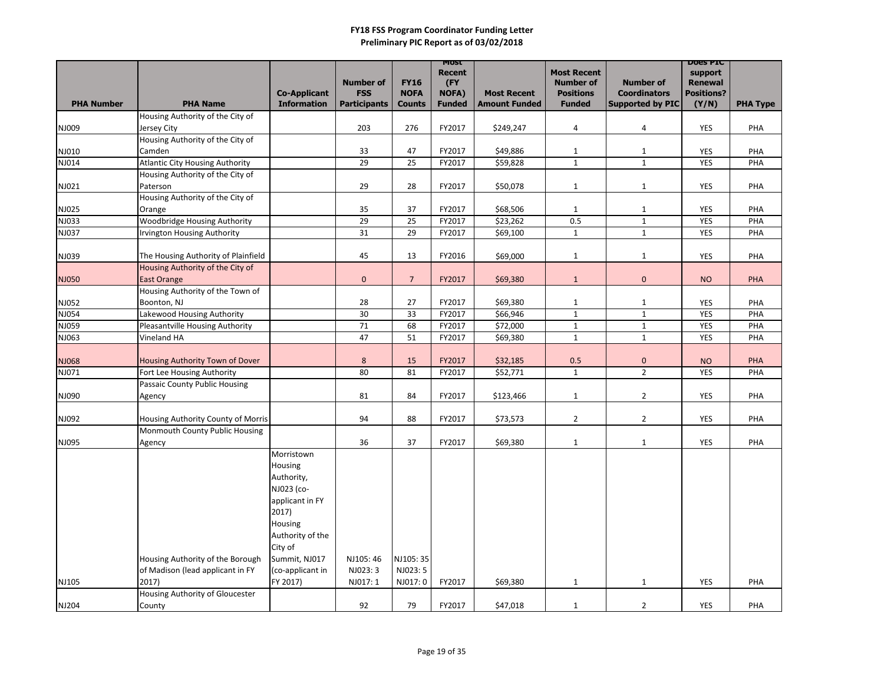|                   |                                                                      |                                           |                                   |                              | <b>MOST</b><br><b>Recent</b>  |                                            | <b>Most Recent</b>                |                                         | <b>DOES PIC</b><br>support |                 |
|-------------------|----------------------------------------------------------------------|-------------------------------------------|-----------------------------------|------------------------------|-------------------------------|--------------------------------------------|-----------------------------------|-----------------------------------------|----------------------------|-----------------|
|                   |                                                                      |                                           | <b>Number of</b>                  | <b>FY16</b>                  | (FY                           |                                            | <b>Number of</b>                  | <b>Number of</b>                        | <b>Renewal</b>             |                 |
| <b>PHA Number</b> | <b>PHA Name</b>                                                      | <b>Co-Applicant</b><br><b>Information</b> | <b>FSS</b><br><b>Participants</b> | <b>NOFA</b><br><b>Counts</b> | <b>NOFA)</b><br><b>Funded</b> | <b>Most Recent</b><br><b>Amount Funded</b> | <b>Positions</b><br><b>Funded</b> | <b>Coordinators</b><br>Supported by PIC | <b>Positions?</b><br>(Y/N) | <b>PHA Type</b> |
|                   | Housing Authority of the City of                                     |                                           |                                   |                              |                               |                                            |                                   |                                         |                            |                 |
| NJ009             | Jersey City                                                          |                                           | 203                               | 276                          | FY2017                        | \$249,247                                  | $\overline{a}$                    | 4                                       | YES                        | PHA             |
|                   | Housing Authority of the City of                                     |                                           |                                   |                              |                               |                                            |                                   |                                         |                            |                 |
| NJ010             | Camden                                                               |                                           | 33                                | 47                           | FY2017                        | \$49,886                                   | $\mathbf{1}$                      | $\mathbf{1}$                            | <b>YES</b>                 | PHA             |
| NJ014             | <b>Atlantic City Housing Authority</b>                               |                                           | 29                                | 25                           | FY2017                        | \$59,828                                   | $\mathbf{1}$                      | $\mathbf{1}$                            | <b>YES</b>                 | PHA             |
|                   | Housing Authority of the City of                                     |                                           |                                   |                              |                               |                                            |                                   |                                         |                            |                 |
| NJ021             | Paterson                                                             |                                           | 29                                | 28                           | FY2017                        | \$50,078                                   | $\mathbf{1}$                      | $\mathbf{1}$                            | <b>YES</b>                 | PHA             |
|                   | Housing Authority of the City of                                     |                                           |                                   |                              |                               |                                            |                                   |                                         |                            |                 |
| NJ025             | Orange                                                               |                                           | 35                                | 37                           | FY2017                        | \$68,506                                   | $\mathbf{1}$                      | $\mathbf{1}$                            | <b>YES</b>                 | PHA             |
| NJ033             | Woodbridge Housing Authority                                         |                                           | 29                                | 25                           | FY2017                        | \$23,262                                   | 0.5                               | $\mathbf{1}$                            | <b>YES</b>                 | PHA             |
| NJ037             | <b>Irvington Housing Authority</b>                                   |                                           | 31                                | 29                           | FY2017                        | \$69,100                                   | $\mathbf{1}$                      | $\mathbf{1}$                            | <b>YES</b>                 | PHA             |
| NJ039             | The Housing Authority of Plainfield                                  |                                           | 45                                | 13                           | FY2016                        | \$69,000                                   | $\mathbf{1}$                      | $\mathbf{1}$                            | <b>YES</b>                 | PHA             |
|                   | Housing Authority of the City of                                     |                                           |                                   |                              |                               |                                            |                                   |                                         |                            |                 |
| NJ050             | <b>East Orange</b>                                                   |                                           | $\mathbf 0$                       | $\overline{7}$               | FY2017                        | \$69,380                                   | $\mathbf{1}$                      | $\pmb{0}$                               | <b>NO</b>                  | PHA             |
|                   | Housing Authority of the Town of                                     |                                           |                                   |                              |                               |                                            |                                   |                                         |                            |                 |
| NJ052             | Boonton, NJ                                                          |                                           | 28                                | 27                           | FY2017                        | \$69,380                                   | $\mathbf{1}$                      | $\mathbf{1}$                            | <b>YES</b>                 | PHA             |
| NJ054             | Lakewood Housing Authority                                           |                                           | 30                                | 33                           | FY2017                        | \$66,946                                   | $\mathbf{1}$                      | $\mathbf{1}$                            | <b>YES</b>                 | PHA             |
| NJ059             | <b>Pleasantville Housing Authority</b>                               |                                           | 71                                | 68                           | FY2017                        | \$72,000                                   | $\mathbf{1}$                      | $\mathbf{1}$                            | <b>YES</b>                 | PHA             |
| NJ063             | Vineland HA                                                          |                                           | 47                                | 51                           | FY2017                        | \$69,380                                   | $\mathbf{1}$                      | $\mathbf{1}$                            | <b>YES</b>                 | PHA             |
|                   |                                                                      |                                           |                                   |                              |                               |                                            |                                   |                                         |                            |                 |
| NJ068             | Housing Authority Town of Dover                                      |                                           | 8                                 | 15                           | FY2017                        | \$32,185                                   | 0.5                               | $\pmb{0}$                               | <b>NO</b>                  | PHA             |
| NJ071             | Fort Lee Housing Authority                                           |                                           | 80                                | 81                           | FY2017                        | \$52,771                                   | $\mathbf{1}$                      | $\overline{2}$                          | YES                        | PHA             |
|                   | <b>Passaic County Public Housing</b>                                 |                                           |                                   |                              |                               |                                            |                                   |                                         |                            |                 |
| NJ090             | Agency                                                               |                                           | 81                                | 84                           | FY2017                        | \$123,466                                  | $\mathbf{1}$                      | $\overline{2}$                          | YES                        | PHA             |
|                   |                                                                      |                                           |                                   |                              |                               |                                            |                                   |                                         |                            |                 |
| NJ092             | Housing Authority County of Morris<br>Monmouth County Public Housing |                                           | 94                                | 88                           | FY2017                        | \$73,573                                   | $\overline{2}$                    | $\overline{2}$                          | <b>YES</b>                 | PHA             |
| NJ095             | Agency                                                               |                                           | 36                                | 37                           | FY2017                        | \$69,380                                   | $\mathbf{1}$                      | $\mathbf{1}$                            | YES                        | PHA             |
|                   |                                                                      | Morristown                                |                                   |                              |                               |                                            |                                   |                                         |                            |                 |
|                   |                                                                      | Housing                                   |                                   |                              |                               |                                            |                                   |                                         |                            |                 |
|                   |                                                                      | Authority,                                |                                   |                              |                               |                                            |                                   |                                         |                            |                 |
|                   |                                                                      | NJ023 (co-                                |                                   |                              |                               |                                            |                                   |                                         |                            |                 |
|                   |                                                                      | applicant in FY                           |                                   |                              |                               |                                            |                                   |                                         |                            |                 |
|                   |                                                                      | 2017)                                     |                                   |                              |                               |                                            |                                   |                                         |                            |                 |
|                   |                                                                      | Housing                                   |                                   |                              |                               |                                            |                                   |                                         |                            |                 |
|                   |                                                                      | Authority of the                          |                                   |                              |                               |                                            |                                   |                                         |                            |                 |
|                   |                                                                      | City of                                   |                                   |                              |                               |                                            |                                   |                                         |                            |                 |
|                   | Housing Authority of the Borough                                     | Summit, NJ017                             | NJ105:46                          | NJ105: 35                    |                               |                                            |                                   |                                         |                            |                 |
|                   | of Madison (lead applicant in FY                                     | (co-applicant in                          | NJ023: 3                          | NJ023: 5                     |                               |                                            |                                   |                                         |                            |                 |
| NJ105             | 2017)                                                                | FY 2017)                                  | NJ017: 1                          | NJ017:0                      | FY2017                        | \$69,380                                   | $\mathbf{1}$                      | $\mathbf{1}$                            | YES                        | PHA             |
|                   | Housing Authority of Gloucester                                      |                                           |                                   |                              |                               |                                            |                                   |                                         |                            |                 |
| <b>NJ204</b>      | County                                                               |                                           | 92                                | 79                           | FY2017                        | \$47,018                                   | $\mathbf{1}$                      | $\overline{2}$                          | YES                        | PHA             |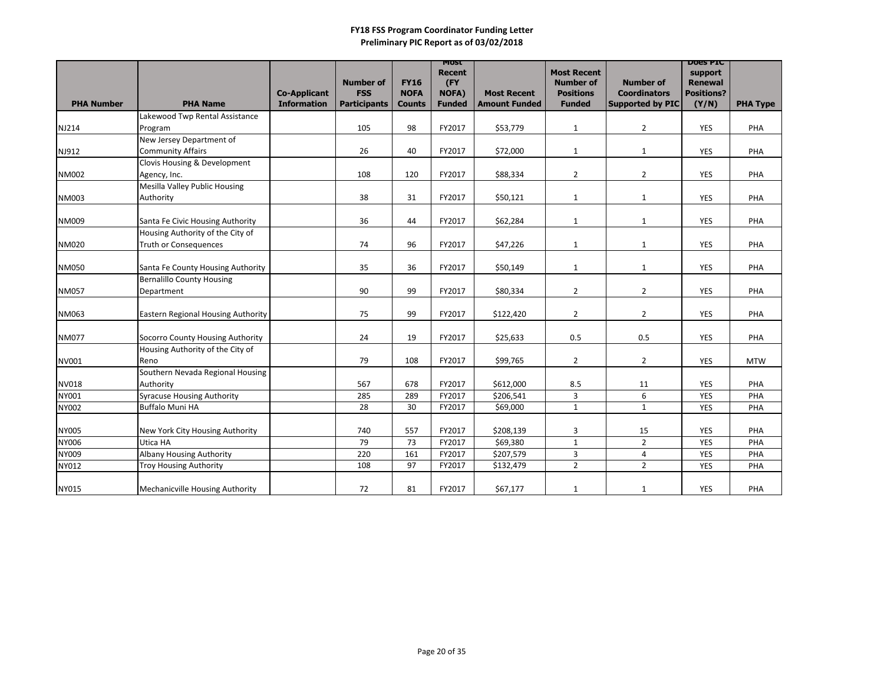|                   |                                           |                                           |                                                       |                                             | <b>MOST</b>                                           |                                            |                                                                             |                                                                    | <b>DOES PIC</b>                                         |                 |
|-------------------|-------------------------------------------|-------------------------------------------|-------------------------------------------------------|---------------------------------------------|-------------------------------------------------------|--------------------------------------------|-----------------------------------------------------------------------------|--------------------------------------------------------------------|---------------------------------------------------------|-----------------|
| <b>PHA Number</b> | <b>PHA Name</b>                           | <b>Co-Applicant</b><br><b>Information</b> | <b>Number of</b><br><b>FSS</b><br><b>Participants</b> | <b>FY16</b><br><b>NOFA</b><br><b>Counts</b> | <b>Recent</b><br>(FY<br><b>NOFA)</b><br><b>Funded</b> | <b>Most Recent</b><br><b>Amount Funded</b> | <b>Most Recent</b><br><b>Number of</b><br><b>Positions</b><br><b>Funded</b> | <b>Number of</b><br><b>Coordinators</b><br><b>Supported by PIC</b> | support<br><b>Renewal</b><br><b>Positions?</b><br>(Y/N) | <b>PHA Type</b> |
|                   | Lakewood Twp Rental Assistance            |                                           |                                                       |                                             |                                                       |                                            |                                                                             |                                                                    |                                                         |                 |
|                   |                                           |                                           | 105                                                   | 98                                          | FY2017                                                |                                            |                                                                             |                                                                    | <b>YES</b>                                              | PHA             |
| NJ214             | Program<br>New Jersey Department of       |                                           |                                                       |                                             |                                                       | \$53,779                                   | $\mathbf{1}$                                                                | $\overline{2}$                                                     |                                                         |                 |
|                   |                                           |                                           |                                                       |                                             |                                                       |                                            |                                                                             |                                                                    |                                                         |                 |
| NJ912             | <b>Community Affairs</b>                  |                                           | 26                                                    | 40                                          | FY2017                                                | \$72,000                                   | $\mathbf{1}$                                                                | $\mathbf{1}$                                                       | <b>YES</b>                                              | PHA             |
|                   | Clovis Housing & Development              |                                           |                                                       |                                             |                                                       |                                            |                                                                             |                                                                    |                                                         |                 |
| <b>NM002</b>      | Agency, Inc.                              |                                           | 108                                                   | 120                                         | FY2017                                                | \$88,334                                   | $\overline{2}$                                                              | $\overline{2}$                                                     | <b>YES</b>                                              | PHA             |
|                   | <b>Mesilla Valley Public Housing</b>      |                                           |                                                       |                                             |                                                       |                                            |                                                                             |                                                                    |                                                         |                 |
| <b>NM003</b>      | Authority                                 |                                           | 38                                                    | 31                                          | FY2017                                                | \$50,121                                   | $\mathbf{1}$                                                                | $\mathbf{1}$                                                       | <b>YES</b>                                              | PHA             |
|                   |                                           |                                           |                                                       |                                             |                                                       |                                            |                                                                             |                                                                    |                                                         |                 |
| NM009             | Santa Fe Civic Housing Authority          |                                           | 36                                                    | 44                                          | FY2017                                                | \$62,284                                   | $\mathbf{1}$                                                                | $\mathbf{1}$                                                       | <b>YES</b>                                              | PHA             |
|                   | Housing Authority of the City of          |                                           |                                                       |                                             |                                                       |                                            |                                                                             |                                                                    |                                                         |                 |
| <b>NM020</b>      | <b>Truth or Consequences</b>              |                                           | 74                                                    | 96                                          | FY2017                                                | \$47,226                                   | $\mathbf{1}$                                                                | $\mathbf{1}$                                                       | <b>YES</b>                                              | PHA             |
|                   |                                           |                                           |                                                       |                                             |                                                       |                                            |                                                                             |                                                                    |                                                         |                 |
| <b>NM050</b>      | Santa Fe County Housing Authority         |                                           | 35                                                    | 36                                          | FY2017                                                | \$50,149                                   | $\mathbf{1}$                                                                | $\mathbf{1}$                                                       | <b>YES</b>                                              | PHA             |
|                   | <b>Bernalillo County Housing</b>          |                                           |                                                       |                                             |                                                       |                                            |                                                                             |                                                                    |                                                         |                 |
| <b>NM057</b>      | Department                                |                                           | 90                                                    | 99                                          | FY2017                                                | \$80,334                                   | $2^{\circ}$                                                                 | $2^{\circ}$                                                        | <b>YES</b>                                              | PHA             |
|                   |                                           |                                           |                                                       |                                             |                                                       |                                            |                                                                             |                                                                    |                                                         |                 |
| NM063             | <b>Eastern Regional Housing Authority</b> |                                           | 75                                                    | 99                                          | FY2017                                                | \$122,420                                  | $\overline{2}$                                                              | $\overline{2}$                                                     | <b>YES</b>                                              | PHA             |
|                   |                                           |                                           |                                                       |                                             |                                                       |                                            |                                                                             |                                                                    |                                                         |                 |
| <b>NM077</b>      | Socorro County Housing Authority          |                                           | 24                                                    | 19                                          | FY2017                                                | \$25,633                                   | 0.5                                                                         | 0.5                                                                | <b>YES</b>                                              | PHA             |
|                   | Housing Authority of the City of          |                                           |                                                       |                                             |                                                       |                                            |                                                                             |                                                                    |                                                         |                 |
| NV001             | Reno                                      |                                           | 79                                                    | 108                                         | FY2017                                                | \$99,765                                   | $\overline{2}$                                                              | $\overline{2}$                                                     | <b>YES</b>                                              | <b>MTW</b>      |
|                   | Southern Nevada Regional Housing          |                                           |                                                       |                                             |                                                       |                                            |                                                                             |                                                                    |                                                         |                 |
| <b>NV018</b>      | Authority                                 |                                           | 567                                                   | 678                                         | FY2017                                                | \$612,000                                  | 8.5                                                                         | 11                                                                 | <b>YES</b>                                              | PHA             |
| NY001             | <b>Syracuse Housing Authority</b>         |                                           | 285                                                   | 289                                         | FY2017                                                | \$206,541                                  | 3                                                                           | 6                                                                  | YES                                                     | PHA             |
| NY002             | <b>Buffalo Muni HA</b>                    |                                           | 28                                                    | 30                                          | FY2017                                                | \$69,000                                   | $\mathbf{1}$                                                                | $\mathbf{1}$                                                       | <b>YES</b>                                              | PHA             |
|                   |                                           |                                           |                                                       |                                             |                                                       |                                            |                                                                             |                                                                    |                                                         |                 |
| <b>NY005</b>      | New York City Housing Authority           |                                           | 740                                                   | 557                                         | FY2017                                                | \$208,139                                  | 3                                                                           | 15                                                                 | <b>YES</b>                                              | PHA             |
| NY006             | Utica HA                                  |                                           | 79                                                    | 73                                          | FY2017                                                | \$69,380                                   | $\mathbf 1$                                                                 | $2^{\circ}$                                                        | <b>YES</b>                                              | PHA             |
| NY009             | <b>Albany Housing Authority</b>           |                                           | 220                                                   | 161                                         | FY2017                                                | \$207,579                                  | 3                                                                           | 4                                                                  | YES                                                     | PHA             |
| NY012             | <b>Troy Housing Authority</b>             |                                           | 108                                                   | 97                                          | FY2017                                                | \$132,479                                  | $\overline{2}$                                                              | $\overline{2}$                                                     | <b>YES</b>                                              | PHA             |
|                   |                                           |                                           |                                                       |                                             |                                                       |                                            |                                                                             |                                                                    |                                                         |                 |
| NY015             | Mechanicville Housing Authority           |                                           | 72                                                    | 81                                          | FY2017                                                | \$67,177                                   | $\mathbf{1}$                                                                | $\mathbf{1}$                                                       | YES                                                     | PHA             |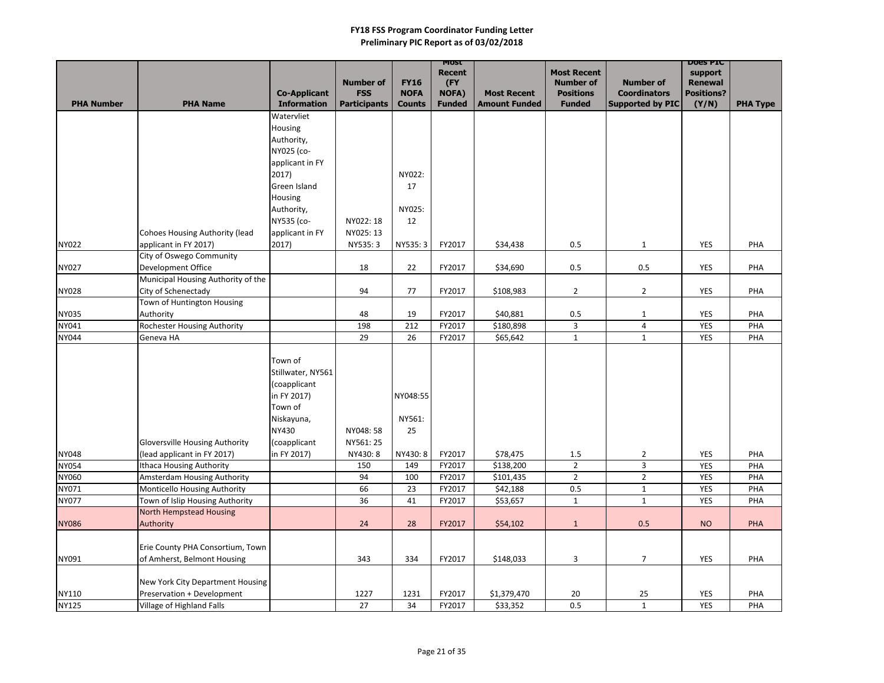|                   |                                                            |                          |                     |               | MOST<br><b>Recent</b> |                      | <b>Most Recent</b>      |                         | <b>DOES PIC</b>           |                 |
|-------------------|------------------------------------------------------------|--------------------------|---------------------|---------------|-----------------------|----------------------|-------------------------|-------------------------|---------------------------|-----------------|
|                   |                                                            |                          | <b>Number of</b>    | <b>FY16</b>   | (FY                   |                      | <b>Number of</b>        | <b>Number of</b>        | support<br><b>Renewal</b> |                 |
|                   |                                                            | <b>Co-Applicant</b>      | <b>FSS</b>          | <b>NOFA</b>   | NOFA)                 | <b>Most Recent</b>   | <b>Positions</b>        | <b>Coordinators</b>     | <b>Positions?</b>         |                 |
| <b>PHA Number</b> | <b>PHA Name</b>                                            | <b>Information</b>       | <b>Participants</b> | <b>Counts</b> | <b>Funded</b>         | <b>Amount Funded</b> | <b>Funded</b>           | <b>Supported by PIC</b> | (Y/N)                     | <b>PHA Type</b> |
|                   |                                                            | Watervliet               |                     |               |                       |                      |                         |                         |                           |                 |
|                   |                                                            | Housing                  |                     |               |                       |                      |                         |                         |                           |                 |
|                   |                                                            | Authority,               |                     |               |                       |                      |                         |                         |                           |                 |
|                   |                                                            | NY025 (co-               |                     |               |                       |                      |                         |                         |                           |                 |
|                   |                                                            | applicant in FY<br>2017) |                     | NY022:        |                       |                      |                         |                         |                           |                 |
|                   |                                                            | Green Island             |                     | 17            |                       |                      |                         |                         |                           |                 |
|                   |                                                            | <b>Housing</b>           |                     |               |                       |                      |                         |                         |                           |                 |
|                   |                                                            | Authority,               |                     | NY025:        |                       |                      |                         |                         |                           |                 |
|                   |                                                            | NY535 (co-               | NY022: 18           | 12            |                       |                      |                         |                         |                           |                 |
|                   | <b>Cohoes Housing Authority (lead</b>                      | applicant in FY          | NY025: 13           |               |                       |                      |                         |                         |                           |                 |
| <b>NY022</b>      | applicant in FY 2017)                                      | 2017)                    | NY535: 3            | NY535: 3      | FY2017                | \$34,438             | 0.5                     | $\mathbf{1}$            | <b>YES</b>                | PHA             |
|                   | City of Oswego Community                                   |                          |                     |               |                       |                      |                         |                         |                           |                 |
| <b>NY027</b>      | Development Office                                         |                          | 18                  | 22            | FY2017                | \$34,690             | 0.5                     | 0.5                     | <b>YES</b>                | PHA             |
|                   | Municipal Housing Authority of the                         |                          |                     |               |                       |                      |                         |                         |                           |                 |
| <b>NY028</b>      | City of Schenectady                                        |                          | 94                  | 77            | FY2017                | \$108,983            | $\overline{2}$          | $\overline{2}$          | <b>YES</b>                | PHA             |
|                   | Town of Huntington Housing                                 |                          |                     |               |                       |                      |                         |                         |                           |                 |
| <b>NY035</b>      | Authority                                                  |                          | 48                  | 19            | FY2017                | \$40,881             | 0.5                     | 1                       | <b>YES</b>                | PHA             |
| NY041             | <b>Rochester Housing Authority</b>                         |                          | 198                 | 212           | FY2017                | \$180,898            | $\overline{\mathbf{3}}$ | $\overline{4}$          | <b>YES</b>                | PHA             |
| <b>NY044</b>      | Geneva HA                                                  |                          | 29                  | 26            | FY2017                | \$65,642             | $\mathbf{1}$            | $\mathbf{1}$            | <b>YES</b>                | PHA             |
|                   |                                                            | Town of                  |                     |               |                       |                      |                         |                         |                           |                 |
|                   |                                                            | Stillwater, NY561        |                     |               |                       |                      |                         |                         |                           |                 |
|                   |                                                            | (coapplicant             |                     |               |                       |                      |                         |                         |                           |                 |
|                   |                                                            | in FY 2017)              |                     | NY048:55      |                       |                      |                         |                         |                           |                 |
|                   |                                                            | Town of                  |                     |               |                       |                      |                         |                         |                           |                 |
|                   |                                                            | Niskayuna,               |                     | NY561:        |                       |                      |                         |                         |                           |                 |
|                   |                                                            | <b>NY430</b>             | NY048: 58           | 25            |                       |                      |                         |                         |                           |                 |
|                   | <b>Gloversville Housing Authority</b>                      | (coapplicant             | NY561: 25           |               |                       |                      |                         |                         |                           |                 |
| <b>NY048</b>      | (lead applicant in FY 2017)                                | in FY 2017)              | NY430: 8            | NY430: 8      | FY2017                | \$78,475             | 1.5                     | $\overline{2}$          | <b>YES</b>                | PHA             |
| <b>NY054</b>      | <b>Ithaca Housing Authority</b>                            |                          | 150                 | 149           | FY2017                | \$138,200            | $2^{\circ}$             | 3                       | <b>YES</b>                | PHA             |
| NY060             | <b>Amsterdam Housing Authority</b>                         |                          | 94                  | 100           | FY2017                | \$101,435            | $\overline{2}$          | $2^{\circ}$             | <b>YES</b>                | PHA             |
| NY071             | Monticello Housing Authority                               |                          | 66                  | 23            | FY2017                | \$42,188             | 0.5                     | $\mathbf{1}$            | <b>YES</b>                | PHA             |
| <b>NY077</b>      | Town of Islip Housing Authority<br>North Hempstead Housing |                          | 36                  | 41            | FY2017                | \$53,657             | $\mathbf{1}$            | $\mathbf{1}$            | <b>YES</b>                | PHA             |
| <b>NY086</b>      | Authority                                                  |                          | 24                  | 28            | FY2017                | \$54,102             | $\mathbf{1}$            | 0.5                     | <b>NO</b>                 | <b>PHA</b>      |
|                   |                                                            |                          |                     |               |                       |                      |                         |                         |                           |                 |
|                   | Erie County PHA Consortium, Town                           |                          |                     |               |                       |                      |                         |                         |                           |                 |
| NY091             | of Amherst, Belmont Housing                                |                          | 343                 | 334           | FY2017                | \$148,033            | 3                       | $\overline{7}$          | YES                       | PHA             |
|                   |                                                            |                          |                     |               |                       |                      |                         |                         |                           |                 |
|                   | New York City Department Housing                           |                          |                     |               |                       |                      |                         |                         |                           |                 |
| NY110             | Preservation + Development                                 |                          | 1227                | 1231          | FY2017                | \$1,379,470          | 20                      | 25                      | <b>YES</b>                | PHA             |
| <b>NY125</b>      | Village of Highland Falls                                  |                          | 27                  | 34            | FY2017                | \$33,352             | 0.5                     | $\mathbf{1}$            | <b>YES</b>                | PHA             |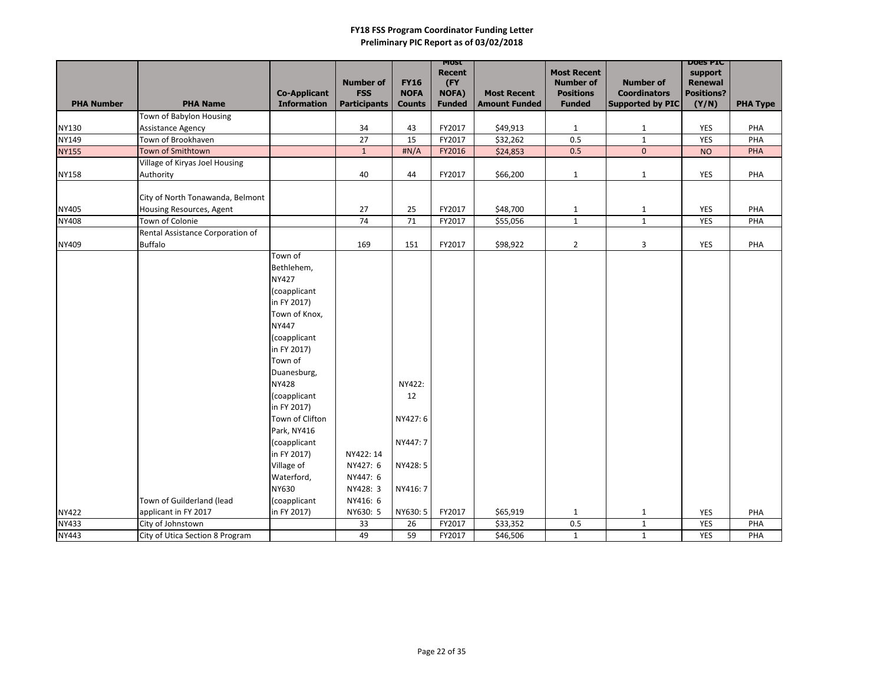|                   |                                  |                     |                                |                            | MOST                |                      |                                      |                                         | <b>DOGS PIC</b>                     |                 |
|-------------------|----------------------------------|---------------------|--------------------------------|----------------------------|---------------------|----------------------|--------------------------------------|-----------------------------------------|-------------------------------------|-----------------|
|                   |                                  |                     |                                |                            | <b>Recent</b>       |                      | <b>Most Recent</b>                   |                                         | support                             |                 |
|                   |                                  | <b>Co-Applicant</b> | <b>Number of</b><br><b>FSS</b> | <b>FY16</b><br><b>NOFA</b> | (FY<br><b>NOFA)</b> | <b>Most Recent</b>   | <b>Number of</b><br><b>Positions</b> | <b>Number of</b><br><b>Coordinators</b> | <b>Renewal</b><br><b>Positions?</b> |                 |
| <b>PHA Number</b> | <b>PHA Name</b>                  | <b>Information</b>  | <b>Participants</b>            | <b>Counts</b>              | <b>Funded</b>       | <b>Amount Funded</b> | <b>Funded</b>                        | <b>Supported by PIC</b>                 | (Y/N)                               | <b>PHA Type</b> |
|                   | <b>Town of Babylon Housing</b>   |                     |                                |                            |                     |                      |                                      |                                         |                                     |                 |
| <b>NY130</b>      | <b>Assistance Agency</b>         |                     | 34                             | 43                         | FY2017              | \$49,913             | $\mathbf{1}$                         | $\mathbf{1}$                            | YES                                 | PHA             |
| NY149             | Town of Brookhaven               |                     | 27                             | 15                         | FY2017              | \$32,262             | 0.5                                  | $\mathbf{1}$                            | YES                                 | PHA             |
| <b>NY155</b>      | Town of Smithtown                |                     | $\mathbf{1}$                   | H N/A                      | FY2016              | \$24,853             | 0.5                                  | $\overline{0}$                          | <b>NO</b>                           | PHA             |
|                   | Village of Kiryas Joel Housing   |                     |                                |                            |                     |                      |                                      |                                         |                                     |                 |
| <b>NY158</b>      | Authority                        |                     | 40                             | 44                         | FY2017              | \$66,200             | $\mathbf{1}$                         | $\mathbf{1}$                            | YES                                 | PHA             |
|                   |                                  |                     |                                |                            |                     |                      |                                      |                                         |                                     |                 |
|                   | City of North Tonawanda, Belmont |                     |                                |                            |                     |                      |                                      |                                         |                                     |                 |
| NY405             | Housing Resources, Agent         |                     | 27                             | 25                         | FY2017              | \$48,700             | $\mathbf{1}$                         | $\mathbf{1}$                            | YES                                 | PHA             |
| <b>NY408</b>      | Town of Colonie                  |                     | 74                             | 71                         | FY2017              | \$55,056             | $\mathbf{1}$                         | $\mathbf{1}$                            | YES                                 | PHA             |
|                   | Rental Assistance Corporation of |                     |                                |                            |                     |                      |                                      |                                         |                                     |                 |
| <b>NY409</b>      | <b>Buffalo</b>                   |                     | 169                            | 151                        | FY2017              | \$98,922             | $\overline{2}$                       | $\mathbf{3}$                            | YES                                 | PHA             |
|                   |                                  | Town of             |                                |                            |                     |                      |                                      |                                         |                                     |                 |
|                   |                                  | Bethlehem,          |                                |                            |                     |                      |                                      |                                         |                                     |                 |
|                   |                                  | <b>NY427</b>        |                                |                            |                     |                      |                                      |                                         |                                     |                 |
|                   |                                  | (coapplicant        |                                |                            |                     |                      |                                      |                                         |                                     |                 |
|                   |                                  | in FY 2017)         |                                |                            |                     |                      |                                      |                                         |                                     |                 |
|                   |                                  | Town of Knox,       |                                |                            |                     |                      |                                      |                                         |                                     |                 |
|                   |                                  | <b>NY447</b>        |                                |                            |                     |                      |                                      |                                         |                                     |                 |
|                   |                                  | (coapplicant        |                                |                            |                     |                      |                                      |                                         |                                     |                 |
|                   |                                  | in FY 2017)         |                                |                            |                     |                      |                                      |                                         |                                     |                 |
|                   |                                  | Town of             |                                |                            |                     |                      |                                      |                                         |                                     |                 |
|                   |                                  | Duanesburg,         |                                |                            |                     |                      |                                      |                                         |                                     |                 |
|                   |                                  | <b>NY428</b>        |                                | NY422:                     |                     |                      |                                      |                                         |                                     |                 |
|                   |                                  | (coapplicant        |                                | 12                         |                     |                      |                                      |                                         |                                     |                 |
|                   |                                  | in FY 2017)         |                                |                            |                     |                      |                                      |                                         |                                     |                 |
|                   |                                  | Town of Clifton     |                                | NY427: 6                   |                     |                      |                                      |                                         |                                     |                 |
|                   |                                  | Park, NY416         |                                |                            |                     |                      |                                      |                                         |                                     |                 |
|                   |                                  | (coapplicant        |                                | NY447: 7                   |                     |                      |                                      |                                         |                                     |                 |
|                   |                                  | in FY 2017)         | NY422: 14                      |                            |                     |                      |                                      |                                         |                                     |                 |
|                   |                                  | Village of          | NY427: 6                       | NY428: 5                   |                     |                      |                                      |                                         |                                     |                 |
|                   |                                  | Waterford,          | NY447: 6                       |                            |                     |                      |                                      |                                         |                                     |                 |
|                   |                                  | <b>NY630</b>        | NY428: 3                       | NY416: 7                   |                     |                      |                                      |                                         |                                     |                 |
|                   | Town of Guilderland (lead        | (coapplicant        | NY416: 6                       |                            |                     |                      |                                      |                                         |                                     |                 |
| <b>NY422</b>      | applicant in FY 2017             | in FY 2017)         | NY630: 5                       | NY630: 5                   | FY2017              | \$65,919             | $\mathbf{1}$                         | $\mathbf{1}$                            | YES                                 | PHA             |
| NY433             | City of Johnstown                |                     | 33                             | 26                         | FY2017              | \$33,352             | 0.5                                  | $\mathbf{1}$                            | <b>YES</b>                          | PHA             |
| <b>NY443</b>      | City of Utica Section 8 Program  |                     | 49                             | 59                         | FY2017              | \$46,506             | $\mathbf{1}$                         | $\mathbf{1}$                            | <b>YES</b>                          | PHA             |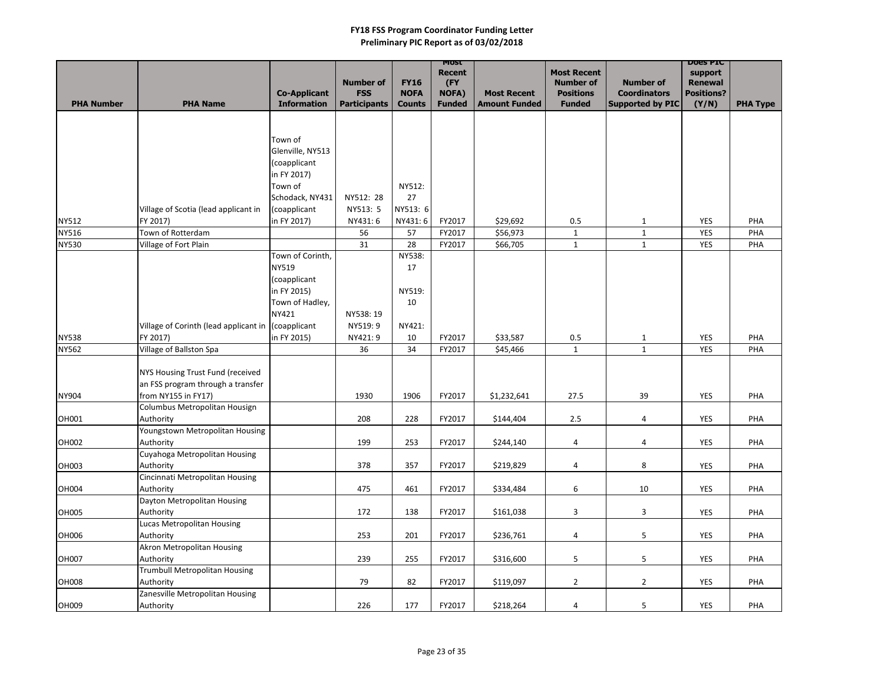|                              |                                                          |                                           | <b>Number of</b>                  | <b>FY16</b>                  | MOST<br><b>Recent</b><br>(FY  |                                            | <b>Most Recent</b><br><b>Number of</b> | <b>Number of</b>                               | <b>DOGS PIC</b><br>support<br><b>Renewal</b> |                 |
|------------------------------|----------------------------------------------------------|-------------------------------------------|-----------------------------------|------------------------------|-------------------------------|--------------------------------------------|----------------------------------------|------------------------------------------------|----------------------------------------------|-----------------|
| <b>PHA Number</b>            | <b>PHA Name</b>                                          | <b>Co-Applicant</b><br><b>Information</b> | <b>FSS</b><br><b>Participants</b> | <b>NOFA</b><br><b>Counts</b> | <b>NOFA)</b><br><b>Funded</b> | <b>Most Recent</b><br><b>Amount Funded</b> | <b>Positions</b><br><b>Funded</b>      | <b>Coordinators</b><br><b>Supported by PIC</b> | <b>Positions?</b>                            | <b>PHA Type</b> |
|                              |                                                          |                                           |                                   |                              |                               |                                            |                                        |                                                | (Y/N)                                        |                 |
|                              |                                                          |                                           |                                   |                              |                               |                                            |                                        |                                                |                                              |                 |
|                              |                                                          | Town of                                   |                                   |                              |                               |                                            |                                        |                                                |                                              |                 |
|                              |                                                          | Glenville, NY513                          |                                   |                              |                               |                                            |                                        |                                                |                                              |                 |
|                              |                                                          | (coapplicant                              |                                   |                              |                               |                                            |                                        |                                                |                                              |                 |
|                              |                                                          | in FY 2017)                               |                                   |                              |                               |                                            |                                        |                                                |                                              |                 |
|                              |                                                          | Town of                                   |                                   | NY512:                       |                               |                                            |                                        |                                                |                                              |                 |
|                              |                                                          | Schodack, NY431                           | NY512: 28                         | 27                           |                               |                                            |                                        |                                                |                                              |                 |
|                              | Village of Scotia (lead applicant in<br>FY 2017)         | (coapplicant<br>in FY 2017)               | NY513: 5<br>NY431:6               | NY513: 6<br>NY431:6          | FY2017                        | \$29,692                                   | 0.5                                    |                                                | <b>YES</b>                                   | PHA             |
| <b>NY512</b><br><b>NY516</b> | Town of Rotterdam                                        |                                           | 56                                | 57                           | FY2017                        | \$56,973                                   | $\mathbf{1}$                           | $\mathbf{1}$<br>$\mathbf{1}$                   | <b>YES</b>                                   | PHA             |
| <b>NY530</b>                 | Village of Fort Plain                                    |                                           | 31                                | 28                           | FY2017                        | \$66,705                                   | $\mathbf{1}$                           | $\mathbf{1}$                                   | <b>YES</b>                                   | PHA             |
|                              |                                                          | Town of Corinth,                          |                                   | NY538:                       |                               |                                            |                                        |                                                |                                              |                 |
|                              |                                                          | <b>NY519</b>                              |                                   | 17                           |                               |                                            |                                        |                                                |                                              |                 |
|                              |                                                          | (coapplicant                              |                                   |                              |                               |                                            |                                        |                                                |                                              |                 |
|                              |                                                          | in FY 2015)                               |                                   | NY519:                       |                               |                                            |                                        |                                                |                                              |                 |
|                              |                                                          | Town of Hadley,                           |                                   | 10                           |                               |                                            |                                        |                                                |                                              |                 |
|                              |                                                          | <b>NY421</b>                              | NY538: 19                         |                              |                               |                                            |                                        |                                                |                                              |                 |
|                              | Village of Corinth (lead applicant in (coapplicant       |                                           | NY519: 9                          | NY421:                       |                               |                                            |                                        |                                                |                                              |                 |
| <b>NY538</b>                 | FY 2017)                                                 | in FY 2015)                               | NY421:9                           | 10                           | FY2017                        | \$33,587                                   | 0.5                                    | $\mathbf{1}$                                   | <b>YES</b>                                   | PHA             |
| <b>NY562</b>                 | Village of Ballston Spa                                  |                                           | 36                                | 34                           | FY2017                        | \$45,466                                   | $\mathbf{1}$                           | $\mathbf{1}$                                   | YES                                          | PHA             |
|                              |                                                          |                                           |                                   |                              |                               |                                            |                                        |                                                |                                              |                 |
|                              | NYS Housing Trust Fund (received                         |                                           |                                   |                              |                               |                                            |                                        |                                                |                                              |                 |
|                              | an FSS program through a transfer<br>from NY155 in FY17) |                                           | 1930                              | 1906                         | FY2017                        |                                            | 27.5                                   | 39                                             |                                              |                 |
| <b>NY904</b>                 | Columbus Metropolitan Housign                            |                                           |                                   |                              |                               | \$1,232,641                                |                                        |                                                | <b>YES</b>                                   | PHA             |
| OH001                        | Authority                                                |                                           | 208                               | 228                          | FY2017                        | \$144,404                                  | 2.5                                    |                                                | <b>YES</b>                                   | PHA             |
|                              | Youngstown Metropolitan Housing                          |                                           |                                   |                              |                               |                                            |                                        |                                                |                                              |                 |
| OH002                        | Authority                                                |                                           | 199                               | 253                          | FY2017                        | \$244,140                                  | 4                                      | 4                                              | <b>YES</b>                                   | PHA             |
|                              | Cuyahoga Metropolitan Housing                            |                                           |                                   |                              |                               |                                            |                                        |                                                |                                              |                 |
| OH003                        | Authority                                                |                                           | 378                               | 357                          | FY2017                        | \$219,829                                  | $\overline{4}$                         | 8                                              | YES                                          | PHA             |
|                              | Cincinnati Metropolitan Housing                          |                                           |                                   |                              |                               |                                            |                                        |                                                |                                              |                 |
| <b>OH004</b>                 | Authority                                                |                                           | 475                               | 461                          | FY2017                        | \$334,484                                  | 6                                      | 10                                             | YES                                          | PHA             |
|                              | Dayton Metropolitan Housing                              |                                           |                                   |                              |                               |                                            |                                        |                                                |                                              |                 |
| OH005                        | Authority                                                |                                           | 172                               | 138                          | FY2017                        | \$161,038                                  | 3                                      | $\mathbf{3}$                                   | YES                                          | PHA             |
|                              | Lucas Metropolitan Housing                               |                                           |                                   |                              |                               |                                            |                                        |                                                |                                              |                 |
| OH006                        | Authority                                                |                                           | 253                               | 201                          | FY2017                        | \$236,761                                  | 4                                      | 5                                              | YES                                          | PHA             |
|                              | Akron Metropolitan Housing                               |                                           |                                   |                              |                               |                                            |                                        |                                                |                                              |                 |
| OH007                        | Authority<br>Trumbull Metropolitan Housing               |                                           | 239                               | 255                          | FY2017                        | \$316,600                                  | 5                                      | 5                                              | <b>YES</b>                                   | PHA             |
| <b>OH008</b>                 | Authority                                                |                                           | 79                                | 82                           | FY2017                        | \$119,097                                  | $\overline{2}$                         | $\overline{2}$                                 | <b>YES</b>                                   | PHA             |
|                              | Zanesville Metropolitan Housing                          |                                           |                                   |                              |                               |                                            |                                        |                                                |                                              |                 |
| OH009                        | Authority                                                |                                           | 226                               | 177                          | FY2017                        | \$218,264                                  | 4                                      | 5                                              | YES                                          | PHA             |
|                              |                                                          |                                           |                                   |                              |                               |                                            |                                        |                                                |                                              |                 |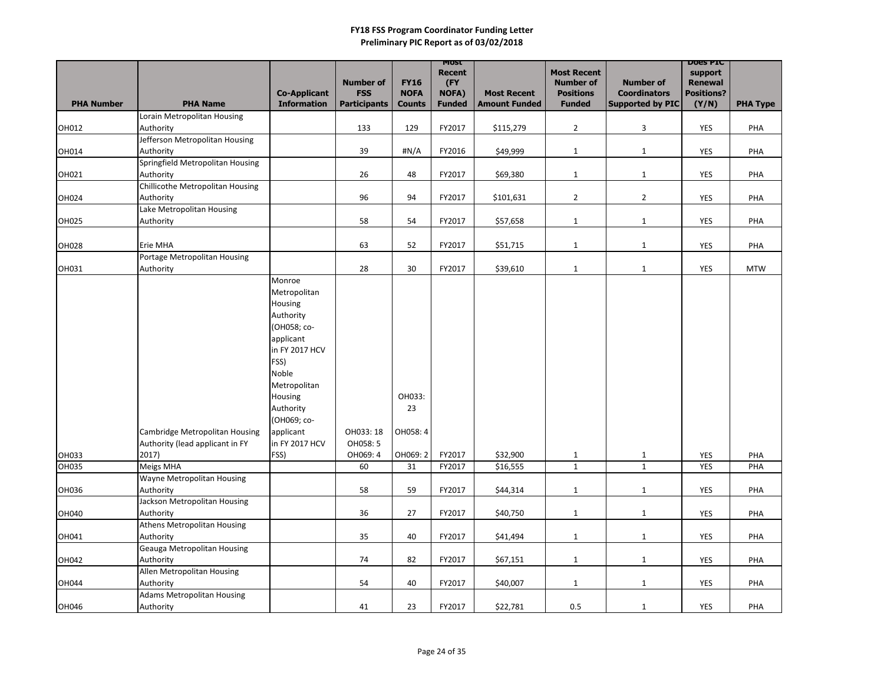|                   |                                    |                     |                                |                            | <b>MOST</b><br><b>Recent</b> |                      | <b>Most Recent</b>                   |                                         | <b>DOES PIC</b><br>support          |                 |
|-------------------|------------------------------------|---------------------|--------------------------------|----------------------------|------------------------------|----------------------|--------------------------------------|-----------------------------------------|-------------------------------------|-----------------|
|                   |                                    | <b>Co-Applicant</b> | <b>Number of</b><br><b>FSS</b> | <b>FY16</b><br><b>NOFA</b> | (FY<br>NOFA)                 | <b>Most Recent</b>   | <b>Number of</b><br><b>Positions</b> | <b>Number of</b><br><b>Coordinators</b> | <b>Renewal</b><br><b>Positions?</b> |                 |
| <b>PHA Number</b> | <b>PHA Name</b>                    | <b>Information</b>  | <b>Participants</b>            | <b>Counts</b>              | <b>Funded</b>                | <b>Amount Funded</b> | <b>Funded</b>                        | Supported by PIC                        | (Y/N)                               | <b>PHA Type</b> |
|                   | Lorain Metropolitan Housing        |                     |                                |                            |                              |                      |                                      |                                         |                                     |                 |
| OH012             | Authority                          |                     | 133                            | 129                        | FY2017                       | \$115,279            | $\overline{2}$                       | $\mathbf{3}$                            | YES                                 | PHA             |
|                   | Jefferson Metropolitan Housing     |                     |                                |                            |                              |                      |                                      |                                         |                                     |                 |
| OH014             | Authority                          |                     | 39                             | $\sharp N/A$               | FY2016                       | \$49,999             | $\mathbf{1}$                         | $\mathbf{1}$                            | <b>YES</b>                          | PHA             |
|                   | Springfield Metropolitan Housing   |                     |                                |                            |                              |                      |                                      |                                         |                                     |                 |
| OH021             | Authority                          |                     | 26                             | 48                         | FY2017                       | \$69,380             | $\mathbf{1}$                         | $\mathbf{1}$                            | <b>YES</b>                          | PHA             |
|                   | Chillicothe Metropolitan Housing   |                     |                                |                            |                              |                      |                                      |                                         |                                     |                 |
| OH024             | Authority                          |                     | 96                             | 94                         | FY2017                       | \$101,631            | $\overline{2}$                       | $\overline{2}$                          | <b>YES</b>                          | PHA             |
|                   | Lake Metropolitan Housing          |                     |                                |                            |                              |                      |                                      |                                         |                                     |                 |
| OH025             | Authority                          |                     | 58                             | 54                         | FY2017                       | \$57,658             | $\mathbf{1}$                         | $\mathbf{1}$                            | <b>YES</b>                          | PHA             |
|                   |                                    |                     |                                |                            |                              |                      |                                      |                                         |                                     |                 |
| <b>OH028</b>      | Erie MHA                           |                     | 63                             | 52                         | FY2017                       | \$51,715             | $\mathbf{1}$                         | $\mathbf{1}$                            | <b>YES</b>                          | PHA             |
| OH031             | Portage Metropolitan Housing       |                     | 28                             | 30                         | FY2017                       |                      |                                      |                                         | <b>YES</b>                          | <b>MTW</b>      |
|                   | Authority                          | Monroe              |                                |                            |                              | \$39,610             | $\mathbf{1}$                         | $\mathbf{1}$                            |                                     |                 |
|                   |                                    | Metropolitan        |                                |                            |                              |                      |                                      |                                         |                                     |                 |
|                   |                                    | Housing             |                                |                            |                              |                      |                                      |                                         |                                     |                 |
|                   |                                    | Authority           |                                |                            |                              |                      |                                      |                                         |                                     |                 |
|                   |                                    | (OH058; co-         |                                |                            |                              |                      |                                      |                                         |                                     |                 |
|                   |                                    | applicant           |                                |                            |                              |                      |                                      |                                         |                                     |                 |
|                   |                                    | in FY 2017 HCV      |                                |                            |                              |                      |                                      |                                         |                                     |                 |
|                   |                                    | FSS)                |                                |                            |                              |                      |                                      |                                         |                                     |                 |
|                   |                                    | Noble               |                                |                            |                              |                      |                                      |                                         |                                     |                 |
|                   |                                    | Metropolitan        |                                |                            |                              |                      |                                      |                                         |                                     |                 |
|                   |                                    | Housing             |                                | OH033:                     |                              |                      |                                      |                                         |                                     |                 |
|                   |                                    | Authority           |                                | 23                         |                              |                      |                                      |                                         |                                     |                 |
|                   |                                    | (OH069; co-         |                                |                            |                              |                      |                                      |                                         |                                     |                 |
|                   | Cambridge Metropolitan Housing     | applicant           | OH033: 18                      | OH058: 4                   |                              |                      |                                      |                                         |                                     |                 |
|                   | Authority (lead applicant in FY    | in FY 2017 HCV      | OH058: 5                       |                            |                              |                      |                                      |                                         |                                     |                 |
| OH033             | 2017)                              | FSS)                | OH069: 4                       | OH069: 2                   | FY2017                       | \$32,900             | $\mathbf{1}$                         | $\mathbf{1}$                            | <b>YES</b>                          | PHA             |
| <b>OH035</b>      | Meigs MHA                          |                     | 60                             | 31                         | FY2017                       | \$16,555             | $\mathbf{1}$                         | $\mathbf{1}$                            | <b>YES</b>                          | PHA             |
|                   | Wayne Metropolitan Housing         |                     |                                |                            |                              |                      |                                      |                                         |                                     |                 |
| OH036             | Authority                          |                     | 58                             | 59                         | FY2017                       | \$44,314             | $\mathbf{1}$                         | $\mathbf{1}$                            | YES                                 | PHA             |
|                   | Jackson Metropolitan Housing       |                     |                                |                            |                              |                      |                                      |                                         |                                     |                 |
| OH040             | Authority                          |                     | 36                             | 27                         | FY2017                       | \$40,750             | $\mathbf{1}$                         | $\mathbf{1}$                            | YES                                 | PHA             |
|                   | <b>Athens Metropolitan Housing</b> |                     |                                |                            |                              |                      |                                      |                                         |                                     |                 |
| OH041             | Authority                          |                     | 35                             | 40                         | FY2017                       | \$41,494             | $\mathbf{1}$                         | $\mathbf{1}$                            | YES                                 | PHA             |
|                   | <b>Geauga Metropolitan Housing</b> |                     |                                |                            |                              |                      |                                      |                                         |                                     |                 |
| OH042             | Authority                          |                     | 74                             | 82                         | FY2017                       | \$67,151             | $\mathbf{1}$                         | $\mathbf{1}$                            | <b>YES</b>                          | PHA             |
|                   | Allen Metropolitan Housing         |                     |                                |                            |                              |                      |                                      |                                         |                                     |                 |
| OH044             | Authority                          |                     | 54                             | 40                         | FY2017                       | \$40,007             | $\mathbf{1}$                         | $\mathbf{1}$                            | YES                                 | PHA             |
|                   | <b>Adams Metropolitan Housing</b>  |                     |                                |                            |                              |                      |                                      |                                         |                                     |                 |
| OH046             | Authority                          |                     | 41                             | 23                         | FY2017                       | \$22,781             | 0.5                                  | 1                                       | <b>YES</b>                          | PHA             |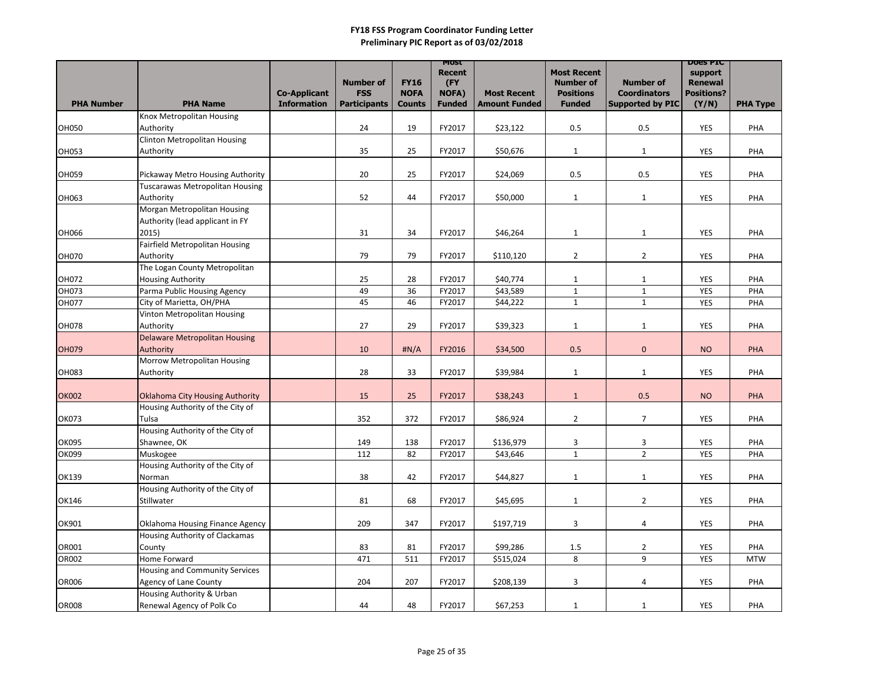|                   |                                                   |                     |                     |               | <b>MOST</b><br>Recent |                      | <b>Most Recent</b> |                                  | <b>DOES PIC</b><br>support |                 |
|-------------------|---------------------------------------------------|---------------------|---------------------|---------------|-----------------------|----------------------|--------------------|----------------------------------|----------------------------|-----------------|
|                   |                                                   |                     | <b>Number of</b>    | <b>FY16</b>   | (FY                   |                      | <b>Number of</b>   | <b>Number of</b>                 | <b>Renewal</b>             |                 |
|                   |                                                   | <b>Co-Applicant</b> | <b>FSS</b>          | <b>NOFA</b>   | NOFA)                 | <b>Most Recent</b>   | <b>Positions</b>   | <b>Coordinators</b>              | <b>Positions?</b>          |                 |
| <b>PHA Number</b> | <b>PHA Name</b>                                   | <b>Information</b>  | <b>Participants</b> | <b>Counts</b> | <b>Funded</b>         | <b>Amount Funded</b> | <b>Funded</b>      | <b>Supported by PIC</b>          | (Y/N)                      | <b>PHA Type</b> |
| <b>OH050</b>      | Knox Metropolitan Housing<br>Authority            |                     | 24                  | 19            | FY2017                | \$23,122             | 0.5                | 0.5                              | YES                        | PHA             |
|                   | <b>Clinton Metropolitan Housing</b>               |                     |                     |               |                       |                      |                    |                                  |                            |                 |
| OH053             | Authority                                         |                     | 35                  | 25            | FY2017                | \$50,676             | $\mathbf{1}$       | $\mathbf{1}$                     | <b>YES</b>                 | PHA             |
|                   |                                                   |                     |                     |               |                       |                      |                    |                                  |                            |                 |
| OH059             | Pickaway Metro Housing Authority                  |                     | 20                  | 25            | FY2017                | \$24,069             | 0.5                | 0.5                              | <b>YES</b>                 | PHA             |
|                   | <b>Tuscarawas Metropolitan Housing</b>            |                     |                     |               |                       |                      |                    |                                  |                            |                 |
| OH063             | Authority                                         |                     | 52                  | 44            | FY2017                | \$50,000             | $\mathbf{1}$       | $\mathbf{1}$                     | <b>YES</b>                 | PHA             |
|                   | Morgan Metropolitan Housing                       |                     |                     |               |                       |                      |                    |                                  |                            |                 |
|                   | Authority (lead applicant in FY                   |                     |                     |               |                       |                      |                    |                                  |                            |                 |
| OH066             | 2015)                                             |                     | 31                  | 34            | FY2017                | \$46,264             | $\mathbf{1}$       | $\mathbf{1}$                     | <b>YES</b>                 | PHA             |
|                   | Fairfield Metropolitan Housing                    |                     |                     |               |                       |                      |                    |                                  |                            |                 |
| <b>OH070</b>      | Authority                                         |                     | 79                  | 79            | FY2017                | \$110,120            | $\overline{2}$     | $\overline{2}$                   | <b>YES</b>                 | PHA             |
|                   | The Logan County Metropolitan                     |                     |                     |               |                       |                      |                    |                                  |                            |                 |
| OH072             | <b>Housing Authority</b>                          |                     | 25                  | 28            | FY2017                | \$40,774             | $\mathbf{1}$       | $\mathbf{1}$                     | <b>YES</b>                 | PHA             |
| OH073             | Parma Public Housing Agency                       |                     | 49                  | 36            | FY2017                | \$43,589             | $\mathbf{1}$       | $\mathbf{1}$                     | <b>YES</b>                 | PHA             |
| <b>OH077</b>      | City of Marietta, OH/PHA                          |                     | 45                  | 46            | FY2017                | \$44,222             | $\mathbf{1}$       | $\mathbf{1}$                     | <b>YES</b>                 | PHA             |
|                   | Vinton Metropolitan Housing                       |                     |                     |               |                       |                      |                    |                                  |                            |                 |
| <b>OH078</b>      | Authority<br><b>Delaware Metropolitan Housing</b> |                     | 27                  | 29            | FY2017                | \$39,323             | $\mathbf{1}$       | $\mathbf{1}$                     | YES                        | PHA             |
| <b>OH079</b>      | Authority                                         |                     | 10                  | H N/A         | FY2016                | \$34,500             | 0.5                | $\mathbf{0}$                     | <b>NO</b>                  | <b>PHA</b>      |
|                   | Morrow Metropolitan Housing                       |                     |                     |               |                       |                      |                    |                                  |                            |                 |
| <b>OH083</b>      | Authority                                         |                     | 28                  | 33            | FY2017                | \$39,984             | $\mathbf{1}$       | $\mathbf{1}$                     | <b>YES</b>                 | PHA             |
|                   |                                                   |                     |                     |               |                       |                      |                    |                                  |                            |                 |
| <b>OK002</b>      | Oklahoma City Housing Authority                   |                     | 15                  | 25            | FY2017                | \$38,243             | $\mathbf{1}$       | 0.5                              | <b>NO</b>                  | <b>PHA</b>      |
|                   | Housing Authority of the City of                  |                     |                     |               |                       |                      |                    |                                  |                            |                 |
| <b>OK073</b>      | <b>Tulsa</b>                                      |                     | 352                 | 372           | FY2017                | \$86,924             | $\overline{2}$     | $\overline{7}$                   | <b>YES</b>                 | PHA             |
|                   | Housing Authority of the City of                  |                     |                     |               |                       |                      |                    |                                  |                            |                 |
| OK095             | Shawnee, OK                                       |                     | 149                 | 138           | FY2017                | \$136,979            | $\mathbf{3}$       | $\mathbf{3}$                     | <b>YES</b>                 | <b>PHA</b>      |
| OK099             | Muskogee                                          |                     | 112                 | 82            | FY2017                | \$43,646             | $\mathbf 1$        | $\overline{2}$                   | <b>YES</b>                 | PHA             |
|                   | Housing Authority of the City of                  |                     |                     |               |                       |                      |                    |                                  |                            |                 |
| OK139             | Norman                                            |                     | 38                  | 42            | FY2017                | \$44,827             | $\mathbf{1}$       | $\mathbf{1}$                     | YES                        | PHA             |
|                   | Housing Authority of the City of                  |                     |                     |               |                       |                      |                    |                                  |                            |                 |
| OK146             | Stillwater                                        |                     | 81                  | 68            | FY2017                | \$45,695             | $\mathbf{1}$       | $2^{\circ}$                      | YES                        | PHA             |
|                   |                                                   |                     |                     |               |                       |                      |                    |                                  |                            |                 |
| OK901             | Oklahoma Housing Finance Agency                   |                     | 209                 | 347           | FY2017                | \$197,719            | $\mathbf{3}$       | 4                                | YES                        | PHA             |
|                   | Housing Authority of Clackamas                    |                     |                     |               |                       |                      |                    |                                  |                            |                 |
| OR001             | County<br>Home Forward                            |                     | 83                  | 81            | FY2017                | \$99,286             | 1.5<br>8           | $\overline{2}$<br>9 <sup>1</sup> | YES<br><b>YES</b>          | PHA             |
| <b>OR002</b>      | Housing and Community Services                    |                     | 471                 | 511           | FY2017                | \$515,024            |                    |                                  |                            | <b>MTW</b>      |
| <b>OR006</b>      | <b>Agency of Lane County</b>                      |                     | 204                 | 207           | FY2017                | \$208,139            | $\mathbf{3}$       | 4                                | YES                        | PHA             |
|                   | Housing Authority & Urban                         |                     |                     |               |                       |                      |                    |                                  |                            |                 |
| <b>OR008</b>      | Renewal Agency of Polk Co                         |                     | 44                  | 48            | FY2017                | \$67,253             | $\mathbf{1}$       | 1                                | YES                        | PHA             |
|                   |                                                   |                     |                     |               |                       |                      |                    |                                  |                            |                 |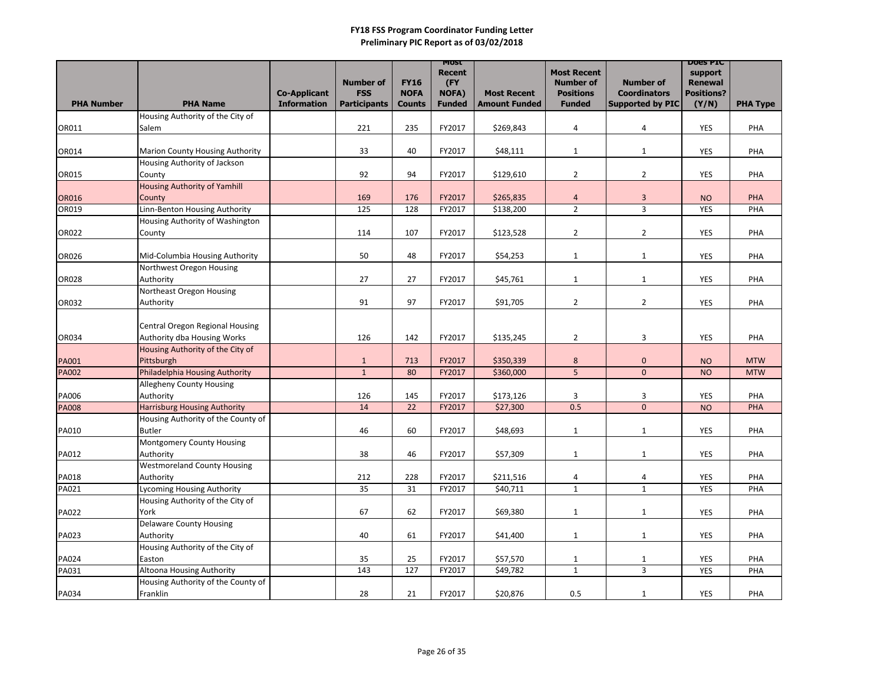|                   |                                                |                     |                     |               | <b>MOST</b><br>Recent |                      | <b>Most Recent</b>      |                             | <b>DOES PIC</b><br>support |                 |
|-------------------|------------------------------------------------|---------------------|---------------------|---------------|-----------------------|----------------------|-------------------------|-----------------------------|----------------------------|-----------------|
|                   |                                                |                     | <b>Number of</b>    | <b>FY16</b>   | (FY                   |                      | <b>Number of</b>        | <b>Number of</b>            | <b>Renewal</b>             |                 |
|                   |                                                | <b>Co-Applicant</b> | <b>FSS</b>          | <b>NOFA</b>   | <b>NOFA)</b>          | <b>Most Recent</b>   | <b>Positions</b>        | <b>Coordinators</b>         | <b>Positions?</b>          |                 |
| <b>PHA Number</b> | <b>PHA Name</b>                                | <b>Information</b>  | <b>Participants</b> | <b>Counts</b> | <b>Funded</b>         | <b>Amount Funded</b> | <b>Funded</b>           | <b>Supported by PIC</b>     | (Y/N)                      | <b>PHA Type</b> |
|                   | Housing Authority of the City of               |                     |                     |               |                       |                      |                         |                             |                            |                 |
| OR011             | Salem                                          |                     | 221                 | 235           | FY2017                | \$269,843            | 4                       | 4                           | YES                        | PHA             |
|                   |                                                |                     |                     |               |                       |                      |                         |                             |                            |                 |
| OR014             | <b>Marion County Housing Authority</b>         |                     | 33                  | 40            | FY2017                | \$48,111             | $\mathbf{1}$            | $\mathbf{1}$                | <b>YES</b>                 | PHA             |
|                   | Housing Authority of Jackson                   |                     |                     |               |                       |                      |                         |                             |                            |                 |
| OR015             | County                                         |                     | 92                  | 94            | FY2017                | \$129,610            | $\overline{2}$          | $\overline{2}$              | <b>YES</b>                 | PHA             |
|                   | <b>Housing Authority of Yamhill</b>            |                     |                     |               |                       |                      |                         |                             |                            |                 |
| <b>OR016</b>      | County                                         |                     | 169                 | 176           | FY2017                | \$265,835            | $\overline{\mathbf{r}}$ | $\overline{3}$              | <b>NO</b>                  | PHA             |
| OR019             | Linn-Benton Housing Authority                  |                     | 125                 | 128           | FY2017                | \$138,200            | $\overline{2}$          | $\overline{3}$              | <b>YES</b>                 | PHA             |
|                   | Housing Authority of Washington                |                     |                     |               |                       |                      |                         |                             |                            |                 |
| <b>OR022</b>      | County                                         |                     | 114                 | 107           | FY2017                | \$123,528            | $\overline{2}$          | $\overline{2}$              | <b>YES</b>                 | PHA             |
|                   |                                                |                     |                     |               |                       |                      |                         |                             |                            |                 |
| OR026             | Mid-Columbia Housing Authority                 |                     | 50                  | 48            | FY2017                | \$54,253             | $\mathbf{1}$            | $\mathbf{1}$                | <b>YES</b>                 | PHA             |
|                   | Northwest Oregon Housing                       |                     |                     |               |                       |                      |                         |                             |                            |                 |
| <b>OR028</b>      | Authority                                      |                     | 27                  | 27            | FY2017                | \$45,761             | $\mathbf{1}$            | $\mathbf{1}$                | <b>YES</b>                 | PHA             |
|                   | Northeast Oregon Housing                       |                     |                     |               |                       |                      |                         |                             |                            |                 |
| OR032             | Authority                                      |                     | 91                  | 97            | FY2017                | \$91,705             | $\overline{2}$          | $2^{\circ}$                 | <b>YES</b>                 | PHA             |
|                   |                                                |                     |                     |               |                       |                      |                         |                             |                            |                 |
|                   | <b>Central Oregon Regional Housing</b>         |                     |                     |               |                       |                      |                         |                             |                            |                 |
| OR034             | Authority dba Housing Works                    |                     | 126                 | 142           | FY2017                | \$135,245            | $\overline{2}$          | 3                           | <b>YES</b>                 | PHA             |
|                   | Housing Authority of the City of<br>Pittsburgh |                     | $\mathbf{1}$        | 713           | FY2017                | \$350,339            | $\bf 8$                 |                             |                            | <b>MTW</b>      |
| <b>PA001</b>      | Philadelphia Housing Authority                 |                     | $\mathbf{1}$        | 80            | FY2017                |                      | 5                       | $\pmb{0}$<br>$\overline{0}$ | <b>NO</b>                  | <b>MTW</b>      |
| <b>PA002</b>      | <b>Allegheny County Housing</b>                |                     |                     |               |                       | \$360,000            |                         |                             | <b>NO</b>                  |                 |
| PA006             | Authority                                      |                     | 126                 | 145           | FY2017                | \$173,126            | 3                       | 3                           | <b>YES</b>                 | PHA             |
| <b>PA008</b>      | <b>Harrisburg Housing Authority</b>            |                     | 14                  | 22            | FY2017                | \$27,300             | 0.5                     | $\overline{0}$              | <b>NO</b>                  | PHA             |
|                   | Housing Authority of the County of             |                     |                     |               |                       |                      |                         |                             |                            |                 |
| PA010             | <b>Butler</b>                                  |                     | 46                  | 60            | FY2017                | \$48,693             | $\mathbf{1}$            | $\mathbf{1}$                | YES                        | PHA             |
|                   | <b>Montgomery County Housing</b>               |                     |                     |               |                       |                      |                         |                             |                            |                 |
| PA012             | Authority                                      |                     | 38                  | 46            | FY2017                | \$57,309             | $\mathbf{1}$            | $\mathbf{1}$                | <b>YES</b>                 | PHA             |
|                   | <b>Westmoreland County Housing</b>             |                     |                     |               |                       |                      |                         |                             |                            |                 |
| PA018             | Authority                                      |                     | 212                 | 228           | FY2017                | \$211,516            | 4                       | 4                           | <b>YES</b>                 | PHA             |
| PA021             | <b>Lycoming Housing Authority</b>              |                     | 35                  | 31            | FY2017                | \$40,711             | $\mathbf{1}$            | $\mathbf{1}$                | YES                        | PHA             |
|                   | Housing Authority of the City of               |                     |                     |               |                       |                      |                         |                             |                            |                 |
| <b>PA022</b>      | York                                           |                     | 67                  | 62            | FY2017                | \$69,380             | $\mathbf{1}$            | $\mathbf{1}$                | <b>YES</b>                 | PHA             |
|                   | <b>Delaware County Housing</b>                 |                     |                     |               |                       |                      |                         |                             |                            |                 |
| PA023             | Authority                                      |                     | 40                  | 61            | FY2017                | \$41,400             | $\mathbf{1}$            | $\mathbf{1}$                | YES                        | PHA             |
|                   | Housing Authority of the City of               |                     |                     |               |                       |                      |                         |                             |                            |                 |
| <b>PA024</b>      | Easton                                         |                     | 35                  | 25            | FY2017                | \$57,570             | $\mathbf 1$             | $\mathbf{1}$                | YES                        | PHA             |
| PA031             | Altoona Housing Authority                      |                     | 143                 | 127           | FY2017                | \$49,782             | $\mathbf{1}$            | $\mathbf{3}$                | YES                        | PHA             |
|                   | Housing Authority of the County of             |                     |                     |               |                       |                      |                         |                             |                            |                 |
| PA034             | Franklin                                       |                     | 28                  | 21            | FY2017                | \$20,876             | 0.5                     | $\mathbf{1}$                | YES                        | PHA             |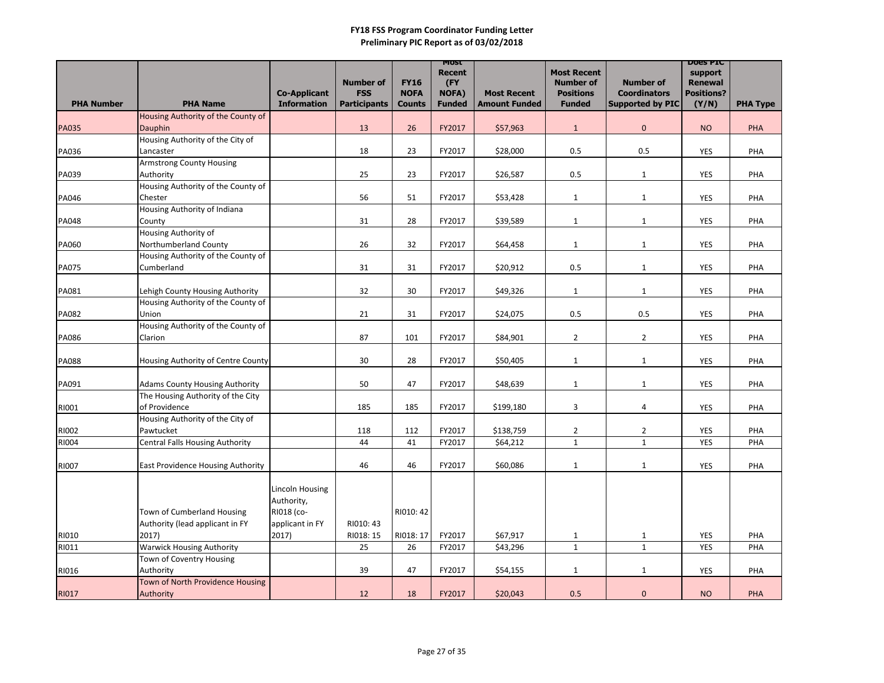|                   |                                                    |                                           |                                                       |                                             | <b>MOST</b><br><b>Recent</b>  |                                            | <b>Most Recent</b>                                    | <b>Number of</b>                               | <b>DOGS LIC</b><br>support                   |                 |
|-------------------|----------------------------------------------------|-------------------------------------------|-------------------------------------------------------|---------------------------------------------|-------------------------------|--------------------------------------------|-------------------------------------------------------|------------------------------------------------|----------------------------------------------|-----------------|
| <b>PHA Number</b> | <b>PHA Name</b>                                    | <b>Co-Applicant</b><br><b>Information</b> | <b>Number of</b><br><b>FSS</b><br><b>Participants</b> | <b>FY16</b><br><b>NOFA</b><br><b>Counts</b> | (FY<br>NOFA)<br><b>Funded</b> | <b>Most Recent</b><br><b>Amount Funded</b> | <b>Number of</b><br><b>Positions</b><br><b>Funded</b> | <b>Coordinators</b><br><b>Supported by PIC</b> | <b>Renewal</b><br><b>Positions?</b><br>(Y/N) | <b>PHA Type</b> |
|                   | Housing Authority of the County of                 |                                           |                                                       |                                             |                               |                                            |                                                       |                                                |                                              |                 |
| <b>PA035</b>      | Dauphin                                            |                                           | 13                                                    | 26                                          | FY2017                        | \$57,963                                   | $\mathbf{1}$                                          | $\overline{0}$                                 | <b>NO</b>                                    | PHA             |
|                   | Housing Authority of the City of                   |                                           |                                                       |                                             |                               |                                            |                                                       |                                                |                                              |                 |
| PA036             | Lancaster                                          |                                           | 18                                                    | 23                                          | FY2017                        | \$28,000                                   | 0.5                                                   | 0.5                                            | YES                                          | PHA             |
|                   | <b>Armstrong County Housing</b>                    |                                           |                                                       |                                             |                               |                                            |                                                       |                                                |                                              |                 |
| PA039             | Authority                                          |                                           | 25                                                    | 23                                          | FY2017                        | \$26,587                                   | 0.5                                                   | $\mathbf{1}$                                   | <b>YES</b>                                   | PHA             |
|                   | Housing Authority of the County of                 |                                           |                                                       |                                             |                               |                                            |                                                       |                                                |                                              |                 |
| PA046             | Chester                                            |                                           | 56                                                    | 51                                          | FY2017                        | \$53,428                                   | $\mathbf{1}$                                          | $\mathbf{1}$                                   | <b>YES</b>                                   | PHA             |
|                   | Housing Authority of Indiana                       |                                           |                                                       |                                             |                               |                                            |                                                       |                                                |                                              |                 |
| <b>PA048</b>      | County                                             |                                           | 31                                                    | 28                                          | FY2017                        | \$39,589                                   | $\mathbf{1}$                                          | $\mathbf{1}$                                   | <b>YES</b>                                   | PHA             |
|                   | Housing Authority of                               |                                           |                                                       |                                             |                               |                                            |                                                       |                                                |                                              |                 |
| PA060             | Northumberland County                              |                                           | 26                                                    | 32                                          | FY2017                        | \$64,458                                   | $\mathbf{1}$                                          | $\mathbf{1}$                                   | <b>YES</b>                                   | PHA             |
|                   | Housing Authority of the County of                 |                                           |                                                       |                                             |                               |                                            |                                                       |                                                |                                              |                 |
| <b>PA075</b>      | Cumberland                                         |                                           | 31                                                    | 31                                          | FY2017                        | \$20,912                                   | 0.5                                                   | $\mathbf{1}$                                   | <b>YES</b>                                   | PHA             |
|                   |                                                    |                                           |                                                       |                                             |                               |                                            |                                                       |                                                |                                              |                 |
| PA081             | Lehigh County Housing Authority                    |                                           | 32                                                    | 30                                          | FY2017                        | \$49,326                                   | $\mathbf{1}$                                          | $\mathbf{1}$                                   | <b>YES</b>                                   | PHA             |
|                   | Housing Authority of the County of                 |                                           |                                                       |                                             |                               |                                            |                                                       |                                                |                                              |                 |
| <b>PA082</b>      | <b>Union</b><br>Housing Authority of the County of |                                           | 21                                                    | 31                                          | FY2017                        | \$24,075                                   | 0.5                                                   | 0.5                                            | <b>YES</b>                                   | PHA             |
|                   | Clarion                                            |                                           | 87                                                    | 101                                         | FY2017                        | \$84,901                                   | $\overline{2}$                                        | $\overline{2}$                                 |                                              | PHA             |
| <b>PA086</b>      |                                                    |                                           |                                                       |                                             |                               |                                            |                                                       |                                                | <b>YES</b>                                   |                 |
| <b>PA088</b>      | Housing Authority of Centre County                 |                                           | 30                                                    | 28                                          | FY2017                        | \$50,405                                   | $\mathbf{1}$                                          | $\mathbf{1}$                                   | <b>YES</b>                                   | PHA             |
|                   |                                                    |                                           |                                                       |                                             |                               |                                            |                                                       |                                                |                                              |                 |
| PA091             | <b>Adams County Housing Authority</b>              |                                           | 50                                                    | 47                                          | FY2017                        | \$48,639                                   | $\mathbf{1}$                                          | $\mathbf{1}$                                   | <b>YES</b>                                   | PHA             |
|                   | The Housing Authority of the City                  |                                           |                                                       |                                             |                               |                                            |                                                       |                                                |                                              |                 |
| RI001             | of Providence                                      |                                           | 185                                                   | 185                                         | FY2017                        | \$199,180                                  | 3                                                     | 4                                              | <b>YES</b>                                   | PHA             |
|                   | Housing Authority of the City of                   |                                           |                                                       |                                             |                               |                                            |                                                       |                                                |                                              |                 |
| RI002             | Pawtucket                                          |                                           | 118                                                   | 112                                         | FY2017                        | \$138,759                                  | $\overline{2}$                                        | $\overline{2}$                                 | <b>YES</b>                                   | PHA             |
| RI004             | <b>Central Falls Housing Authority</b>             |                                           | 44                                                    | 41                                          | FY2017                        | \$64,212                                   | $\mathbf{1}$                                          | $\mathbf{1}$                                   | <b>YES</b>                                   | PHA             |
|                   |                                                    |                                           |                                                       |                                             |                               |                                            |                                                       |                                                |                                              |                 |
| <b>RI007</b>      | <b>East Providence Housing Authority</b>           |                                           | 46                                                    | 46                                          | FY2017                        | \$60,086                                   | $\mathbf{1}$                                          | $\mathbf{1}$                                   | <b>YES</b>                                   | PHA             |
|                   |                                                    | Lincoln Housing<br>Authority,             |                                                       |                                             |                               |                                            |                                                       |                                                |                                              |                 |
|                   | Town of Cumberland Housing                         | RI018 (co-                                |                                                       | RI010: 42                                   |                               |                                            |                                                       |                                                |                                              |                 |
|                   | Authority (lead applicant in FY                    | applicant in FY                           | RI010: 43                                             |                                             |                               |                                            |                                                       |                                                |                                              |                 |
| RI010             | 2017)<br><b>Warwick Housing Authority</b>          | 2017)                                     | RI018: 15<br>25                                       | RI018: 17<br>26                             | FY2017<br>FY2017              | \$67,917<br>\$43,296                       | $\mathbf{1}$<br>$\mathbf{1}$                          | $\mathbf{1}$<br>$\mathbf{1}$                   | <b>YES</b>                                   | PHA             |
| RI011             | Town of Coventry Housing                           |                                           |                                                       |                                             |                               |                                            |                                                       |                                                | <b>YES</b>                                   | PHA             |
| RI016             | Authority                                          |                                           | 39                                                    | 47                                          | FY2017                        | \$54,155                                   | $\mathbf{1}$                                          | $\mathbf{1}$                                   | YES                                          | PHA             |
|                   | Town of North Providence Housing                   |                                           |                                                       |                                             |                               |                                            |                                                       |                                                |                                              |                 |
| RI017             | Authority                                          |                                           | 12                                                    | 18                                          | FY2017                        | \$20,043                                   | 0.5                                                   | $\mathbf 0$                                    | <b>NO</b>                                    | <b>PHA</b>      |
|                   |                                                    |                                           |                                                       |                                             |                               |                                            |                                                       |                                                |                                              |                 |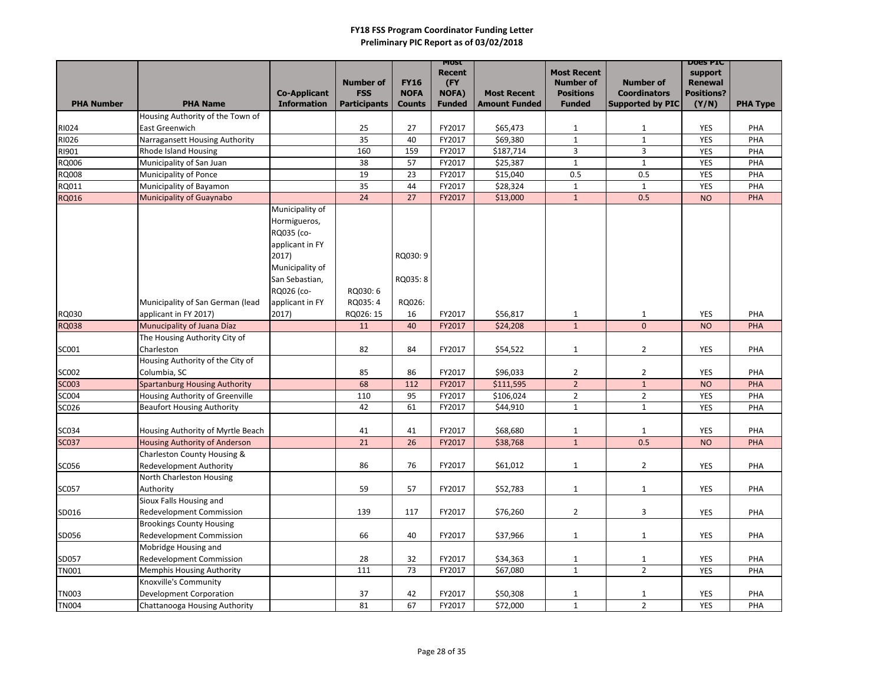|                   |                                                            |                                           |                                |                              | MOST<br><b>Recent</b>         |                                            | <b>Most Recent</b>                   |                                                | <b>DOGS PIC</b><br>support          |                 |
|-------------------|------------------------------------------------------------|-------------------------------------------|--------------------------------|------------------------------|-------------------------------|--------------------------------------------|--------------------------------------|------------------------------------------------|-------------------------------------|-----------------|
|                   |                                                            |                                           | <b>Number of</b><br><b>FSS</b> | <b>FY16</b>                  | (FY)                          |                                            | <b>Number of</b><br><b>Positions</b> | <b>Number of</b>                               | <b>Renewal</b><br><b>Positions?</b> |                 |
| <b>PHA Number</b> | <b>PHA Name</b>                                            | <b>Co-Applicant</b><br><b>Information</b> | <b>Participants</b>            | <b>NOFA</b><br><b>Counts</b> | <b>NOFA)</b><br><b>Funded</b> | <b>Most Recent</b><br><b>Amount Funded</b> | <b>Funded</b>                        | <b>Coordinators</b><br><b>Supported by PIC</b> | (Y/N)                               | <b>PHA Type</b> |
|                   | Housing Authority of the Town of                           |                                           |                                |                              |                               |                                            |                                      |                                                |                                     |                 |
| RI024             | <b>East Greenwich</b>                                      |                                           | 25                             | 27                           | FY2017                        | \$65,473                                   | $\mathbf{1}$                         | $\mathbf{1}$                                   | <b>YES</b>                          | PHA             |
| RI026             | Narragansett Housing Authority                             |                                           | 35                             | 40                           | FY2017                        | \$69,380                                   | $\mathbf{1}$                         | $\mathbf{1}$                                   | <b>YES</b>                          | PHA             |
| RI901             | <b>Rhode Island Housing</b>                                |                                           | 160                            | 159                          | FY2017                        | \$187,714                                  | 3                                    | 3                                              | <b>YES</b>                          | PHA             |
| RQ006             | Municipality of San Juan                                   |                                           | 38                             | 57                           | FY2017                        | \$25,387                                   | $\mathbf{1}$                         | $\mathbf{1}$                                   | <b>YES</b>                          | PHA             |
| <b>RQ008</b>      | Municipality of Ponce                                      |                                           | 19                             | 23                           | FY2017                        | \$15,040                                   | 0.5                                  | 0.5                                            | <b>YES</b>                          | PHA             |
| RQ011             | Municipality of Bayamon                                    |                                           | 35                             | 44                           | FY2017                        | \$28,324                                   | $\mathbf{1}$                         | $\mathbf{1}$                                   | <b>YES</b>                          | PHA             |
| RQ016             | Municipality of Guaynabo                                   |                                           | 24                             | 27                           | FY2017                        | \$13,000                                   | $\mathbf{1}$                         | 0.5                                            | <b>NO</b>                           | <b>PHA</b>      |
|                   |                                                            | Municipality of                           |                                |                              |                               |                                            |                                      |                                                |                                     |                 |
|                   |                                                            | Hormigueros,<br>RQ035 (co-                |                                |                              |                               |                                            |                                      |                                                |                                     |                 |
|                   |                                                            | applicant in FY                           |                                |                              |                               |                                            |                                      |                                                |                                     |                 |
|                   |                                                            | 2017)                                     |                                | RQ030: 9                     |                               |                                            |                                      |                                                |                                     |                 |
|                   |                                                            | Municipality of                           |                                |                              |                               |                                            |                                      |                                                |                                     |                 |
|                   |                                                            | San Sebastian,                            |                                | RQ035: 8                     |                               |                                            |                                      |                                                |                                     |                 |
|                   |                                                            | RQ026 (co-                                | RQ030:6                        |                              |                               |                                            |                                      |                                                |                                     |                 |
|                   | Municipality of San German (lead                           | applicant in FY                           | RQ035: 4                       | RQ026:                       |                               |                                            |                                      |                                                |                                     |                 |
| <b>RQ030</b>      | applicant in FY 2017)                                      | 2017)                                     | RQ026: 15                      | 16                           | FY2017                        | \$56,817                                   | $\mathbf{1}$                         | $\mathbf{1}$                                   | <b>YES</b>                          | PHA             |
| <b>RQ038</b>      | Munucipality of Juana Díaz                                 |                                           | 11                             | 40                           | FY2017                        | \$24,208                                   | $\mathbf{1}$                         | $\mathbf 0$                                    | <b>NO</b>                           | PHA             |
|                   | The Housing Authority City of                              |                                           |                                |                              |                               |                                            |                                      |                                                |                                     |                 |
| SC001             | Charleston                                                 |                                           | 82                             | 84                           | FY2017                        | \$54,522                                   | $\mathbf{1}$                         | $\overline{2}$                                 | <b>YES</b>                          | PHA             |
|                   | Housing Authority of the City of                           |                                           |                                |                              |                               |                                            |                                      |                                                |                                     |                 |
| <b>SC002</b>      | Columbia, SC                                               |                                           | 85                             | 86                           | FY2017                        | \$96,033                                   | $\overline{a}$                       | $\overline{2}$                                 | <b>YES</b>                          | PHA             |
| <b>SC003</b>      | <b>Spartanburg Housing Authority</b>                       |                                           | 68                             | 112                          | FY2017                        | \$111,595                                  | $\overline{2}$                       | $1\,$                                          | <b>NO</b>                           | PHA             |
| <b>SC004</b>      | Housing Authority of Greenville                            |                                           | 110                            | 95                           | FY2017                        | \$106,024                                  | $\overline{2}$                       | $\overline{2}$                                 | <b>YES</b>                          | PHA             |
| SC026             | <b>Beaufort Housing Authority</b>                          |                                           | 42                             | 61                           | FY2017                        | \$44,910                                   | $\mathbf{1}$                         | $\mathbf{1}$                                   | <b>YES</b>                          | PHA             |
|                   |                                                            |                                           |                                |                              |                               |                                            |                                      |                                                |                                     |                 |
| <b>SC034</b>      | Housing Authority of Myrtle Beach                          |                                           | 41                             | 41                           | FY2017                        | \$68,680                                   | $\mathbf{1}$                         | $\mathbf{1}$                                   | <b>YES</b>                          | <b>PHA</b>      |
| <b>SC037</b>      | <b>Housing Authority of Anderson</b>                       |                                           | 21                             | 26                           | FY2017                        | \$38,768                                   | 1                                    | 0.5                                            | <b>NO</b>                           | <b>PHA</b>      |
|                   | Charleston County Housing &                                |                                           |                                |                              |                               |                                            |                                      |                                                |                                     |                 |
| SC056             | <b>Redevelopment Authority</b><br>North Charleston Housing |                                           | 86                             | 76                           | FY2017                        | \$61,012                                   | $\mathbf{1}$                         | $\overline{2}$                                 | YES                                 | PHA             |
| <b>SC057</b>      | Authority                                                  |                                           | 59                             | 57                           | FY2017                        | \$52,783                                   | $\mathbf{1}$                         | $\mathbf{1}$                                   | YES                                 | PHA             |
|                   | Sioux Falls Housing and                                    |                                           |                                |                              |                               |                                            |                                      |                                                |                                     |                 |
| SD016             | <b>Redevelopment Commission</b>                            |                                           | 139                            | 117                          | FY2017                        | \$76,260                                   | $2^{\circ}$                          | $\mathbf{3}$                                   | <b>YES</b>                          | PHA             |
|                   | <b>Brookings County Housing</b>                            |                                           |                                |                              |                               |                                            |                                      |                                                |                                     |                 |
| SD056             | <b>Redevelopment Commission</b>                            |                                           | 66                             | 40                           | FY2017                        | \$37,966                                   | $\mathbf{1}$                         | $\mathbf{1}$                                   | YES                                 | PHA             |
|                   | Mobridge Housing and                                       |                                           |                                |                              |                               |                                            |                                      |                                                |                                     |                 |
| SD057             | <b>Redevelopment Commission</b>                            |                                           | 28                             | 32                           | FY2017                        | \$34,363                                   | $\mathbf{1}$                         | $\mathbf{1}$                                   | YES                                 | PHA             |
| <b>TN001</b>      | <b>Memphis Housing Authority</b>                           |                                           | 111                            | 73                           | FY2017                        | \$67,080                                   | $\mathbf{1}$                         | $2^{\circ}$                                    | YES                                 | PHA             |
|                   | Knoxville's Community                                      |                                           |                                |                              |                               |                                            |                                      |                                                |                                     |                 |
| <b>TN003</b>      | <b>Development Corporation</b>                             |                                           | 37                             | 42                           | FY2017                        | \$50,308                                   | $\mathbf{1}$                         | $\mathbf{1}$                                   | <b>YES</b>                          | PHA             |
| <b>TN004</b>      | Chattanooga Housing Authority                              |                                           | 81                             | 67                           | FY2017                        | \$72,000                                   | $\mathbf{1}$                         | $\overline{2}$                                 | <b>YES</b>                          | PHA             |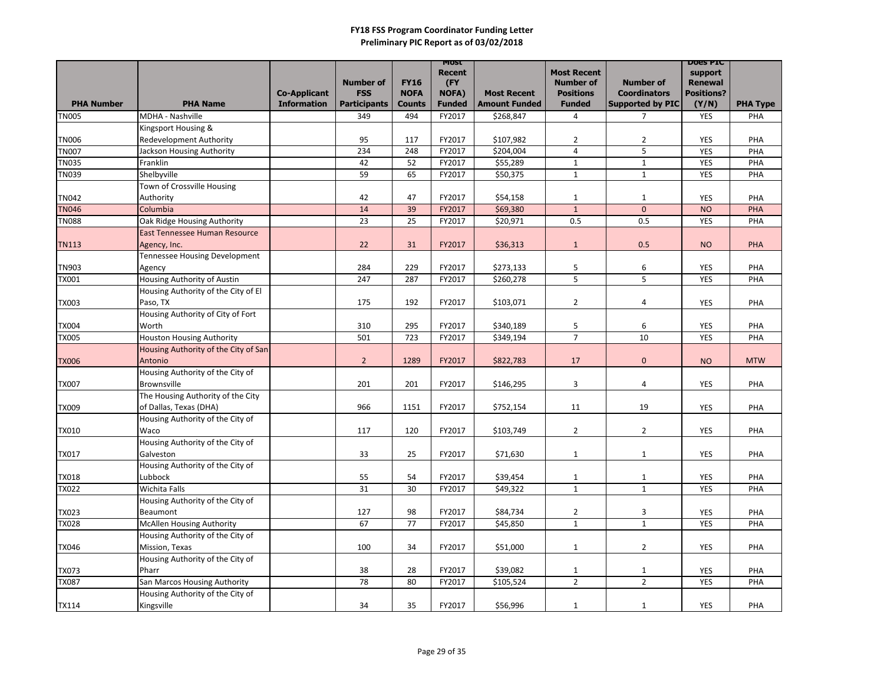|                   |                                                    |                     |                     |               | MOST<br><b>Recent</b> |                      | <b>Most Recent</b>  |                         | <b>DOGS PIC</b><br>support |                 |
|-------------------|----------------------------------------------------|---------------------|---------------------|---------------|-----------------------|----------------------|---------------------|-------------------------|----------------------------|-----------------|
|                   |                                                    |                     | <b>Number of</b>    | <b>FY16</b>   | (FY)                  |                      | <b>Number of</b>    | <b>Number of</b>        | <b>Renewal</b>             |                 |
|                   |                                                    | <b>Co-Applicant</b> | <b>FSS</b>          | <b>NOFA</b>   | <b>NOFA)</b>          | <b>Most Recent</b>   | <b>Positions</b>    | <b>Coordinators</b>     | <b>Positions?</b>          |                 |
| <b>PHA Number</b> | <b>PHA Name</b>                                    | <b>Information</b>  | <b>Participants</b> | <b>Counts</b> | <b>Funded</b>         | <b>Amount Funded</b> | <b>Funded</b>       | <b>Supported by PIC</b> | (Y/N)                      | <b>PHA Type</b> |
| <b>TN005</b>      | MDHA - Nashville<br>Kingsport Housing &            |                     | 349                 | 494           | FY2017                | \$268,847            | 4                   | $\overline{7}$          | <b>YES</b>                 | PHA             |
| <b>TN006</b>      | <b>Redevelopment Authority</b>                     |                     | 95                  | 117           | FY2017                | \$107,982            | $\overline{2}$      | $\overline{2}$          | <b>YES</b>                 | PHA             |
| <b>TN007</b>      | Jackson Housing Authority                          |                     | 234                 | 248           | FY2017                | \$204,004            | $\overline{4}$      | 5                       | <b>YES</b>                 | PHA             |
| <b>TN035</b>      | Franklin                                           |                     | 42                  | 52            | FY2017                | \$55,289             | $\mathbf{1}$        | $\mathbf{1}$            | <b>YES</b>                 | PHA             |
| <b>TN039</b>      | Shelbyville                                        |                     | 59                  | 65            | FY2017                | \$50,375             | $\mathbf{1}$        | $\mathbf{1}$            | <b>YES</b>                 | PHA             |
|                   | Town of Crossville Housing                         |                     |                     |               |                       |                      |                     |                         |                            |                 |
| <b>TN042</b>      | Authority                                          |                     | 42                  | 47            | FY2017                | \$54,158             | $\mathbf{1}$        | $\mathbf{1}$            | <b>YES</b>                 | PHA             |
| <b>TN046</b>      | Columbia                                           |                     | 14                  | 39            | FY2017                | \$69,380             | $\mathbf{1}$        | $\mathbf{0}$            | <b>NO</b>                  | <b>PHA</b>      |
| <b>TN088</b>      | Oak Ridge Housing Authority                        |                     | 23                  | 25            | FY2017                | \$20,971             | 0.5                 | 0.5                     | <b>YES</b>                 | PHA             |
|                   | <b>East Tennessee Human Resource</b>               |                     |                     |               |                       |                      |                     |                         |                            |                 |
| <b>TN113</b>      | Agency, Inc.                                       |                     | 22                  | 31            | FY2017                | \$36,313             | $\mathbf{1}$        | 0.5                     | <b>NO</b>                  | <b>PHA</b>      |
|                   | Tennessee Housing Development                      |                     |                     |               |                       |                      |                     |                         |                            |                 |
| <b>TN903</b>      | Agency                                             |                     | 284                 | 229           | FY2017                | \$273,133            | 5                   | 6                       | <b>YES</b>                 | PHA             |
| <b>TX001</b>      | Housing Authority of Austin                        |                     | 247                 | 287           | FY2017                | \$260,278            | 5                   | 5                       | <b>YES</b>                 | PHA             |
|                   | Housing Authority of the City of El                |                     |                     |               |                       |                      |                     |                         |                            |                 |
| <b>TX003</b>      | Paso, TX                                           |                     | 175                 | 192           | FY2017                | \$103,071            | $\overline{2}$      | 4                       | <b>YES</b>                 | PHA             |
|                   | Housing Authority of City of Fort                  |                     |                     |               |                       |                      |                     |                         |                            |                 |
| <b>TX004</b>      | Worth                                              |                     | 310                 | 295           | FY2017                | \$340,189            | 5<br>$\overline{7}$ | 6                       | <b>YES</b>                 | PHA             |
| <b>TX005</b>      | <b>Houston Housing Authority</b>                   |                     | 501                 | 723           | FY2017                | \$349,194            |                     | 10                      | <b>YES</b>                 | PHA             |
| <b>TX006</b>      | Housing Authority of the City of San<br>Antonio    |                     | $\overline{2}$      | 1289          | FY2017                | \$822,783            | 17                  | $\mathbf{0}$            | <b>NO</b>                  | <b>MTW</b>      |
|                   | Housing Authority of the City of                   |                     |                     |               |                       |                      |                     |                         |                            |                 |
| <b>TX007</b>      | <b>Brownsville</b>                                 |                     | 201                 | 201           | FY2017                | \$146,295            | 3                   | 4                       | <b>YES</b>                 | PHA             |
|                   | The Housing Authority of the City                  |                     |                     |               |                       |                      |                     |                         |                            |                 |
| <b>TX009</b>      | of Dallas, Texas (DHA)                             |                     | 966                 | 1151          | FY2017                | \$752,154            | 11                  | 19                      | <b>YES</b>                 | PHA             |
|                   | Housing Authority of the City of                   |                     |                     |               |                       |                      |                     |                         |                            |                 |
| <b>TX010</b>      | Waco                                               |                     | 117                 | 120           | FY2017                | \$103,749            | $\overline{2}$      | $\overline{2}$          | <b>YES</b>                 | PHA             |
|                   | Housing Authority of the City of                   |                     |                     |               |                       |                      |                     |                         |                            |                 |
| <b>TX017</b>      | Galveston                                          |                     | 33                  | 25            | FY2017                | \$71,630             | $\mathbf{1}$        | $\mathbf{1}$            | YES                        | PHA             |
|                   | Housing Authority of the City of                   |                     |                     |               |                       |                      |                     |                         |                            |                 |
| <b>TX018</b>      | Lubbock                                            |                     | 55                  | 54            | FY2017                | \$39,454             | $\mathbf{1}$        | $\mathbf{1}$            | <b>YES</b>                 | PHA             |
| <b>TX022</b>      | Wichita Falls                                      |                     | 31                  | 30            | FY2017                | \$49,322             | $\mathbf{1}$        | $\mathbf{1}$            | YES                        | PHA             |
|                   | Housing Authority of the City of                   |                     |                     |               |                       |                      |                     |                         |                            |                 |
| <b>TX023</b>      | Beaumont                                           |                     | 127                 | 98            | FY2017                | \$84,734             | $\overline{2}$      | $\mathbf{3}$            | <b>YES</b>                 | PHA             |
| <b>TX028</b>      | <b>McAllen Housing Authority</b>                   |                     | 67                  | 77            | FY2017                | \$45,850             | $\mathbf{1}$        | $\mathbf{1}$            | <b>YES</b>                 | PHA             |
|                   | Housing Authority of the City of                   |                     |                     |               |                       |                      |                     |                         |                            |                 |
| <b>TX046</b>      | Mission, Texas<br>Housing Authority of the City of |                     | 100                 | 34            | FY2017                | \$51,000             | $\mathbf{1}$        | $2^{\circ}$             | YES                        | PHA             |
| <b>TX073</b>      | Pharr                                              |                     | 38                  | 28            | FY2017                | \$39,082             | $\mathbf{1}$        | $\mathbf{1}$            | <b>YES</b>                 | PHA             |
| <b>TX087</b>      | San Marcos Housing Authority                       |                     | 78                  | 80            | FY2017                | \$105,524            | $\overline{2}$      | $2^{\circ}$             | <b>YES</b>                 | PHA             |
|                   | Housing Authority of the City of                   |                     |                     |               |                       |                      |                     |                         |                            |                 |
| <b>TX114</b>      | Kingsville                                         |                     | 34                  | 35            | FY2017                | \$56,996             | 1                   | 1                       | YES                        | PHA             |
|                   |                                                    |                     |                     |               |                       |                      |                     |                         |                            |                 |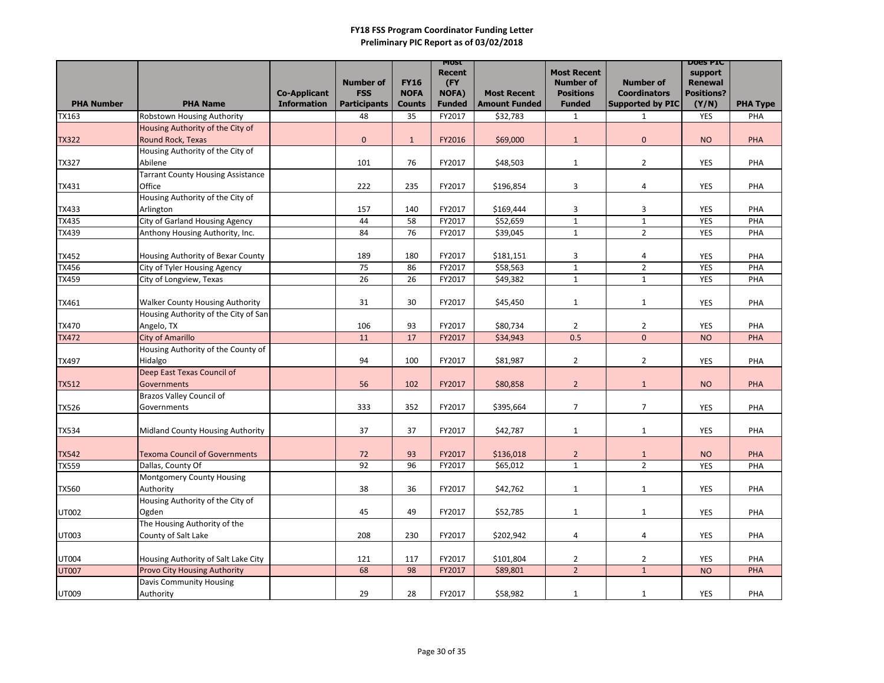| <b>PHA Number</b> | <b>PHA Name</b>                          | <b>Co-Applicant</b><br><b>Information</b> | <b>Number of</b><br><b>FSS</b><br><b>Participants</b> | <b>FY16</b><br><b>NOFA</b><br><b>Counts</b> | <b>MOST</b><br><b>Recent</b><br>(FY<br><b>NOFA)</b><br><b>Funded</b> | <b>Most Recent</b><br><b>Amount Funded</b> | <b>Most Recent</b><br><b>Number of</b><br><b>Positions</b><br><b>Funded</b> | <b>Number of</b><br><b>Coordinators</b><br><b>Supported by PIC</b> | <b>DOGS PIC</b><br>support<br><b>Renewal</b><br><b>Positions?</b><br>(Y/N) | <b>PHA Type</b> |
|-------------------|------------------------------------------|-------------------------------------------|-------------------------------------------------------|---------------------------------------------|----------------------------------------------------------------------|--------------------------------------------|-----------------------------------------------------------------------------|--------------------------------------------------------------------|----------------------------------------------------------------------------|-----------------|
| <b>TX163</b>      | <b>Robstown Housing Authority</b>        |                                           | 48                                                    | 35                                          | FY2017                                                               | \$32,783                                   | $\mathbf{1}$                                                                | $\mathbf{1}$                                                       | <b>YES</b>                                                                 | PHA             |
|                   | Housing Authority of the City of         |                                           |                                                       |                                             |                                                                      |                                            |                                                                             |                                                                    |                                                                            |                 |
| <b>TX322</b>      | Round Rock, Texas                        |                                           | $\overline{0}$                                        | $\mathbf{1}$                                | FY2016                                                               | \$69,000                                   | $\mathbf{1}$                                                                | $\mathbf{0}$                                                       | <b>NO</b>                                                                  | PHA             |
|                   | Housing Authority of the City of         |                                           |                                                       |                                             |                                                                      |                                            |                                                                             |                                                                    |                                                                            |                 |
| <b>TX327</b>      | Abilene                                  |                                           | 101                                                   | 76                                          | FY2017                                                               | \$48,503                                   | $\mathbf{1}$                                                                | $\overline{2}$                                                     | <b>YES</b>                                                                 | PHA             |
|                   | <b>Tarrant County Housing Assistance</b> |                                           |                                                       |                                             |                                                                      |                                            |                                                                             |                                                                    |                                                                            |                 |
| <b>TX431</b>      | Office                                   |                                           | 222                                                   | 235                                         | FY2017                                                               | \$196,854                                  | 3                                                                           | 4                                                                  | <b>YES</b>                                                                 | PHA             |
|                   | Housing Authority of the City of         |                                           |                                                       |                                             |                                                                      |                                            |                                                                             |                                                                    |                                                                            |                 |
| <b>TX433</b>      | Arlington                                |                                           | 157                                                   | 140                                         | FY2017                                                               | \$169,444                                  | 3                                                                           | 3                                                                  | <b>YES</b>                                                                 | PHA             |
| <b>TX435</b>      | <b>City of Garland Housing Agency</b>    |                                           | 44                                                    | 58                                          | FY2017                                                               | \$52,659                                   | $\mathbf{1}$                                                                | $\mathbf{1}$                                                       | <b>YES</b>                                                                 | PHA             |
| <b>TX439</b>      | Anthony Housing Authority, Inc.          |                                           | 84                                                    | 76                                          | FY2017                                                               | \$39,045                                   | $\mathbf{1}$                                                                | $\overline{2}$                                                     | <b>YES</b>                                                                 | PHA             |
|                   |                                          |                                           |                                                       |                                             |                                                                      |                                            |                                                                             |                                                                    |                                                                            |                 |
| <b>TX452</b>      | Housing Authority of Bexar County        |                                           | 189                                                   | 180                                         | FY2017                                                               | \$181,151                                  | 3                                                                           | 4                                                                  | <b>YES</b>                                                                 | PHA             |
| <b>TX456</b>      | City of Tyler Housing Agency             |                                           | 75                                                    | 86                                          | FY2017                                                               | \$58,563                                   | $\mathbf 1$                                                                 | $\overline{2}$                                                     | <b>YES</b>                                                                 | PHA             |
| <b>TX459</b>      | City of Longview, Texas                  |                                           | 26                                                    | 26                                          | FY2017                                                               | \$49,382                                   | $\mathbf{1}$                                                                | $\mathbf{1}$                                                       | <b>YES</b>                                                                 | PHA             |
|                   |                                          |                                           |                                                       |                                             |                                                                      |                                            |                                                                             |                                                                    |                                                                            |                 |
| TX461             | <b>Walker County Housing Authority</b>   |                                           | 31                                                    | 30                                          | FY2017                                                               | \$45,450                                   | $\mathbf{1}$                                                                | $\mathbf{1}$                                                       | <b>YES</b>                                                                 | PHA             |
|                   | Housing Authority of the City of San     |                                           |                                                       |                                             |                                                                      |                                            |                                                                             |                                                                    |                                                                            |                 |
| <b>TX470</b>      | Angelo, TX                               |                                           | 106                                                   | 93                                          | FY2017                                                               | \$80,734                                   | $\overline{2}$                                                              | $\overline{2}$                                                     | <b>YES</b>                                                                 | PHA             |
| <b>TX472</b>      | <b>City of Amarillo</b>                  |                                           | 11                                                    | 17                                          | FY2017                                                               | \$34,943                                   | 0.5                                                                         | $\overline{0}$                                                     | <b>NO</b>                                                                  | PHA             |
|                   | Housing Authority of the County of       |                                           |                                                       |                                             |                                                                      |                                            |                                                                             |                                                                    |                                                                            |                 |
| <b>TX497</b>      | Hidalgo                                  |                                           | 94                                                    | 100                                         | FY2017                                                               | \$81,987                                   | $\overline{2}$                                                              | $\overline{2}$                                                     | <b>YES</b>                                                                 | PHA             |
|                   | Deep East Texas Council of               |                                           |                                                       |                                             |                                                                      |                                            |                                                                             |                                                                    |                                                                            |                 |
| <b>TX512</b>      | Governments                              |                                           | 56                                                    | 102                                         | FY2017                                                               | \$80,858                                   | $\overline{2}$                                                              | $\mathbf{1}$                                                       | <b>NO</b>                                                                  | PHA             |
|                   | <b>Brazos Valley Council of</b>          |                                           |                                                       |                                             |                                                                      |                                            |                                                                             |                                                                    |                                                                            |                 |
| <b>TX526</b>      | Governments                              |                                           | 333                                                   | 352                                         | FY2017                                                               | \$395,664                                  | 7                                                                           | $\overline{7}$                                                     | <b>YES</b>                                                                 | PHA             |
| <b>TX534</b>      | Midland County Housing Authority         |                                           | 37                                                    | 37                                          | FY2017                                                               | \$42,787                                   | $\mathbf{1}$                                                                | $\mathbf{1}$                                                       | <b>YES</b>                                                                 | PHA             |
|                   |                                          |                                           |                                                       |                                             |                                                                      |                                            |                                                                             |                                                                    |                                                                            |                 |
| <b>TX542</b>      | <b>Texoma Council of Governments</b>     |                                           | 72                                                    | 93                                          | FY2017                                                               | \$136,018                                  | 2 <sup>2</sup>                                                              | $\mathbf{1}$                                                       | <b>NO</b>                                                                  | PHA             |
| <b>TX559</b>      | Dallas, County Of                        |                                           | 92                                                    | 96                                          | FY2017                                                               | \$65,012                                   | $\mathbf{1}$                                                                | $2^{\circ}$                                                        | <b>YES</b>                                                                 | PHA             |
|                   | Montgomery County Housing                |                                           |                                                       |                                             |                                                                      |                                            |                                                                             |                                                                    |                                                                            |                 |
| <b>TX560</b>      | Authority                                |                                           | 38                                                    | 36                                          | FY2017                                                               | \$42,762                                   | $\mathbf{1}$                                                                | $\mathbf{1}$                                                       | <b>YES</b>                                                                 | PHA             |
|                   | Housing Authority of the City of         |                                           |                                                       |                                             |                                                                      |                                            |                                                                             |                                                                    |                                                                            |                 |
| <b>UT002</b>      | Ogden                                    |                                           | 45                                                    | 49                                          | FY2017                                                               | \$52,785                                   | $\mathbf{1}$                                                                | $\mathbf{1}$                                                       | <b>YES</b>                                                                 | PHA             |
|                   | The Housing Authority of the             |                                           |                                                       |                                             |                                                                      |                                            |                                                                             |                                                                    |                                                                            |                 |
| UT003             | County of Salt Lake                      |                                           | 208                                                   | 230                                         | FY2017                                                               | \$202,942                                  | 4                                                                           | 4                                                                  | YES                                                                        | PHA             |
|                   |                                          |                                           |                                                       |                                             |                                                                      |                                            |                                                                             |                                                                    |                                                                            |                 |
| <b>UT004</b>      | Housing Authority of Salt Lake City      |                                           | 121                                                   | 117                                         | FY2017                                                               | \$101,804                                  | $\overline{2}$                                                              | $\overline{2}$                                                     | <b>YES</b>                                                                 | PHA             |
| <b>UT007</b>      | <b>Provo City Housing Authority</b>      |                                           | 68                                                    | 98                                          | FY2017                                                               | \$89,801                                   | 2 <sup>2</sup>                                                              | $\mathbf{1}$                                                       | <b>NO</b>                                                                  | <b>PHA</b>      |
|                   | <b>Davis Community Housing</b>           |                                           |                                                       |                                             |                                                                      |                                            |                                                                             |                                                                    |                                                                            |                 |
| UT009             | Authority                                |                                           | 29                                                    | 28                                          | FY2017                                                               | \$58,982                                   | $\mathbf{1}$                                                                | 1                                                                  | YES                                                                        | PHA             |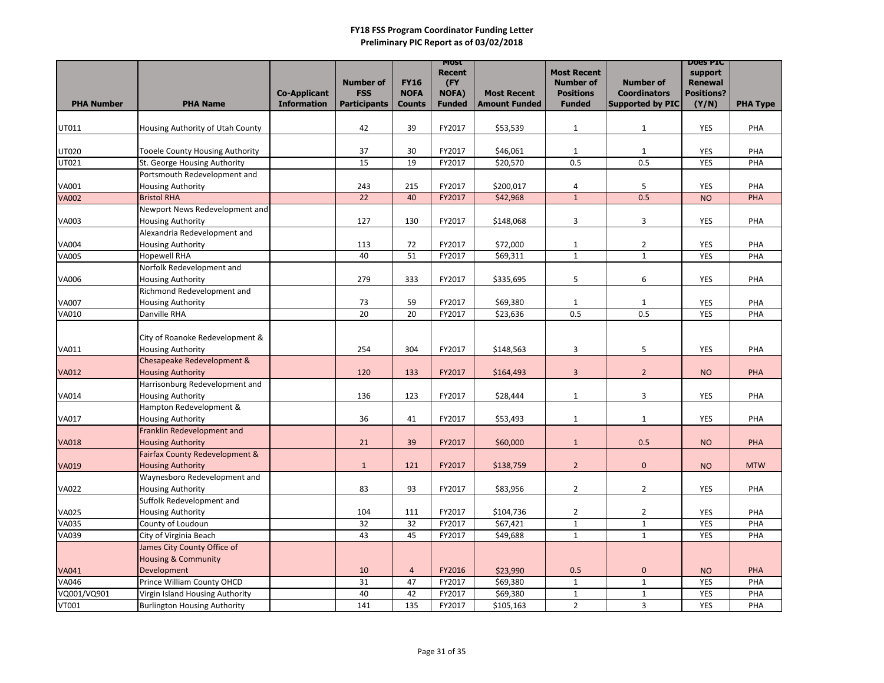|                              |                                                            |                                           | <b>Number of</b>                  | <b>FY16</b>                  | <b>MOST</b><br><b>Recent</b><br>(FY |                                            | <b>Most Recent</b><br><b>Number of</b> | <b>Number of</b>                               | <b>DOES PIC</b><br>support<br><b>Renewal</b> |                 |
|------------------------------|------------------------------------------------------------|-------------------------------------------|-----------------------------------|------------------------------|-------------------------------------|--------------------------------------------|----------------------------------------|------------------------------------------------|----------------------------------------------|-----------------|
| <b>PHA Number</b>            | <b>PHA Name</b>                                            | <b>Co-Applicant</b><br><b>Information</b> | <b>FSS</b><br><b>Participants</b> | <b>NOFA</b><br><b>Counts</b> | NOFA)<br><b>Funded</b>              | <b>Most Recent</b><br><b>Amount Funded</b> | <b>Positions</b><br><b>Funded</b>      | <b>Coordinators</b><br><b>Supported by PIC</b> | <b>Positions?</b><br>(Y/N)                   | <b>PHA Type</b> |
|                              |                                                            |                                           |                                   |                              |                                     |                                            |                                        |                                                |                                              |                 |
| UT011                        | Housing Authority of Utah County                           |                                           | 42                                | 39                           | FY2017                              | \$53,539                                   | $\mathbf{1}$                           | $\mathbf{1}$                                   | <b>YES</b>                                   | PHA             |
|                              |                                                            |                                           |                                   |                              |                                     |                                            |                                        |                                                |                                              |                 |
| <b>UT020</b>                 | <b>Tooele County Housing Authority</b>                     |                                           | 37                                | 30                           | FY2017                              | \$46,061                                   | $\mathbf{1}$                           | $\mathbf{1}$                                   | <b>YES</b>                                   | PHA             |
| UT021                        | St. George Housing Authority                               |                                           | 15                                | 19                           | FY2017                              | \$20,570                                   | 0.5                                    | 0.5                                            | <b>YES</b>                                   | PHA             |
|                              | Portsmouth Redevelopment and                               |                                           |                                   |                              |                                     |                                            |                                        |                                                |                                              |                 |
| <b>VA001</b><br><b>VA002</b> | <b>Housing Authority</b><br><b>Bristol RHA</b>             |                                           | 243<br>22                         | 215<br>40                    | FY2017<br>FY2017                    | \$200,017                                  | 4<br>$\mathbf{1}$                      | 5<br>0.5                                       | <b>YES</b><br><b>NO</b>                      | PHA<br>PHA      |
|                              | Newport News Redevelopment and                             |                                           |                                   |                              |                                     | \$42,968                                   |                                        |                                                |                                              |                 |
| <b>VA003</b>                 | <b>Housing Authority</b>                                   |                                           | 127                               | 130                          | FY2017                              | \$148,068                                  | 3                                      | 3                                              | <b>YES</b>                                   | PHA             |
|                              | Alexandria Redevelopment and                               |                                           |                                   |                              |                                     |                                            |                                        |                                                |                                              |                 |
| <b>VA004</b>                 | <b>Housing Authority</b>                                   |                                           | 113                               | 72                           | FY2017                              | \$72,000                                   | $\mathbf{1}$                           | $\overline{2}$                                 | <b>YES</b>                                   | PHA             |
| <b>VA005</b>                 | <b>Hopewell RHA</b>                                        |                                           | 40                                | 51                           | FY2017                              | \$69,311                                   | $\mathbf{1}$                           | $\mathbf{1}$                                   | <b>YES</b>                                   | PHA             |
|                              | Norfolk Redevelopment and                                  |                                           |                                   |                              |                                     |                                            |                                        |                                                |                                              |                 |
| <b>VA006</b>                 | <b>Housing Authority</b>                                   |                                           | 279                               | 333                          | FY2017                              | \$335,695                                  | 5                                      | 6                                              | <b>YES</b>                                   | PHA             |
|                              | Richmond Redevelopment and                                 |                                           |                                   |                              |                                     |                                            |                                        |                                                |                                              |                 |
| <b>VA007</b>                 | <b>Housing Authority</b>                                   |                                           | 73                                | 59                           | FY2017                              | \$69,380                                   | $\mathbf{1}$                           | $\mathbf{1}$                                   | <b>YES</b>                                   | PHA             |
| <b>VA010</b>                 | Danville RHA                                               |                                           | 20                                | 20                           | FY2017                              | \$23,636                                   | 0.5                                    | 0.5                                            | <b>YES</b>                                   | PHA             |
|                              |                                                            |                                           |                                   |                              |                                     |                                            |                                        |                                                |                                              |                 |
|                              | City of Roanoke Redevelopment &                            |                                           |                                   |                              |                                     |                                            |                                        |                                                |                                              |                 |
| VA011                        | <b>Housing Authority</b>                                   |                                           | 254                               | 304                          | FY2017                              | \$148,563                                  | 3                                      | 5                                              | <b>YES</b>                                   | PHA             |
|                              | Chesapeake Redevelopment &                                 |                                           |                                   |                              |                                     |                                            |                                        |                                                |                                              |                 |
| <b>VA012</b>                 | <b>Housing Authority</b>                                   |                                           | 120                               | 133                          | FY2017                              | \$164,493                                  | 3                                      | $\overline{2}$                                 | <b>NO</b>                                    | <b>PHA</b>      |
|                              | Harrisonburg Redevelopment and<br><b>Housing Authority</b> |                                           | 136                               | 123                          | FY2017                              | \$28,444                                   | $\mathbf{1}$                           | 3                                              | <b>YES</b>                                   | PHA             |
| <b>VA014</b>                 | Hampton Redevelopment &                                    |                                           |                                   |                              |                                     |                                            |                                        |                                                |                                              |                 |
| <b>VA017</b>                 | <b>Housing Authority</b>                                   |                                           | 36                                | 41                           | FY2017                              | \$53,493                                   | $\mathbf{1}$                           | $\mathbf{1}$                                   | <b>YES</b>                                   | PHA             |
|                              | Franklin Redevelopment and                                 |                                           |                                   |                              |                                     |                                            |                                        |                                                |                                              |                 |
| <b>VA018</b>                 | <b>Housing Authority</b>                                   |                                           | 21                                | 39                           | FY2017                              | \$60,000                                   | $\mathbf{1}$                           | 0.5                                            | <b>NO</b>                                    | <b>PHA</b>      |
|                              | Fairfax County Redevelopment &                             |                                           |                                   |                              |                                     |                                            |                                        |                                                |                                              |                 |
| <b>VA019</b>                 | <b>Housing Authority</b>                                   |                                           | $\mathbf{1}$                      | 121                          | FY2017                              | \$138,759                                  | $\overline{2}$                         | $\overline{0}$                                 | <b>NO</b>                                    | <b>MTW</b>      |
|                              | Waynesboro Redevelopment and                               |                                           |                                   |                              |                                     |                                            |                                        |                                                |                                              |                 |
| <b>VA022</b>                 | <b>Housing Authority</b>                                   |                                           | 83                                | 93                           | FY2017                              | \$83,956                                   | $\overline{2}$                         | $\overline{2}$                                 | YES                                          | PHA             |
|                              | Suffolk Redevelopment and                                  |                                           |                                   |                              |                                     |                                            |                                        |                                                |                                              |                 |
| <b>VA025</b>                 | <b>Housing Authority</b>                                   |                                           | 104                               | 111                          | FY2017                              | \$104,736                                  | $\overline{2}$                         | $\overline{2}$                                 | <b>YES</b>                                   | <b>PHA</b>      |
| <b>VA035</b>                 | County of Loudoun                                          |                                           | 32                                | 32                           | FY2017                              | \$67,421                                   | $\mathbf{1}$                           | $\mathbf{1}$                                   | <b>YES</b>                                   | <b>PHA</b>      |
| <b>VA039</b>                 | City of Virginia Beach                                     |                                           | 43                                | 45                           | FY2017                              | \$49,688                                   | $\mathbf{1}$                           | $\mathbf{1}$                                   | <b>YES</b>                                   | PHA             |
|                              | James City County Office of                                |                                           |                                   |                              |                                     |                                            |                                        |                                                |                                              |                 |
|                              | <b>Housing &amp; Community</b>                             |                                           |                                   |                              |                                     |                                            |                                        |                                                |                                              |                 |
| <b>VA041</b>                 | Development                                                |                                           | 10                                | $\overline{4}$               | FY2016                              | \$23,990                                   | 0.5                                    | $\mathbf{0}$                                   | <b>NO</b>                                    | <b>PHA</b>      |
| <b>VA046</b>                 | Prince William County OHCD                                 |                                           | 31                                | 47                           | FY2017                              | \$69,380                                   | $\mathbf{1}$                           | $\mathbf{1}$                                   | <b>YES</b>                                   | PHA             |
| VQ001/VQ901                  | Virgin Island Housing Authority                            |                                           | 40                                | 42                           | FY2017                              | \$69,380                                   | $\mathbf{1}$                           | $\mathbf{1}$                                   | <b>YES</b>                                   | PHA             |
| <b>VT001</b>                 | <b>Burlington Housing Authority</b>                        |                                           | 141                               | 135                          | FY2017                              | \$105,163                                  | $\overline{2}$                         | $\mathbf{3}$                                   | YES                                          | PHA             |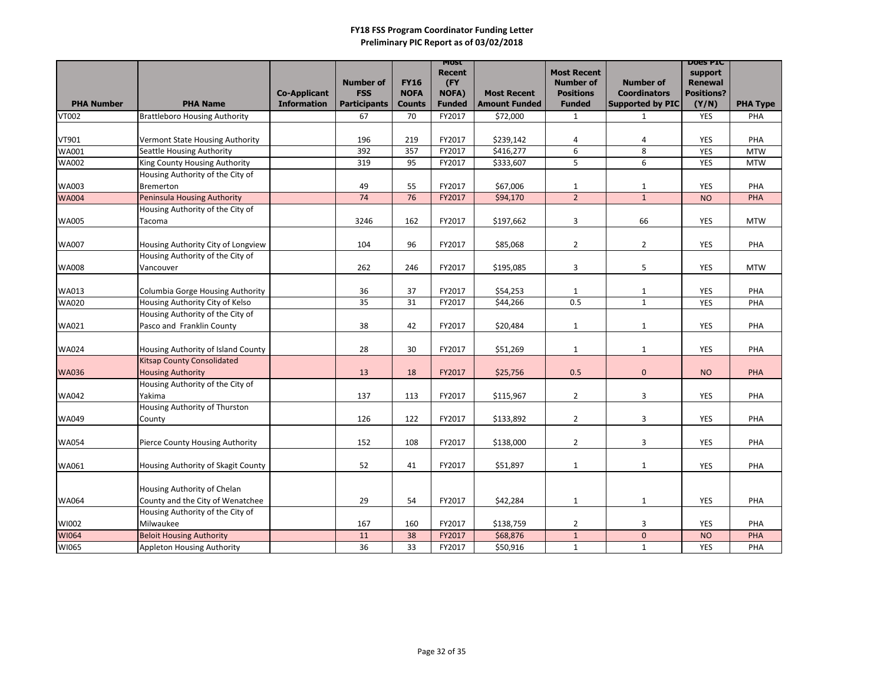|                   |                                         |                     |                                |                            | <b>MOST</b>         |                      |                                      |                                         | <b>DOES PIC</b>                     |                 |
|-------------------|-----------------------------------------|---------------------|--------------------------------|----------------------------|---------------------|----------------------|--------------------------------------|-----------------------------------------|-------------------------------------|-----------------|
|                   |                                         |                     |                                |                            | <b>Recent</b>       |                      | <b>Most Recent</b>                   |                                         | support                             |                 |
|                   |                                         | <b>Co-Applicant</b> | <b>Number of</b><br><b>FSS</b> | <b>FY16</b><br><b>NOFA</b> | (FY<br><b>NOFA)</b> | <b>Most Recent</b>   | <b>Number of</b><br><b>Positions</b> | <b>Number of</b><br><b>Coordinators</b> | <b>Renewal</b><br><b>Positions?</b> |                 |
| <b>PHA Number</b> | <b>PHA Name</b>                         | <b>Information</b>  | <b>Participants</b>            | <b>Counts</b>              | <b>Funded</b>       | <b>Amount Funded</b> | <b>Funded</b>                        | <b>Supported by PIC</b>                 | (Y/N)                               | <b>PHA Type</b> |
| <b>VT002</b>      | <b>Brattleboro Housing Authority</b>    |                     | 67                             | 70                         | FY2017              | \$72,000             | $\mathbf{1}$                         | $\mathbf{1}$                            | <b>YES</b>                          | PHA             |
|                   |                                         |                     |                                |                            |                     |                      |                                      |                                         |                                     |                 |
| VT901             | Vermont State Housing Authority         |                     | 196                            | 219                        | FY2017              | \$239,142            | 4                                    | 4                                       | <b>YES</b>                          | PHA             |
| WA001             | <b>Seattle Housing Authority</b>        |                     | 392                            | 357                        | FY2017              | \$416,277            | 6                                    | 8                                       | <b>YES</b>                          | <b>MTW</b>      |
| <b>WA002</b>      | King County Housing Authority           |                     | 319                            | 95                         | FY2017              | \$333,607            | 5                                    | 6                                       | <b>YES</b>                          | <b>MTW</b>      |
|                   | Housing Authority of the City of        |                     |                                |                            |                     |                      |                                      |                                         |                                     |                 |
| <b>WA003</b>      | Bremerton                               |                     | 49                             | 55                         | FY2017              | \$67,006             | $\mathbf{1}$                         | $\mathbf{1}$                            | <b>YES</b>                          | PHA             |
| <b>WA004</b>      | <b>Peninsula Housing Authority</b>      |                     | 74                             | 76                         | FY2017              | \$94,170             | $\overline{2}$                       | $\mathbf{1}$                            | <b>NO</b>                           | <b>PHA</b>      |
|                   | Housing Authority of the City of        |                     |                                |                            |                     |                      |                                      |                                         |                                     |                 |
| <b>WA005</b>      | Tacoma                                  |                     | 3246                           | 162                        | FY2017              | \$197,662            | 3                                    | 66                                      | <b>YES</b>                          | <b>MTW</b>      |
|                   |                                         |                     |                                |                            |                     |                      |                                      |                                         |                                     |                 |
| <b>WA007</b>      | Housing Authority City of Longview      |                     | 104                            | 96                         | FY2017              | \$85,068             | $\overline{2}$                       | $\overline{2}$                          | <b>YES</b>                          | PHA             |
|                   | Housing Authority of the City of        |                     |                                |                            |                     |                      |                                      |                                         |                                     |                 |
| <b>WA008</b>      | Vancouver                               |                     | 262                            | 246                        | FY2017              | \$195,085            | 3                                    | 5                                       | <b>YES</b>                          | <b>MTW</b>      |
|                   |                                         |                     |                                |                            |                     |                      |                                      |                                         |                                     |                 |
| <b>WA013</b>      | <b>Columbia Gorge Housing Authority</b> |                     | 36                             | 37                         | FY2017              | \$54,253             | $\mathbf{1}$                         | $\mathbf{1}$                            | <b>YES</b>                          | PHA             |
| <b>WA020</b>      | Housing Authority City of Kelso         |                     | 35                             | 31                         | FY2017              | \$44,266             | 0.5                                  | $\mathbf{1}$                            | <b>YES</b>                          | PHA             |
|                   | Housing Authority of the City of        |                     |                                |                            |                     |                      |                                      |                                         |                                     |                 |
| WA021             | Pasco and Franklin County               |                     | 38                             | 42                         | FY2017              | \$20,484             | $\mathbf{1}$                         | $\mathbf{1}$                            | <b>YES</b>                          | PHA             |
|                   |                                         |                     |                                |                            |                     |                      |                                      |                                         |                                     |                 |
| <b>WA024</b>      | Housing Authority of Island County      |                     | 28                             | 30                         | FY2017              | \$51,269             | $\mathbf{1}$                         | $\mathbf{1}$                            | <b>YES</b>                          | PHA             |
|                   | <b>Kitsap County Consolidated</b>       |                     |                                |                            |                     |                      |                                      |                                         |                                     |                 |
| <b>WA036</b>      | <b>Housing Authority</b>                |                     | 13                             | 18                         | FY2017              | \$25,756             | 0.5                                  | $\overline{0}$                          | <b>NO</b>                           | <b>PHA</b>      |
|                   | Housing Authority of the City of        |                     |                                |                            |                     |                      |                                      |                                         |                                     |                 |
| <b>WA042</b>      | Yakima                                  |                     | 137                            | 113                        | FY2017              | \$115,967            | $\overline{2}$                       | 3                                       | <b>YES</b>                          | PHA             |
|                   | Housing Authority of Thurston           |                     |                                |                            |                     |                      |                                      |                                         |                                     |                 |
| <b>WA049</b>      | County                                  |                     | 126                            | 122                        | FY2017              | \$133,892            | $\overline{2}$                       | 3                                       | <b>YES</b>                          | PHA             |
|                   |                                         |                     |                                |                            |                     |                      |                                      |                                         |                                     |                 |
| <b>WA054</b>      | Pierce County Housing Authority         |                     | 152                            | 108                        | FY2017              | \$138,000            | $\overline{2}$                       | 3                                       | <b>YES</b>                          | PHA             |
|                   |                                         |                     |                                |                            |                     |                      |                                      |                                         |                                     |                 |
| WA061             | Housing Authority of Skagit County      |                     | 52                             | 41                         | FY2017              | \$51,897             | $\mathbf{1}$                         | $\mathbf{1}$                            | <b>YES</b>                          | PHA             |
|                   |                                         |                     |                                |                            |                     |                      |                                      |                                         |                                     |                 |
|                   | Housing Authority of Chelan             |                     |                                |                            |                     |                      |                                      |                                         |                                     |                 |
| <b>WA064</b>      | County and the City of Wenatchee        |                     | 29                             | 54                         | FY2017              | \$42,284             | $\mathbf{1}$                         | $\mathbf{1}$                            | YES                                 | PHA             |
|                   | Housing Authority of the City of        |                     |                                |                            |                     |                      |                                      |                                         |                                     |                 |
| WI002             | Milwaukee                               |                     | 167                            | 160                        | FY2017              | \$138,759            | $\overline{2}$                       | 3                                       | <b>YES</b>                          | PHA             |
| WI064             | <b>Beloit Housing Authority</b>         |                     | 11                             | 38                         | FY2017              | \$68,876             | $\mathbf{1}$                         | $\overline{0}$                          | <b>NO</b>                           | <b>PHA</b>      |
| WI065             | <b>Appleton Housing Authority</b>       |                     | 36                             | 33                         | FY2017              | \$50,916             | $\mathbf{1}$                         | $\mathbf{1}$                            | <b>YES</b>                          | PHA             |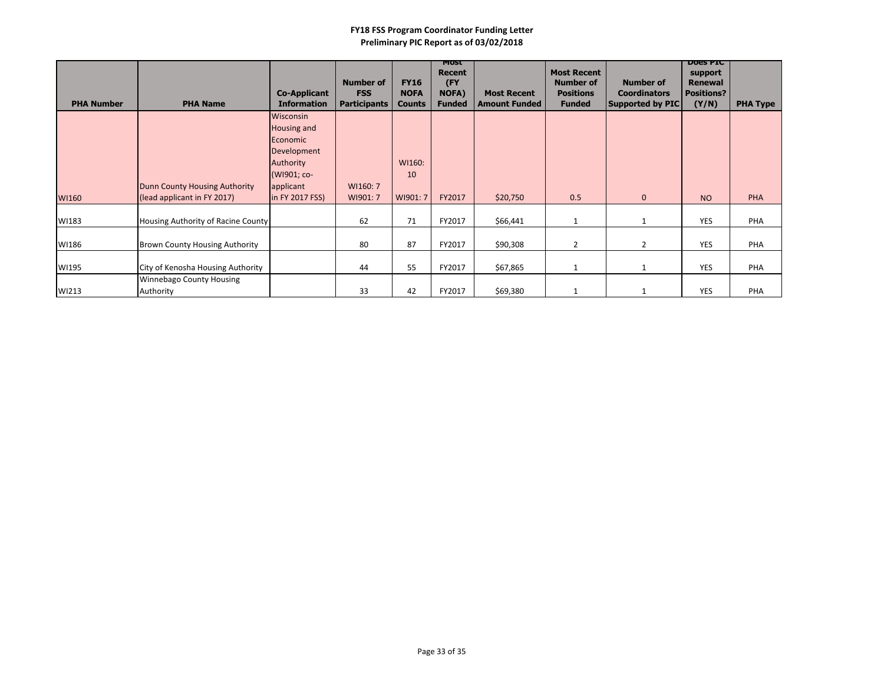| <b>PHA Number</b> | <b>PHA Name</b>                                              | <b>Co-Applicant</b><br><b>Information</b>                                       | <b>Number of</b><br><b>FSS</b><br><b>Participants</b> | <b>FY16</b><br><b>NOFA</b><br><b>Counts</b> | <b>MOST</b><br><b>Recent</b><br>(FY<br>NOFA)<br><b>Funded</b> | <b>Most Recent</b><br><b>Amount Funded</b> | <b>Most Recent</b><br><b>Number of</b><br><b>Positions</b><br><b>Funded</b> | <b>Number of</b><br><b>Coordinators</b><br><b>Supported by PIC</b> | <b>DOES PIC</b><br>support<br><b>Renewal</b><br><b>Positions?</b><br>(Y/N) | <b>PHA Type</b> |
|-------------------|--------------------------------------------------------------|---------------------------------------------------------------------------------|-------------------------------------------------------|---------------------------------------------|---------------------------------------------------------------|--------------------------------------------|-----------------------------------------------------------------------------|--------------------------------------------------------------------|----------------------------------------------------------------------------|-----------------|
|                   |                                                              | Wisconsin<br>Housing and<br>Economic<br>Development<br>Authority<br>(WI901; co- |                                                       | WI160:<br>10                                |                                                               |                                            |                                                                             |                                                                    |                                                                            |                 |
| WI160             | Dunn County Housing Authority<br>(lead applicant in FY 2017) | applicant<br>in FY 2017 FSS)                                                    | WI160: 7<br>WI901: 7                                  | WI901: 7                                    | FY2017                                                        | \$20,750                                   | 0.5                                                                         | $\mathbf{0}$                                                       | <b>NO</b>                                                                  | PHA             |
| WI183             | Housing Authority of Racine County                           |                                                                                 | 62                                                    | 71                                          | FY2017                                                        | \$66,441                                   |                                                                             | $\mathbf{1}$                                                       | <b>YES</b>                                                                 | PHA             |
| WI186             | <b>Brown County Housing Authority</b>                        |                                                                                 | 80                                                    | 87                                          | FY2017                                                        | \$90,308                                   | $\overline{2}$                                                              | $\overline{2}$                                                     | <b>YES</b>                                                                 | PHA             |
| WI195             | City of Kenosha Housing Authority                            |                                                                                 | 44                                                    | 55                                          | FY2017                                                        | \$67,865                                   |                                                                             | $\mathbf{1}$                                                       | <b>YES</b>                                                                 | PHA             |
| WI213             | <b>Winnebago County Housing</b><br>Authority                 |                                                                                 | 33                                                    | 42                                          | FY2017                                                        | \$69,380                                   |                                                                             | 1                                                                  | <b>YES</b>                                                                 | PHA             |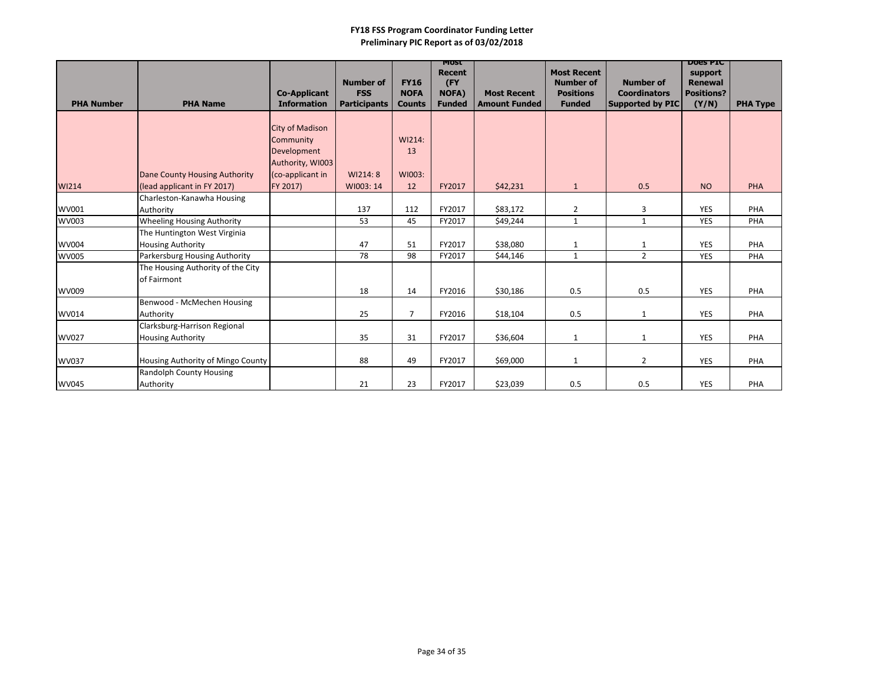|                   |                                   |                                           | <b>Number of</b>                  | <b>FY16</b>                  | <b>MOST</b><br><b>Recent</b><br>(FY |                                            | <b>Most Recent</b><br><b>Number of</b> | <b>Number of</b>                               | <b>DOES PIC</b><br>support<br><b>Renewal</b> |                 |
|-------------------|-----------------------------------|-------------------------------------------|-----------------------------------|------------------------------|-------------------------------------|--------------------------------------------|----------------------------------------|------------------------------------------------|----------------------------------------------|-----------------|
| <b>PHA Number</b> | <b>PHA Name</b>                   | <b>Co-Applicant</b><br><b>Information</b> | <b>FSS</b><br><b>Participants</b> | <b>NOFA</b><br><b>Counts</b> | <b>NOFA)</b><br><b>Funded</b>       | <b>Most Recent</b><br><b>Amount Funded</b> | <b>Positions</b><br><b>Funded</b>      | <b>Coordinators</b><br><b>Supported by PIC</b> | <b>Positions?</b><br>(Y/N)                   | <b>PHA Type</b> |
|                   |                                   | <b>City of Madison</b>                    |                                   |                              |                                     |                                            |                                        |                                                |                                              |                 |
|                   |                                   | Community                                 |                                   | WI214:                       |                                     |                                            |                                        |                                                |                                              |                 |
|                   |                                   | Development                               |                                   | 13                           |                                     |                                            |                                        |                                                |                                              |                 |
|                   |                                   | Authority, WI003                          |                                   |                              |                                     |                                            |                                        |                                                |                                              |                 |
|                   | Dane County Housing Authority     | (co-applicant in                          | WI214: 8                          | WI003:                       |                                     |                                            |                                        |                                                |                                              |                 |
| WI214             | (lead applicant in FY 2017)       | FY 2017)                                  | WI003: 14                         | 12                           | FY2017                              | \$42,231                                   | $\mathbf{1}$                           | 0.5                                            | <b>NO</b>                                    | <b>PHA</b>      |
|                   | Charleston-Kanawha Housing        |                                           |                                   |                              |                                     |                                            |                                        |                                                |                                              |                 |
| WV001             | Authority                         |                                           | 137                               | 112                          | FY2017                              | \$83,172                                   | $\overline{2}$                         | $\overline{3}$                                 | <b>YES</b>                                   | PHA             |
| <b>WV003</b>      | <b>Wheeling Housing Authority</b> |                                           | 53                                | 45                           | FY2017                              | \$49,244                                   | $\mathbf{1}$                           | $\mathbf{1}$                                   | <b>YES</b>                                   | PHA             |
|                   | The Huntington West Virginia      |                                           |                                   |                              |                                     |                                            |                                        |                                                |                                              |                 |
| <b>WV004</b>      | <b>Housing Authority</b>          |                                           | 47                                | 51                           | FY2017                              | \$38,080                                   | $\mathbf{1}$                           | $\mathbf{1}$                                   | <b>YES</b>                                   | PHA             |
| <b>WV005</b>      | Parkersburg Housing Authority     |                                           | 78                                | 98                           | FY2017                              | \$44,146                                   | $\mathbf{1}$                           | $\overline{2}$                                 | <b>YES</b>                                   | PHA             |
|                   | The Housing Authority of the City |                                           |                                   |                              |                                     |                                            |                                        |                                                |                                              |                 |
|                   | of Fairmont                       |                                           |                                   |                              |                                     |                                            |                                        |                                                |                                              |                 |
| WV009             |                                   |                                           | 18                                | 14                           | FY2016                              | \$30,186                                   | 0.5                                    | 0.5                                            | <b>YES</b>                                   | PHA             |
|                   | Benwood - McMechen Housing        |                                           |                                   |                              |                                     |                                            |                                        |                                                |                                              |                 |
| WV014             | Authority                         |                                           | 25                                | $\overline{7}$               | FY2016                              | \$18,104                                   | 0.5                                    | $\mathbf{1}$                                   | <b>YES</b>                                   | PHA             |
|                   | Clarksburg-Harrison Regional      |                                           |                                   |                              |                                     |                                            |                                        |                                                |                                              |                 |
| <b>WV027</b>      | <b>Housing Authority</b>          |                                           | 35                                | 31                           | FY2017                              | \$36,604                                   | $\mathbf{1}$                           | $\mathbf{1}$                                   | <b>YES</b>                                   | PHA             |
| <b>WV037</b>      | Housing Authority of Mingo County |                                           | 88                                | 49                           | FY2017                              | \$69,000                                   | $\mathbf{1}$                           | $\overline{2}$                                 | <b>YES</b>                                   | PHA             |
|                   | <b>Randolph County Housing</b>    |                                           |                                   |                              |                                     |                                            |                                        |                                                |                                              |                 |
| <b>WV045</b>      | Authority                         |                                           | 21                                | 23                           | FY2017                              | \$23,039                                   | 0.5                                    | 0.5                                            | <b>YES</b>                                   | PHA             |